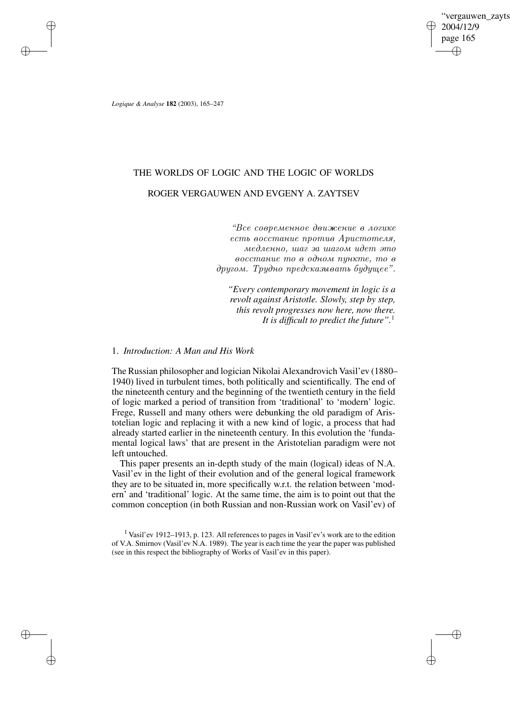vergauwen zavts 2004/12/9 page 165 ✐ ✐

✐

✐

*Logique & Analyse* **182** (2003), 165–247

 $\rightarrow$ 

 $\rightarrow$ 

✐

✐

# THE WORLDS OF LOGIC AND THE LOGIC OF WORLDS ROGER VERGAUWEN AND EVGENY A. ZAYTSEV

"Все современное движение в логике  $e$ сть восстание против Аристотеля, медленно, шаг за шагом идет это  $\theta$ осстание то в одном пункте, то в  $\partial pyzom$ . Tpudno predckazueamb buduwee".

*"Every contemporary movement in logic is a revolt against Aristotle. Slowly, step by step, this revolt progresses now here, now there. It is difficult to predict the future".*<sup>1</sup>

# 1. *Introduction: A Man and His Work*

The Russian philosopher and logician Nikolai Alexandrovich Vasil'ev (1880– 1940) lived in turbulent times, both politically and scientifically. The end of the nineteenth century and the beginning of the twentieth century in the field of logic marked a period of transition from 'traditional' to 'modern' logic. Frege, Russell and many others were debunking the old paradigm of Aristotelian logic and replacing it with a new kind of logic, a process that had already started earlier in the nineteenth century. In this evolution the 'fundamental logical laws' that are present in the Aristotelian paradigm were not left untouched.

This paper presents an in-depth study of the main (logical) ideas of N.A. Vasil'ev in the light of their evolution and of the general logical framework they are to be situated in, more specifically w.r.t. the relation between 'modern' and 'traditional' logic. At the same time, the aim is to point out that the common conception (in both Russian and non-Russian work on Vasil'ev) of

<sup>1</sup> Vasil'ev 1912–1913, p. 123. All references to pages in Vasil'ev's work are to the edition of V.A. Smirnov (Vasil'ev N.A. 1989). The year is each time the year the paper was published (see in this respect the bibliography of Works of Vasil'ev in this paper).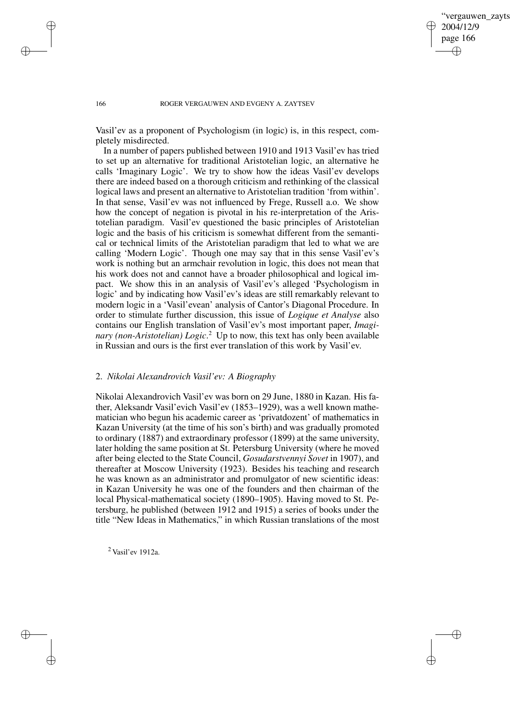✐

#### 166 ROGER VERGAUWEN AND EVGENY A. ZAYTSEV

Vasil'ev as a proponent of Psychologism (in logic) is, in this respect, completely misdirected.

In a number of papers published between 1910 and 1913 Vasil'ev has tried to set up an alternative for traditional Aristotelian logic, an alternative he calls 'Imaginary Logic'. We try to show how the ideas Vasil'ev develops there are indeed based on a thorough criticism and rethinking of the classical logical laws and present an alternative to Aristotelian tradition 'from within'. In that sense, Vasil'ev was not influenced by Frege, Russell a.o. We show how the concept of negation is pivotal in his re-interpretation of the Aristotelian paradigm. Vasil'ev questioned the basic principles of Aristotelian logic and the basis of his criticism is somewhat different from the semantical or technical limits of the Aristotelian paradigm that led to what we are calling 'Modern Logic'. Though one may say that in this sense Vasil'ev's work is nothing but an armchair revolution in logic, this does not mean that his work does not and cannot have a broader philosophical and logical impact. We show this in an analysis of Vasil'ev's alleged 'Psychologism in logic' and by indicating how Vasil'ev's ideas are still remarkably relevant to modern logic in a 'Vasil'evean' analysis of Cantor's Diagonal Procedure. In order to stimulate further discussion, this issue of *Logique et Analyse* also contains our English translation of Vasil'ev's most important paper, *Imaginary (non-Aristotelian) Logic*. <sup>2</sup> Up to now, this text has only been available in Russian and ours is the first ever translation of this work by Vasil'ev.

# 2. *Nikolai Alexandrovich Vasil'ev: A Biography*

Nikolai Alexandrovich Vasil'ev was born on 29 June, 1880 in Kazan. His father, Aleksandr Vasil'evich Vasil'ev (1853–1929), was a well known mathematician who begun his academic career as 'privatdozent' of mathematics in Kazan University (at the time of his son's birth) and was gradually promoted to ordinary (1887) and extraordinary professor (1899) at the same university, later holding the same position at St. Petersburg University (where he moved after being elected to the State Council, *Gosudarstvennyi Sovet* in 1907), and thereafter at Moscow University (1923). Besides his teaching and research he was known as an administrator and promulgator of new scientific ideas: in Kazan University he was one of the founders and then chairman of the local Physical-mathematical society (1890–1905). Having moved to St. Petersburg, he published (between 1912 and 1915) a series of books under the title "New Ideas in Mathematics," in which Russian translations of the most

<sup>2</sup> Vasil'ev 1912a.

 $\rightarrow$ 

 $\rightarrow$ 

✐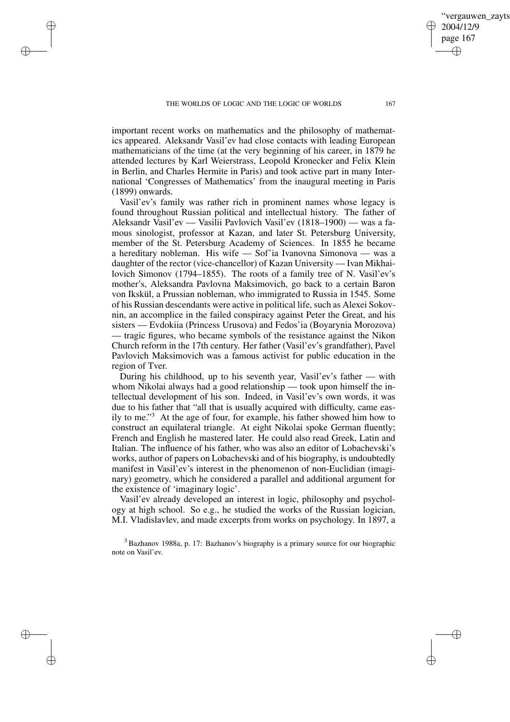$\rightarrow$ 

 $\rightarrow$ 

✐

✐

important recent works on mathematics and the philosophy of mathematics appeared. Aleksandr Vasil'ev had close contacts with leading European mathematicians of the time (at the very beginning of his career, in 1879 he attended lectures by Karl Weierstrass, Leopold Kronecker and Felix Klein in Berlin, and Charles Hermite in Paris) and took active part in many International 'Congresses of Mathematics' from the inaugural meeting in Paris (1899) onwards.

Vasil'ev's family was rather rich in prominent names whose legacy is found throughout Russian political and intellectual history. The father of Aleksandr Vasil'ev — Vasilii Pavlovich Vasil'ev (1818–1900) — was a famous sinologist, professor at Kazan, and later St. Petersburg University, member of the St. Petersburg Academy of Sciences. In 1855 he became a hereditary nobleman. His wife — Sof'ia Ivanovna Simonova — was a daughter of the rector (vice-chancellor) of Kazan University — Ivan Mikhailovich Simonov (1794–1855). The roots of a family tree of N. Vasil'ev's mother's, Aleksandra Pavlovna Maksimovich, go back to a certain Baron von Ikskül, a Prussian nobleman, who immigrated to Russia in 1545. Some of his Russian descendants were active in political life, such as Alexei Sokovnin, an accomplice in the failed conspiracy against Peter the Great, and his sisters — Evdokiia (Princess Urusova) and Fedos'ia (Boyarynia Morozova) — tragic figures, who became symbols of the resistance against the Nikon Church reform in the 17th century. Her father (Vasil'ev's grandfather), Pavel Pavlovich Maksimovich was a famous activist for public education in the region of Tver.

During his childhood, up to his seventh year, Vasil'ev's father — with whom Nikolai always had a good relationship — took upon himself the intellectual development of his son. Indeed, in Vasil'ev's own words, it was due to his father that "all that is usually acquired with difficulty, came easily to me." <sup>3</sup> At the age of four, for example, his father showed him how to construct an equilateral triangle. At eight Nikolai spoke German fluently; French and English he mastered later. He could also read Greek, Latin and Italian. The influence of his father, who was also an editor of Lobachevski's works, author of papers on Lobachevski and of his biography, is undoubtedly manifest in Vasil'ev's interest in the phenomenon of non-Euclidian (imaginary) geometry, which he considered a parallel and additional argument for the existence of 'imaginary logic'.

Vasil'ev already developed an interest in logic, philosophy and psychology at high school. So e.g., he studied the works of the Russian logician, M.I. Vladislavlev, and made excerpts from works on psychology. In 1897, a

<sup>3</sup> Bazhanov 1988a, p. 17: Bazhanov's biography is a primary source for our biographic note on Vasil'ev.

vergauwen zayts

2004/12/9 page 167

✐

✐

✐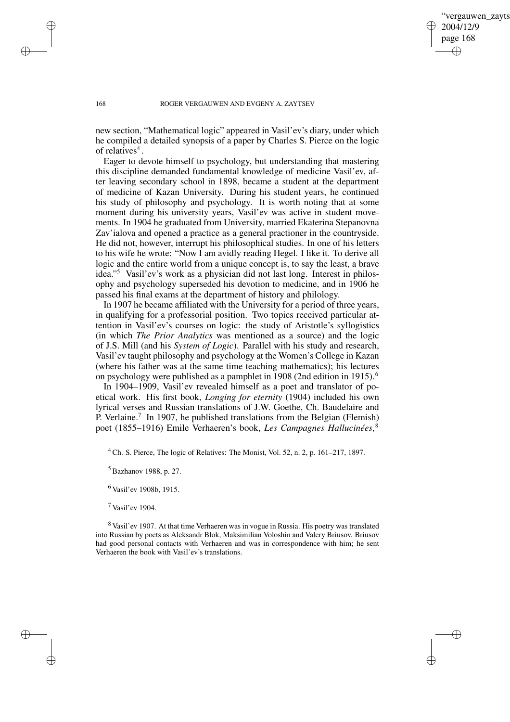✐

#### 168 ROGER VERGAUWEN AND EVGENY A. ZAYTSEV

new section, "Mathematical logic" appeared in Vasil'ev's diary, under which he compiled a detailed synopsis of a paper by Charles S. Pierce on the logic of relatives<sup>4</sup>.

Eager to devote himself to psychology, but understanding that mastering this discipline demanded fundamental knowledge of medicine Vasil'ev, after leaving secondary school in 1898, became a student at the department of medicine of Kazan University. During his student years, he continued his study of philosophy and psychology. It is worth noting that at some moment during his university years, Vasil'ev was active in student movements. In 1904 he graduated from University, married Ekaterina Stepanovna Zav'ialova and opened a practice as a general practioner in the countryside. He did not, however, interrupt his philosophical studies. In one of his letters to his wife he wrote: "Now I am avidly reading Hegel. I like it. To derive all logic and the entire world from a unique concept is, to say the least, a brave idea." <sup>5</sup> Vasil'ev's work as a physician did not last long. Interest in philosophy and psychology superseded his devotion to medicine, and in 1906 he passed his final exams at the department of history and philology.

In 1907 he became affiliated with the University for a period of three years, in qualifying for a professorial position. Two topics received particular attention in Vasil'ev's courses on logic: the study of Aristotle's syllogistics (in which *The Prior Analytics* was mentioned as a source) and the logic of J.S. Mill (and his *System of Logic*). Parallel with his study and research, Vasil'ev taught philosophy and psychology at the Women's College in Kazan (where his father was at the same time teaching mathematics); his lectures on psychology were published as a pamphlet in 1908 (2nd edition in 1915).<sup>6</sup>

In 1904–1909, Vasil'ev revealed himself as a poet and translator of poetical work. His first book, *Longing for eternity* (1904) included his own lyrical verses and Russian translations of J.W. Goethe, Ch. Baudelaire and P. Verlaine.<sup>7</sup> In 1907, he published translations from the Belgian (Flemish) poet (1855–1916) Emile Verhaeren's book, *Les Campagnes Hallucinées*, 8

<sup>4</sup> Ch. S. Pierce, The logic of Relatives: The Monist, Vol. 52, n. 2, p. 161–217, 1897.

<sup>5</sup> Bazhanov 1988, p. 27.

<sup>6</sup> Vasil'ev 1908b, 1915.

 $7$  Vasil'ev 1904.

<sup>8</sup> Vasil'ev 1907. At that time Verhaeren was in vogue in Russia. His poetry was translated into Russian by poets as Aleksandr Blok, Maksimilian Voloshin and Valery Briusov. Briusov had good personal contacts with Verhaeren and was in correspondence with him; he sent Verhaeren the book with Vasil'ev's translations.

 $\rightarrow$ 

 $\rightarrow$ 

✐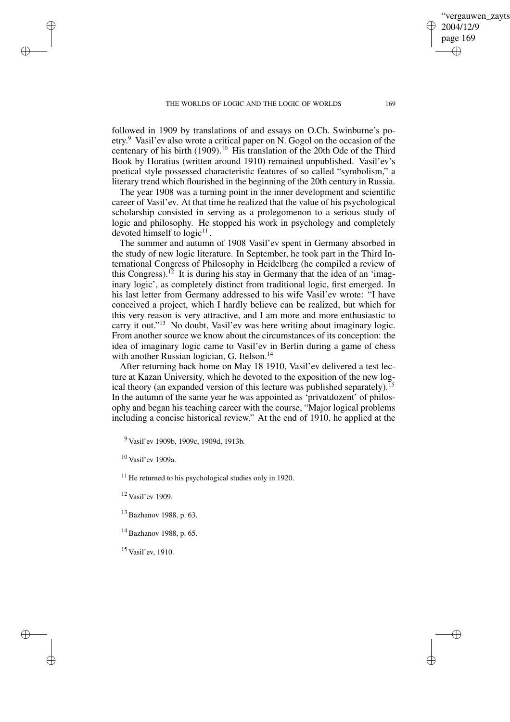followed in 1909 by translations of and essays on O.Ch. Swinburne's poetry. <sup>9</sup> Vasil'ev also wrote a critical paper on N. Gogol on the occasion of the centenary of his birth (1909).<sup>10</sup> His translation of the 20th Ode of the Third Book by Horatius (written around 1910) remained unpublished. Vasil'ev's poetical style possessed characteristic features of so called "symbolism," a literary trend which flourished in the beginning of the 20th century in Russia.

The year 1908 was a turning point in the inner development and scientific career of Vasil'ev. At that time he realized that the value of his psychological scholarship consisted in serving as a prolegomenon to a serious study of logic and philosophy. He stopped his work in psychology and completely devoted himself to  $logic^{11}$ .

The summer and autumn of 1908 Vasil'ev spent in Germany absorbed in the study of new logic literature. In September, he took part in the Third International Congress of Philosophy in Heidelberg (he compiled a review of this Congress).<sup>12</sup> It is during his stay in Germany that the idea of an 'imaginary logic', as completely distinct from traditional logic, first emerged. In his last letter from Germany addressed to his wife Vasil'ev wrote: "I have conceived a project, which I hardly believe can be realized, but which for this very reason is very attractive, and I am more and more enthusiastic to carry it out."<sup>13</sup> No doubt, Vasil'ev was here writing about imaginary logic. From another source we know about the circumstances of its conception: the idea of imaginary logic came to Vasil'ev in Berlin during a game of chess with another Russian logician, G. Itelson.<sup>14</sup>

After returning back home on May 18 1910, Vasil'ev delivered a test lecture at Kazan University, which he devoted to the exposition of the new logical theory (an expanded version of this lecture was published separately).<sup>15</sup> In the autumn of the same year he was appointed as 'privatdozent' of philosophy and began his teaching career with the course, "Major logical problems including a concise historical review." At the end of 1910, he applied at the

<sup>9</sup> Vasil'ev 1909b, 1909c, 1909d, 1913b.

<sup>10</sup> Vasil'ev 1909a.

 $\rightarrow$ 

 $\rightarrow$ 

✐

✐

<sup>11</sup> He returned to his psychological studies only in 1920.

<sup>12</sup> Vasil'ev 1909.

<sup>13</sup> Bazhanov 1988, p. 63.

<sup>14</sup> Bazhanov 1988, p. 65.

<sup>15</sup> Vasil'ev, 1910.

vergauwen zavts

2004/12/9 page 169

✐

✐

✐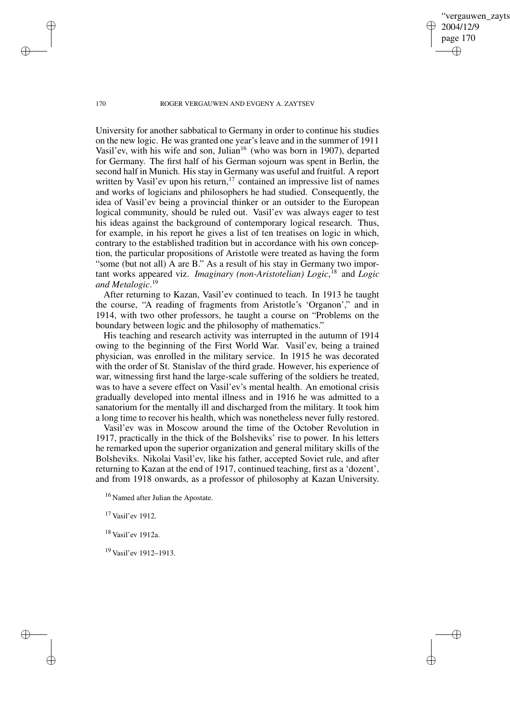vergauwen zavts 2004/12/9 page 170 ✐ ✐

✐

✐

#### 170 ROGER VERGAUWEN AND EVGENY A. ZAYTSEV

University for another sabbatical to Germany in order to continue his studies on the new logic. He was granted one year's leave and in the summer of 1911 Vasil'ev, with his wife and son, Julian<sup>16</sup> (who was born in 1907), departed for Germany. The first half of his German sojourn was spent in Berlin, the second half in Munich. His stay in Germany was useful and fruitful. A report written by Vasil'ev upon his return,<sup>17</sup> contained an impressive list of names and works of logicians and philosophers he had studied. Consequently, the idea of Vasil'ev being a provincial thinker or an outsider to the European logical community, should be ruled out. Vasil'ev was always eager to test his ideas against the background of contemporary logical research. Thus, for example, in his report he gives a list of ten treatises on logic in which, contrary to the established tradition but in accordance with his own conception, the particular propositions of Aristotle were treated as having the form "some (but not all) A are B." As a result of his stay in Germany two important works appeared viz. *Imaginary (non-Aristotelian) Logic*, <sup>18</sup> and *Logic and Metalogic*. 19

After returning to Kazan, Vasil'ev continued to teach. In 1913 he taught the course, "A reading of fragments from Aristotle's 'Organon'," and in 1914, with two other professors, he taught a course on "Problems on the boundary between logic and the philosophy of mathematics."

His teaching and research activity was interrupted in the autumn of 1914 owing to the beginning of the First World War. Vasil'ev, being a trained physician, was enrolled in the military service. In 1915 he was decorated with the order of St. Stanislav of the third grade. However, his experience of war, witnessing first hand the large-scale suffering of the soldiers he treated, was to have a severe effect on Vasil'ev's mental health. An emotional crisis gradually developed into mental illness and in 1916 he was admitted to a sanatorium for the mentally ill and discharged from the military. It took him a long time to recover his health, which was nonetheless never fully restored.

Vasil'ev was in Moscow around the time of the October Revolution in 1917, practically in the thick of the Bolsheviks' rise to power. In his letters he remarked upon the superior organization and general military skills of the Bolsheviks. Nikolai Vasil'ev, like his father, accepted Soviet rule, and after returning to Kazan at the end of 1917, continued teaching, first as a 'dozent', and from 1918 onwards, as a professor of philosophy at Kazan University.

<sup>17</sup> Vasil'ev 1912.

<sup>18</sup> Vasil'ev 1912a.

<sup>19</sup> Vasil'ev 1912–1913.

✐

✐

✐

<sup>&</sup>lt;sup>16</sup> Named after Julian the Apostate.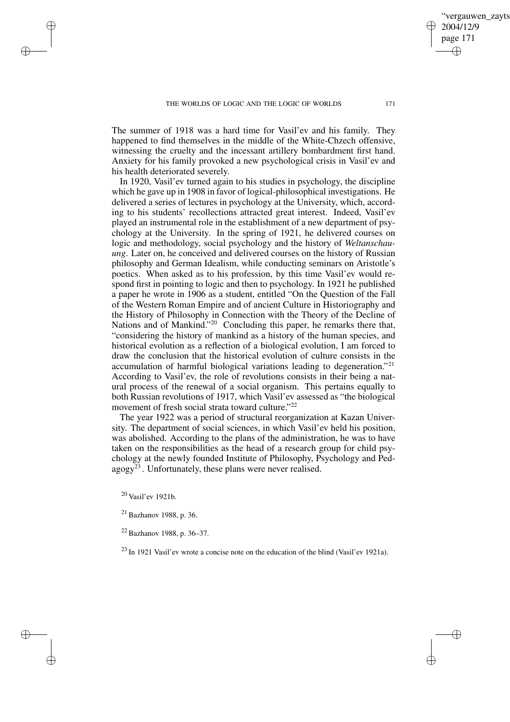The summer of 1918 was a hard time for Vasil'ev and his family. They happened to find themselves in the middle of the White-Chzech offensive, witnessing the cruelty and the incessant artillery bombardment first hand. Anxiety for his family provoked a new psychological crisis in Vasil'ev and his health deteriorated severely.

In 1920, Vasil'ev turned again to his studies in psychology, the discipline which he gave up in 1908 in favor of logical-philosophical investigations. He delivered a series of lectures in psychology at the University, which, according to his students' recollections attracted great interest. Indeed, Vasil'ev played an instrumental role in the establishment of a new department of psychology at the University. In the spring of 1921, he delivered courses on logic and methodology, social psychology and the history of *Weltanschauung*. Later on, he conceived and delivered courses on the history of Russian philosophy and German Idealism, while conducting seminars on Aristotle's poetics. When asked as to his profession, by this time Vasil'ev would respond first in pointing to logic and then to psychology. In 1921 he published a paper he wrote in 1906 as a student, entitled "On the Question of the Fall of the Western Roman Empire and of ancient Culture in Historiography and the History of Philosophy in Connection with the Theory of the Decline of Nations and of Mankind."<sup>20</sup> Concluding this paper, he remarks there that, "considering the history of mankind as a history of the human species, and historical evolution as a reflection of a biological evolution, I am forced to draw the conclusion that the historical evolution of culture consists in the accumulation of harmful biological variations leading to degeneration."<sup>21</sup> According to Vasil'ev, the role of revolutions consists in their being a natural process of the renewal of a social organism. This pertains equally to both Russian revolutions of 1917, which Vasil'ev assessed as "the biological movement of fresh social strata toward culture."<sup>22</sup>

The year 1922 was a period of structural reorganization at Kazan University. The department of social sciences, in which Vasil'ev held his position, was abolished. According to the plans of the administration, he was to have taken on the responsibilities as the head of a research group for child psychology at the newly founded Institute of Philosophy, Psychology and Ped- $\text{agogy}^{23}$ . Unfortunately, these plans were never realised.

<sup>20</sup> Vasil'ev 1921b.

✐

✐

✐

✐

<sup>22</sup> Bazhanov 1988, p. 36–37.

 $^{23}$  In 1921 Vasil'ev wrote a concise note on the education of the blind (Vasil'ev 1921a).

✐

<sup>21</sup> Bazhanov 1988, p. 36.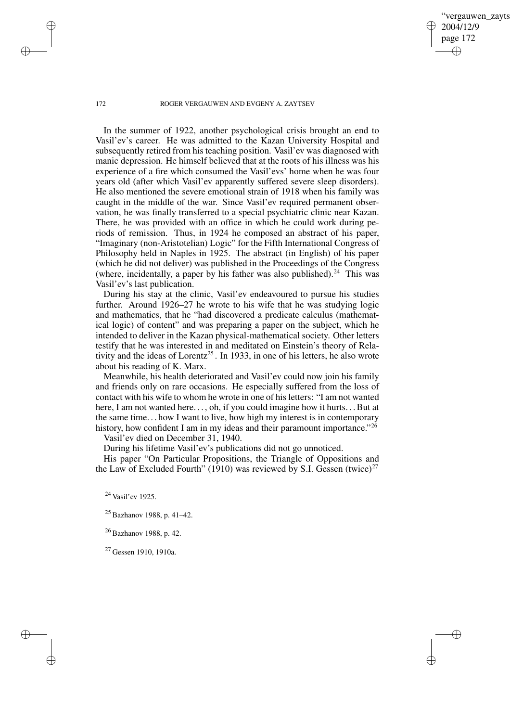✐

#### 172 ROGER VERGAUWEN AND EVGENY A. ZAYTSEV

In the summer of 1922, another psychological crisis brought an end to Vasil'ev's career. He was admitted to the Kazan University Hospital and subsequently retired from his teaching position. Vasil'ev was diagnosed with manic depression. He himself believed that at the roots of his illness was his experience of a fire which consumed the Vasil'evs' home when he was four years old (after which Vasil'ev apparently suffered severe sleep disorders). He also mentioned the severe emotional strain of 1918 when his family was caught in the middle of the war. Since Vasil'ev required permanent observation, he was finally transferred to a special psychiatric clinic near Kazan. There, he was provided with an office in which he could work during periods of remission. Thus, in 1924 he composed an abstract of his paper, "Imaginary (non-Aristotelian) Logic" for the Fifth International Congress of Philosophy held in Naples in 1925. The abstract (in English) of his paper (which he did not deliver) was published in the Proceedings of the Congress (where, incidentally, a paper by his father was also published).<sup>24</sup> This was Vasil'ev's last publication.

During his stay at the clinic, Vasil'ev endeavoured to pursue his studies further. Around 1926–27 he wrote to his wife that he was studying logic and mathematics, that he "had discovered a predicate calculus (mathematical logic) of content" and was preparing a paper on the subject, which he intended to deliver in the Kazan physical-mathematical society. Other letters testify that he was interested in and meditated on Einstein's theory of Relativity and the ideas of Lorentz<sup>25</sup>. In 1933, in one of his letters, he also wrote about his reading of K. Marx.

Meanwhile, his health deteriorated and Vasil'ev could now join his family and friends only on rare occasions. He especially suffered from the loss of contact with his wife to whom he wrote in one of hisletters: "I am not wanted here, I am not wanted here..., oh, if you could imagine how it hurts... But at the same time. . . how I want to live, how high my interest is in contemporary history, how confident I am in my ideas and their paramount importance."<sup>26</sup>

Vasil'ev died on December 31, 1940.

During his lifetime Vasil'ev's publications did not go unnoticed.

His paper "On Particular Propositions, the Triangle of Oppositions and the Law of Excluded Fourth" (1910) was reviewed by S.I. Gessen (twice)<sup>27</sup>

<sup>24</sup> Vasil'ev 1925.

<sup>26</sup> Bazhanov 1988, p. 42.

<sup>27</sup> Gessen 1910, 1910a.

✐

✐

✐

<sup>25</sup> Bazhanov 1988, p. 41–42.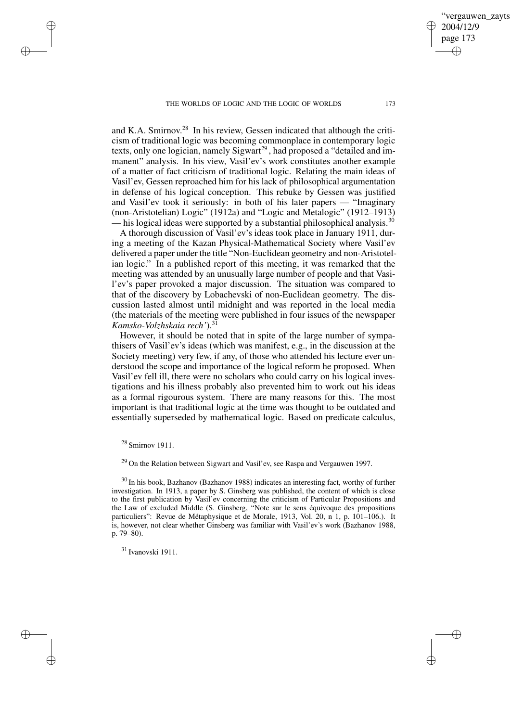and K.A. Smirnov. <sup>28</sup> In his review, Gessen indicated that although the criticism of traditional logic was becoming commonplace in contemporary logic texts, only one logician, namely Sigwart<sup>29</sup>, had proposed a "detailed and immanent" analysis. In his view, Vasil'ev's work constitutes another example of a matter of fact criticism of traditional logic. Relating the main ideas of Vasil'ev, Gessen reproached him for his lack of philosophical argumentation in defense of his logical conception. This rebuke by Gessen was justified and Vasil'ev took it seriously: in both of his later papers — "Imaginary (non-Aristotelian) Logic" (1912a) and "Logic and Metalogic" (1912–1913) — his logical ideas were supported by a substantial philosophical analysis.<sup>30</sup>

A thorough discussion of Vasil'ev's ideas took place in January 1911, during a meeting of the Kazan Physical-Mathematical Society where Vasil'ev delivered a paper under the title "Non-Euclidean geometry and non-Aristotelian logic." In a published report of this meeting, it was remarked that the meeting was attended by an unusually large number of people and that Vasil'ev's paper provoked a major discussion. The situation was compared to that of the discovery by Lobachevski of non-Euclidean geometry. The discussion lasted almost until midnight and was reported in the local media (the materials of the meeting were published in four issues of the newspaper *Kamsko-Volzhskaia rech'*).<sup>31</sup>

However, it should be noted that in spite of the large number of sympathisers of Vasil'ev's ideas (which was manifest, e.g., in the discussion at the Society meeting) very few, if any, of those who attended his lecture ever understood the scope and importance of the logical reform he proposed. When Vasil'ev fell ill, there were no scholars who could carry on his logical investigations and his illness probably also prevented him to work out his ideas as a formal rigourous system. There are many reasons for this. The most important is that traditional logic at the time was thought to be outdated and essentially superseded by mathematical logic. Based on predicate calculus,

# <sup>28</sup> Smirnov 1911.

✐

✐

✐

✐

<sup>29</sup> On the Relation between Sigwart and Vasil'ev, see Raspa and Vergauwen 1997.

<sup>30</sup> In his book, Bazhanov (Bazhanov 1988) indicates an interesting fact, worthy of further investigation. In 1913, a paper by S. Ginsberg was published, the content of which is close to the first publication by Vasil'ev concerning the criticism of Particular Propositions and the Law of excluded Middle (S. Ginsberg, "Note sur le sens équivoque des propositions particuliers": Revue de Métaphysique et de Morale, 1913, Vol. 20, n 1, p. 101–106.). It is, however, not clear whether Ginsberg was familiar with Vasil'ev's work (Bazhanov 1988, p. 79–80).

<sup>31</sup> Ivanovski 1911.

vergauwen zavts

2004/12/9 page 173

✐

✐

✐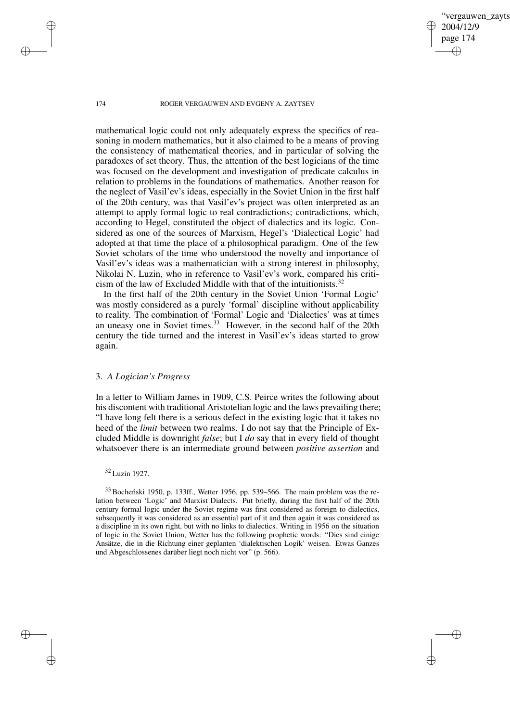✐

#### 174 ROGER VERGAUWEN AND EVGENY A. ZAYTSEV

mathematical logic could not only adequately express the specifics of reasoning in modern mathematics, but it also claimed to be a means of proving the consistency of mathematical theories, and in particular of solving the paradoxes of set theory. Thus, the attention of the best logicians of the time was focused on the development and investigation of predicate calculus in relation to problems in the foundations of mathematics. Another reason for the neglect of Vasil'ev's ideas, especially in the Soviet Union in the first half of the 20th century, was that Vasil'ev's project was often interpreted as an attempt to apply formal logic to real contradictions; contradictions, which, according to Hegel, constituted the object of dialectics and its logic. Considered as one of the sources of Marxism, Hegel's 'Dialectical Logic' had adopted at that time the place of a philosophical paradigm. One of the few Soviet scholars of the time who understood the novelty and importance of Vasil'ev's ideas was a mathematician with a strong interest in philosophy, Nikolai N. Luzin, who in reference to Vasil'ev's work, compared his criticism of the law of Excluded Middle with that of the intuitionists.<sup>32</sup>

In the first half of the 20th century in the Soviet Union 'Formal Logic' was mostly considered as a purely 'formal' discipline without applicability to reality. The combination of 'Formal' Logic and 'Dialectics' was at times an uneasy one in Soviet times.<sup>33</sup> However, in the second half of the 20th century the tide turned and the interest in Vasil'ev's ideas started to grow again.

# 3. *A Logician's Progress*

In a letter to William James in 1909, C.S. Peirce writes the following about his discontent with traditional Aristotelian logic and the laws prevailing there; "I have long felt there is a serious defect in the existing logic that it takes no heed of the *limit* between two realms. I do not say that the Principle of Excluded Middle is downright *false*; but I *do* say that in every field of thought whatsoever there is an intermediate ground between *positive assertion* and

# <sup>32</sup> Luzin 1927.

 $33$  Bocheński 1950, p. 133ff., Wetter 1956, pp. 539–566. The main problem was the relation between 'Logic' and Marxist Dialects. Put briefly, during the first half of the 20th century formal logic under the Soviet regime was first considered as foreign to dialectics, subsequently it was considered as an essential part of it and then again it was considered as a discipline in its own right, but with no links to dialectics. Writing in 1956 on the situation of logic in the Soviet Union, Wetter has the following prophetic words: "Dies sind einige Ansätze, die in die Richtung einer geplanten 'dialektischen Logik' weisen. Etwas Ganzes und Abgeschlossenes darüber liegt noch nicht vor" (p. 566).

✐

✐

✐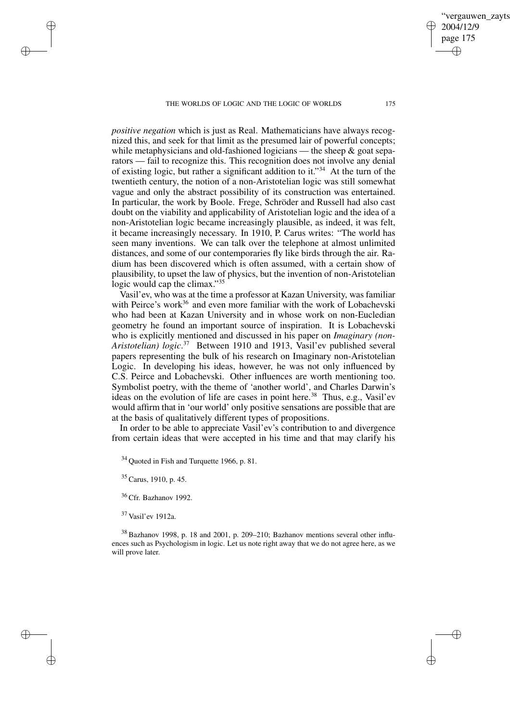*positive negation* which is just as Real. Mathematicians have always recognized this, and seek for that limit as the presumed lair of powerful concepts; while metaphysicians and old-fashioned logicians — the sheep & goat separators — fail to recognize this. This recognition does not involve any denial of existing logic, but rather a significant addition to it."<sup>34</sup> At the turn of the twentieth century, the notion of a non-Aristotelian logic was still somewhat vague and only the abstract possibility of its construction was entertained. In particular, the work by Boole. Frege, Schröder and Russell had also cast doubt on the viability and applicability of Aristotelian logic and the idea of a non-Aristotelian logic became increasingly plausible, as indeed, it was felt, it became increasingly necessary. In 1910, P. Carus writes: "The world has seen many inventions. We can talk over the telephone at almost unlimited distances, and some of our contemporaries fly like birds through the air. Radium has been discovered which is often assumed, with a certain show of plausibility, to upset the law of physics, but the invention of non-Aristotelian logic would cap the climax."<sup>35</sup>

Vasil'ev, who was at the time a professor at Kazan University, was familiar with Peirce's work<sup>36</sup> and even more familiar with the work of Lobachevski who had been at Kazan University and in whose work on non-Eucledian geometry he found an important source of inspiration. It is Lobachevski who is explicitly mentioned and discussed in his paper on *Imaginary (non-Aristotelian) logic*. <sup>37</sup> Between 1910 and 1913, Vasil'ev published several papers representing the bulk of his research on Imaginary non-Aristotelian Logic. In developing his ideas, however, he was not only influenced by C.S. Peirce and Lobachevski. Other influences are worth mentioning too. Symbolist poetry, with the theme of 'another world', and Charles Darwin's ideas on the evolution of life are cases in point here.<sup>38</sup> Thus, e.g., Vasil'ev would affirm that in 'our world' only positive sensations are possible that are at the basis of qualitatively different types of propositions.

In order to be able to appreciate Vasil'ev's contribution to and divergence from certain ideas that were accepted in his time and that may clarify his

 $34$  Quoted in Fish and Turquette 1966, p. 81.

 $35$  Carus, 1910, p. 45.

✐

✐

✐

✐

<sup>36</sup> Cfr. Bazhanov 1992.

<sup>37</sup> Vasil'ev 1912a.

<sup>38</sup> Bazhanov 1998, p. 18 and 2001, p. 209–210; Bazhanov mentions several other influences such as Psychologism in logic. Let us note right away that we do not agree here, as we will prove later.

vergauwen zavts

2004/12/9 page 175

✐

✐

✐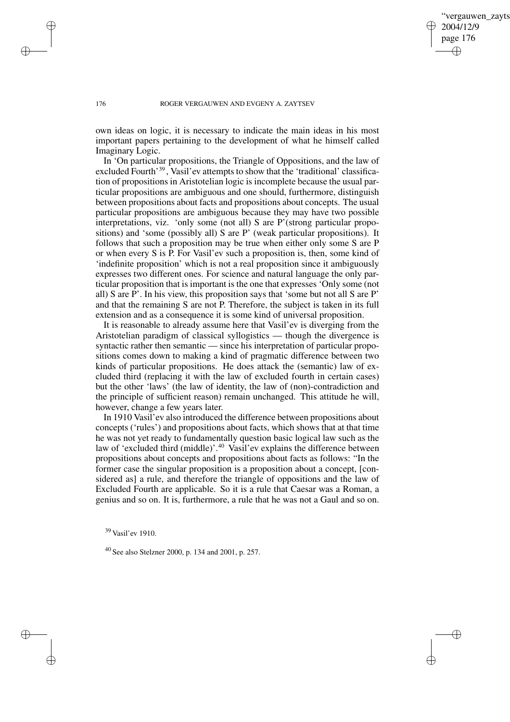✐

#### 176 ROGER VERGAUWEN AND EVGENY A. ZAYTSEV

own ideas on logic, it is necessary to indicate the main ideas in his most important papers pertaining to the development of what he himself called Imaginary Logic.

In 'On particular propositions, the Triangle of Oppositions, and the law of excluded Fourth<sup>39</sup>, Vasil'ev attempts to show that the 'traditional' classification of propositions in Aristotelian logic is incomplete because the usual particular propositions are ambiguous and one should, furthermore, distinguish between propositions about facts and propositions about concepts. The usual particular propositions are ambiguous because they may have two possible interpretations, viz. 'only some (not all) S are P'(strong particular propositions) and 'some (possibly all) S are P' (weak particular propositions). It follows that such a proposition may be true when either only some S are P or when every S is P. For Vasil'ev such a proposition is, then, some kind of 'indefinite proposition' which is not a real proposition since it ambiguously expresses two different ones. For science and natural language the only particular proposition that is important is the one that expresses 'Only some (not all) S are P'. In his view, this proposition says that 'some but not all S are P' and that the remaining S are not P. Therefore, the subject is taken in its full extension and as a consequence it is some kind of universal proposition.

It is reasonable to already assume here that Vasil'ev is diverging from the Aristotelian paradigm of classical syllogistics — though the divergence is syntactic rather then semantic — since his interpretation of particular propositions comes down to making a kind of pragmatic difference between two kinds of particular propositions. He does attack the (semantic) law of excluded third (replacing it with the law of excluded fourth in certain cases) but the other 'laws' (the law of identity, the law of (non)-contradiction and the principle of sufficient reason) remain unchanged. This attitude he will, however, change a few years later.

In 1910 Vasil'ev also introduced the difference between propositions about concepts ('rules') and propositions about facts, which shows that at that time he was not yet ready to fundamentally question basic logical law such as the law of 'excluded third (middle)'.<sup>40</sup> Vasil'ev explains the difference between propositions about concepts and propositions about facts as follows: "In the former case the singular proposition is a proposition about a concept, [considered as] a rule, and therefore the triangle of oppositions and the law of Excluded Fourth are applicable. So it is a rule that Caesar was a Roman, a genius and so on. It is, furthermore, a rule that he was not a Gaul and so on.

✐

✐

✐

<sup>39</sup> Vasil'ev 1910.

<sup>40</sup> See also Stelzner 2000, p. 134 and 2001, p. 257.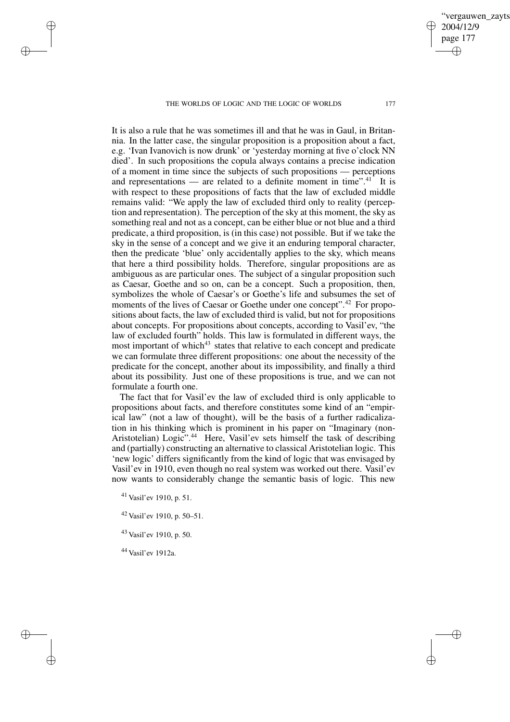It is also a rule that he was sometimes ill and that he was in Gaul, in Britannia. In the latter case, the singular proposition is a proposition about a fact, e.g. 'Ivan Ivanovich is now drunk' or 'yesterday morning at five o'clock NN died'. In such propositions the copula always contains a precise indication of a moment in time since the subjects of such propositions — perceptions and representations — are related to a definite moment in time".<sup>41</sup> It is with respect to these propositions of facts that the law of excluded middle remains valid: "We apply the law of excluded third only to reality (perception and representation). The perception of the sky at this moment, the sky as something real and not as a concept, can be either blue or not blue and a third predicate, a third proposition, is (in this case) not possible. But if we take the sky in the sense of a concept and we give it an enduring temporal character, then the predicate 'blue' only accidentally applies to the sky, which means that here a third possibility holds. Therefore, singular propositions are as ambiguous as are particular ones. The subject of a singular proposition such as Caesar, Goethe and so on, can be a concept. Such a proposition, then, symbolizes the whole of Caesar's or Goethe's life and subsumes the set of moments of the lives of Caesar or Goethe under one concept".<sup>42</sup> For propositions about facts, the law of excluded third is valid, but not for propositions about concepts. For propositions about concepts, according to Vasil'ev, "the law of excluded fourth" holds. This law is formulated in different ways, the most important of which<sup>43</sup> states that relative to each concept and predicate we can formulate three different propositions: one about the necessity of the predicate for the concept, another about its impossibility, and finally a third about its possibility. Just one of these propositions is true, and we can not formulate a fourth one.

The fact that for Vasil'ev the law of excluded third is only applicable to propositions about facts, and therefore constitutes some kind of an "empirical law" (not a law of thought), will be the basis of a further radicalization in his thinking which is prominent in his paper on "Imaginary (non-Aristotelian) Logic".<sup>44</sup> Here, Vasil'ev sets himself the task of describing and (partially) constructing an alternative to classical Aristotelian logic. This 'new logic' differs significantly from the kind of logic that was envisaged by Vasil'ev in 1910, even though no real system was worked out there. Vasil'ev now wants to considerably change the semantic basis of logic. This new

<sup>41</sup> Vasil'ev 1910, p. 51.

✐

✐

✐

✐

<sup>42</sup> Vasil'ev 1910, p. 50–51.

<sup>43</sup> Vasil'ev 1910, p. 50.

<sup>44</sup> Vasil'ev 1912a.

✐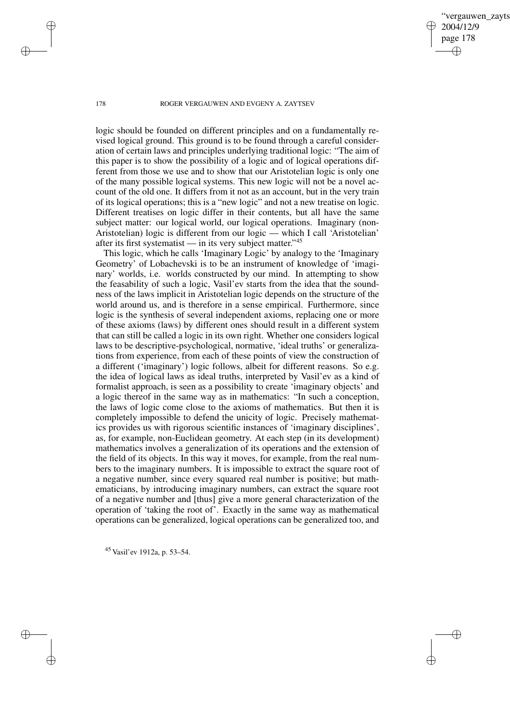ergauwen zayts 2004/12/9 page 178 ✐ ✐

✐

✐

#### 178 ROGER VERGAUWEN AND EVGENY A. ZAYTSEV

logic should be founded on different principles and on a fundamentally revised logical ground. This ground is to be found through a careful consideration of certain laws and principles underlying traditional logic: "The aim of this paper is to show the possibility of a logic and of logical operations different from those we use and to show that our Aristotelian logic is only one of the many possible logical systems. This new logic will not be a novel account of the old one. It differs from it not as an account, but in the very train of its logical operations; this is a "new logic" and not a new treatise on logic. Different treatises on logic differ in their contents, but all have the same subject matter: our logical world, our logical operations. Imaginary (non-Aristotelian) logic is different from our logic — which I call 'Aristotelian' after its first systematist — in its very subject matter."<sup>45</sup>

This logic, which he calls 'Imaginary Logic' by analogy to the 'Imaginary Geometry' of Lobachevski is to be an instrument of knowledge of 'imaginary' worlds, i.e. worlds constructed by our mind. In attempting to show the feasability of such a logic, Vasil'ev starts from the idea that the soundness of the laws implicit in Aristotelian logic depends on the structure of the world around us, and is therefore in a sense empirical. Furthermore, since logic is the synthesis of several independent axioms, replacing one or more of these axioms (laws) by different ones should result in a different system that can still be called a logic in its own right. Whether one considers logical laws to be descriptive-psychological, normative, 'ideal truths' or generalizations from experience, from each of these points of view the construction of a different ('imaginary') logic follows, albeit for different reasons. So e.g. the idea of logical laws as ideal truths, interpreted by Vasil'ev as a kind of formalist approach, is seen as a possibility to create 'imaginary objects' and a logic thereof in the same way as in mathematics: "In such a conception, the laws of logic come close to the axioms of mathematics. But then it is completely impossible to defend the unicity of logic. Precisely mathematics provides us with rigorous scientific instances of 'imaginary disciplines', as, for example, non-Euclidean geometry. At each step (in its development) mathematics involves a generalization of its operations and the extension of the field of its objects. In this way it moves, for example, from the real numbers to the imaginary numbers. It is impossible to extract the square root of a negative number, since every squared real number is positive; but mathematicians, by introducing imaginary numbers, can extract the square root of a negative number and [thus] give a more general characterization of the operation of 'taking the root of'. Exactly in the same way as mathematical operations can be generalized, logical operations can be generalized too, and

<sup>45</sup> Vasil'ev 1912a, p. 53–54.

✐

✐

✐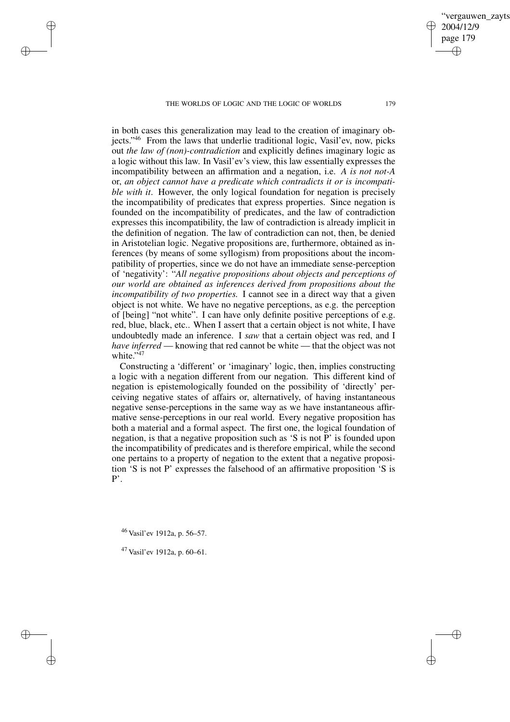in both cases this generalization may lead to the creation of imaginary objects." <sup>46</sup> From the laws that underlie traditional logic, Vasil'ev, now, picks out *the law of (non)-contradiction* and explicitly defines imaginary logic as a logic without this law. In Vasil'ev's view, this law essentially expresses the incompatibility between an affirmation and a negation, i.e. *A is not not-A* or, *an object cannot have a predicate which contradicts it or is incompatible with it*. However, the only logical foundation for negation is precisely the incompatibility of predicates that express properties. Since negation is founded on the incompatibility of predicates, and the law of contradiction expresses this incompatibility, the law of contradiction is already implicit in the definition of negation. The law of contradiction can not, then, be denied in Aristotelian logic. Negative propositions are, furthermore, obtained as inferences (by means of some syllogism) from propositions about the incompatibility of properties, since we do not have an immediate sense-perception of 'negativity': "*All negative propositions about objects and perceptions of our world are obtained as inferences derived from propositions about the incompatibility of two properties.* I cannot see in a direct way that a given object is not white. We have no negative perceptions, as e.g. the perception of [being] "not white". I can have only definite positive perceptions of e.g. red, blue, black, etc.. When I assert that a certain object is not white, I have undoubtedly made an inference. I *saw* that a certain object was red, and I *have inferred* — knowing that red cannot be white — that the object was not white."<sup>47</sup>

Constructing a 'different' or 'imaginary' logic, then, implies constructing a logic with a negation different from our negation. This different kind of negation is epistemologically founded on the possibility of 'directly' perceiving negative states of affairs or, alternatively, of having instantaneous negative sense-perceptions in the same way as we have instantaneous affirmative sense-perceptions in our real world. Every negative proposition has both a material and a formal aspect. The first one, the logical foundation of negation, is that a negative proposition such as 'S is not P' is founded upon the incompatibility of predicates and is therefore empirical, while the second one pertains to a property of negation to the extent that a negative proposition 'S is not P' expresses the falsehood of an affirmative proposition 'S is P'.

<sup>46</sup> Vasil'ev 1912a, p. 56–57.

✐

✐

✐

✐

<sup>47</sup> Vasil'ev 1912a, p. 60–61.

vergauwen zavts

2004/12/9 page 179

✐

✐

✐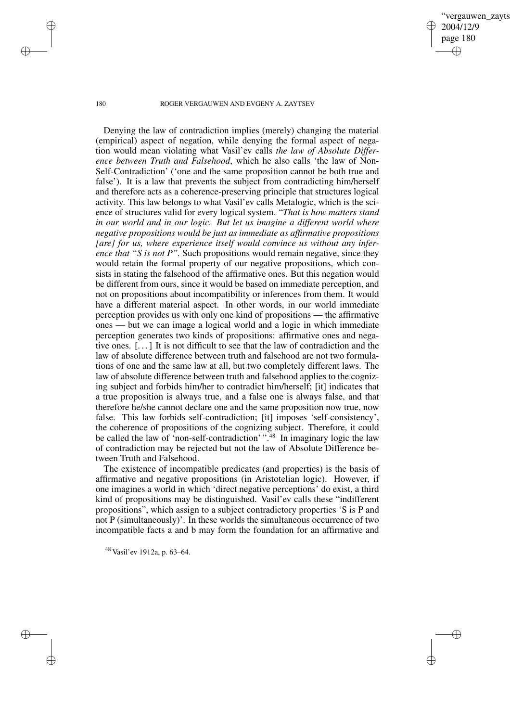vergauwen zayts 2004/12/9 page 180 ✐ ✐

✐

✐

### 180 ROGER VERGAUWEN AND EVGENY A. ZAYTSEV

Denying the law of contradiction implies (merely) changing the material (empirical) aspect of negation, while denying the formal aspect of negation would mean violating what Vasil'ev calls *the law of Absolute Difference between Truth and Falsehood*, which he also calls 'the law of Non-Self-Contradiction' ('one and the same proposition cannot be both true and false'). It is a law that prevents the subject from contradicting him/herself and therefore acts as a coherence-preserving principle that structures logical activity. This law belongs to what Vasil'ev calls Metalogic, which is the science of structures valid for every logical system. "*That is how matters stand in our world and in our logic. But let us imagine a different world where negative propositions would be just as immediate as affirmative propositions [are] for us, where experience itself would convince us without any inference that "S is not P".* Such propositions would remain negative, since they would retain the formal property of our negative propositions, which consists in stating the falsehood of the affirmative ones. But this negation would be different from ours, since it would be based on immediate perception, and not on propositions about incompatibility or inferences from them. It would have a different material aspect. In other words, in our world immediate perception provides us with only one kind of propositions — the affirmative ones — but we can image a logical world and a logic in which immediate perception generates two kinds of propositions: affirmative ones and negative ones. [. . .] It is not difficult to see that the law of contradiction and the law of absolute difference between truth and falsehood are not two formulations of one and the same law at all, but two completely different laws. The law of absolute difference between truth and falsehood applies to the cognizing subject and forbids him/her to contradict him/herself; [it] indicates that a true proposition is always true, and a false one is always false, and that therefore he/she cannot declare one and the same proposition now true, now false. This law forbids self-contradiction; [it] imposes 'self-consistency', the coherence of propositions of the cognizing subject. Therefore, it could be called the law of 'non-self-contradiction' ".<sup>48</sup> In imaginary logic the law of contradiction may be rejected but not the law of Absolute Difference between Truth and Falsehood.

The existence of incompatible predicates (and properties) is the basis of affirmative and negative propositions (in Aristotelian logic). However, if one imagines a world in which 'direct negative perceptions' do exist, a third kind of propositions may be distinguished. Vasil'ev calls these "indifferent propositions", which assign to a subject contradictory properties 'S is P and not P (simultaneously)'. In these worlds the simultaneous occurrence of two incompatible facts a and b may form the foundation for an affirmative and

<sup>48</sup> Vasil'ev 1912a, p. 63–64.

✐

✐

✐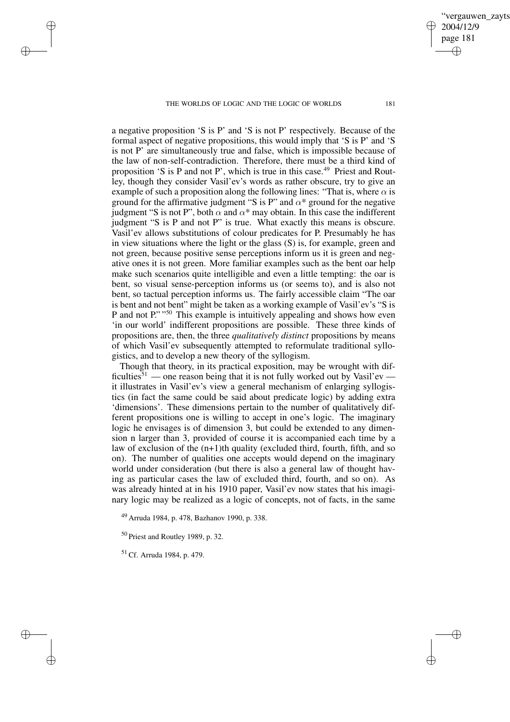a negative proposition 'S is P' and 'S is not P' respectively. Because of the formal aspect of negative propositions, this would imply that 'S is P' and 'S is not P' are simultaneously true and false, which is impossible because of the law of non-self-contradiction. Therefore, there must be a third kind of proposition 'S is P and not P', which is true in this case.<sup>49</sup> Priest and Routley, though they consider Vasil'ev's words as rather obscure, try to give an example of such a proposition along the following lines: "That is, where  $\alpha$  is ground for the affirmative judgment "S is P" and  $\alpha$ \* ground for the negative judgment "S is not P", both  $\alpha$  and  $\alpha^*$  may obtain. In this case the indifferent judgment "S is P and not P" is true. What exactly this means is obscure. Vasil'ev allows substitutions of colour predicates for P. Presumably he has in view situations where the light or the glass (S) is, for example, green and not green, because positive sense perceptions inform us it is green and negative ones it is not green. More familiar examples such as the bent oar help make such scenarios quite intelligible and even a little tempting: the oar is bent, so visual sense-perception informs us (or seems to), and is also not bent, so tactual perception informs us. The fairly accessible claim "The oar is bent and not bent" might be taken as a working example of Vasil'ev's "S is P and not P."<sup>"50</sup> This example is intuitively appealing and shows how even 'in our world' indifferent propositions are possible. These three kinds of propositions are, then, the three *qualitatively distinct* propositions by means of which Vasil'ev subsequently attempted to reformulate traditional syllogistics, and to develop a new theory of the syllogism.

Though that theory, in its practical exposition, may be wrought with difficulties<sup>51</sup> — one reason being that it is not fully worked out by Vasil'ev it illustrates in Vasil'ev's view a general mechanism of enlarging syllogistics (in fact the same could be said about predicate logic) by adding extra 'dimensions'. These dimensions pertain to the number of qualitatively different propositions one is willing to accept in one's logic. The imaginary logic he envisages is of dimension 3, but could be extended to any dimension n larger than 3, provided of course it is accompanied each time by a law of exclusion of the  $(n+1)$ th quality (excluded third, fourth, fifth, and so on). The number of qualities one accepts would depend on the imaginary world under consideration (but there is also a general law of thought having as particular cases the law of excluded third, fourth, and so on). As was already hinted at in his 1910 paper, Vasil'ev now states that his imaginary logic may be realized as a logic of concepts, not of facts, in the same

<sup>49</sup> Arruda 1984, p. 478, Bazhanov 1990, p. 338.

<sup>50</sup> Priest and Routley 1989, p. 32.

<sup>51</sup> Cf. Arruda 1984, p. 479.

✐

✐

✐

✐

✐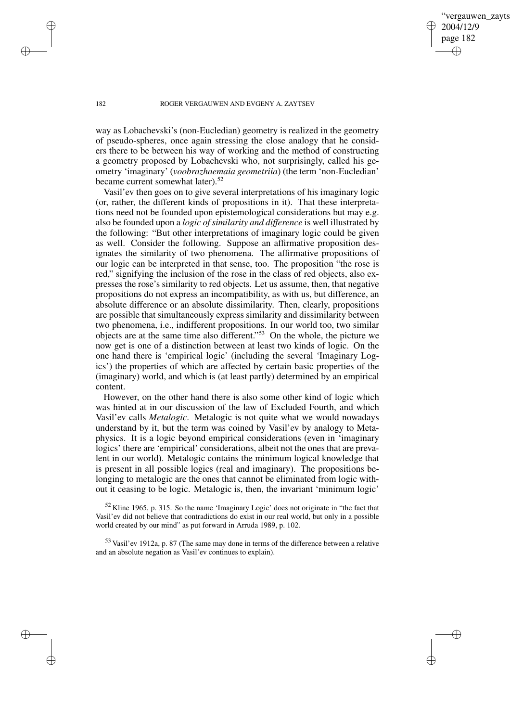ergauwen zayts 2004/12/9 page 182 ✐ ✐

✐

✐

### 182 ROGER VERGAUWEN AND EVGENY A. ZAYTSEV

way as Lobachevski's (non-Eucledian) geometry is realized in the geometry of pseudo-spheres, once again stressing the close analogy that he considers there to be between his way of working and the method of constructing a geometry proposed by Lobachevski who, not surprisingly, called his geometry 'imaginary' (*voobrazhaemaia geometriia*) (the term 'non-Eucledian' became current somewhat later).<sup>52</sup>

Vasil'ev then goes on to give several interpretations of his imaginary logic (or, rather, the different kinds of propositions in it). That these interpretations need not be founded upon epistemological considerations but may e.g. also be founded upon a *logic of similarity and difference* is well illustrated by the following: "But other interpretations of imaginary logic could be given as well. Consider the following. Suppose an affirmative proposition designates the similarity of two phenomena. The affirmative propositions of our logic can be interpreted in that sense, too. The proposition "the rose is red," signifying the inclusion of the rose in the class of red objects, also expresses the rose's similarity to red objects. Let us assume, then, that negative propositions do not express an incompatibility, as with us, but difference, an absolute difference or an absolute dissimilarity. Then, clearly, propositions are possible that simultaneously express similarity and dissimilarity between two phenomena, i.e., indifferent propositions. In our world too, two similar objects are at the same time also different." <sup>53</sup> On the whole, the picture we now get is one of a distinction between at least two kinds of logic. On the one hand there is 'empirical logic' (including the several 'Imaginary Logics') the properties of which are affected by certain basic properties of the (imaginary) world, and which is (at least partly) determined by an empirical content.

However, on the other hand there is also some other kind of logic which was hinted at in our discussion of the law of Excluded Fourth, and which Vasil'ev calls *Metalogic*. Metalogic is not quite what we would nowadays understand by it, but the term was coined by Vasil'ev by analogy to Metaphysics. It is a logic beyond empirical considerations (even in 'imaginary logics' there are 'empirical' considerations, albeit not the ones that are prevalent in our world). Metalogic contains the minimum logical knowledge that is present in all possible logics (real and imaginary). The propositions belonging to metalogic are the ones that cannot be eliminated from logic without it ceasing to be logic. Metalogic is, then, the invariant 'minimum logic'

 $52$  Kline 1965, p. 315. So the name 'Imaginary Logic' does not originate in "the fact that Vasil'ev did not believe that contradictions do exist in our real world, but only in a possible world created by our mind" as put forward in Arruda 1989, p. 102.

<sup>53</sup> Vasil'ev 1912a, p. 87 (The same may done in terms of the difference between a relative and an absolute negation as Vasil'ev continues to explain).

✐

✐

✐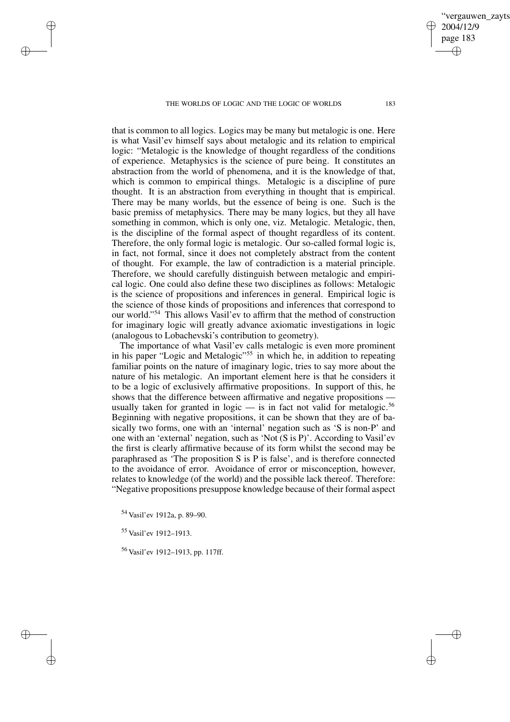vergauwen zavts

2004/12/9 page 183

✐

✐

✐

✐

that is common to all logics. Logics may be many but metalogic is one. Here is what Vasil'ev himself says about metalogic and its relation to empirical logic: "Metalogic is the knowledge of thought regardless of the conditions of experience. Metaphysics is the science of pure being. It constitutes an abstraction from the world of phenomena, and it is the knowledge of that, which is common to empirical things. Metalogic is a discipline of pure thought. It is an abstraction from everything in thought that is empirical. There may be many worlds, but the essence of being is one. Such is the basic premiss of metaphysics. There may be many logics, but they all have something in common, which is only one, viz. Metalogic. Metalogic, then, is the discipline of the formal aspect of thought regardless of its content. Therefore, the only formal logic is metalogic. Our so-called formal logic is, in fact, not formal, since it does not completely abstract from the content of thought. For example, the law of contradiction is a material principle. Therefore, we should carefully distinguish between metalogic and empirical logic. One could also define these two disciplines as follows: Metalogic is the science of propositions and inferences in general. Empirical logic is the science of those kinds of propositions and inferences that correspond to our world." <sup>54</sup> This allows Vasil'ev to affirm that the method of construction for imaginary logic will greatly advance axiomatic investigations in logic (analogous to Lobachevski's contribution to geometry).

The importance of what Vasil'ev calls metalogic is even more prominent in his paper "Logic and Metalogic"<sup>55</sup> in which he, in addition to repeating familiar points on the nature of imaginary logic, tries to say more about the nature of his metalogic. An important element here is that he considers it to be a logic of exclusively affirmative propositions. In support of this, he shows that the difference between affirmative and negative propositions usually taken for granted in logic  $-$  is in fact not valid for metalogic.<sup>56</sup> Beginning with negative propositions, it can be shown that they are of basically two forms, one with an 'internal' negation such as 'S is non-P' and one with an 'external' negation, such as 'Not (S is P)'. According to Vasil'ev the first is clearly affirmative because of its form whilst the second may be paraphrased as 'The proposition S is P is false', and is therefore connected to the avoidance of error. Avoidance of error or misconception, however, relates to knowledge (of the world) and the possible lack thereof. Therefore: "Negative propositions presuppose knowledge because of their formal aspect

<sup>54</sup> Vasil'ev 1912a, p. 89–90.

<sup>55</sup> Vasil'ev 1912–1913.

✐

✐

✐

✐

<sup>56</sup> Vasil'ev 1912–1913, pp. 117ff.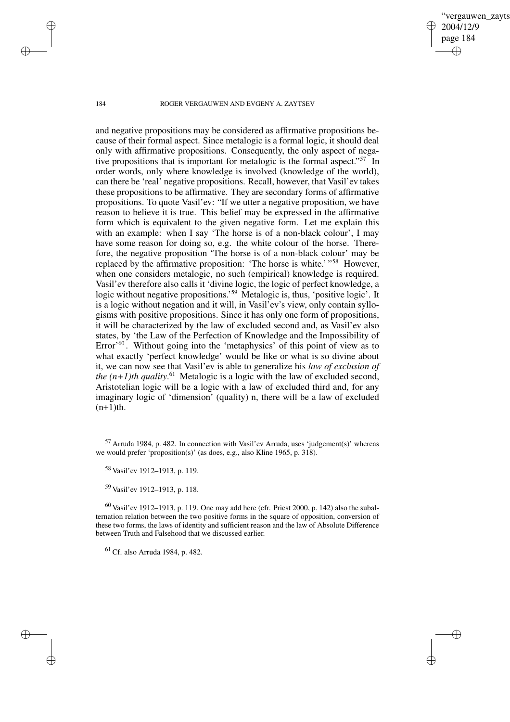✐

184 ROGER VERGAUWEN AND EVGENY A. ZAYTSEV

and negative propositions may be considered as affirmative propositions because of their formal aspect. Since metalogic is a formal logic, it should deal only with affirmative propositions. Consequently, the only aspect of negative propositions that is important for metalogic is the formal aspect." <sup>57</sup> In order words, only where knowledge is involved (knowledge of the world), can there be 'real' negative propositions. Recall, however, that Vasil'ev takes these propositions to be affirmative. They are secondary forms of affirmative propositions. To quote Vasil'ev: "If we utter a negative proposition, we have reason to believe it is true. This belief may be expressed in the affirmative form which is equivalent to the given negative form. Let me explain this with an example: when I say 'The horse is of a non-black colour', I may have some reason for doing so, e.g. the white colour of the horse. Therefore, the negative proposition 'The horse is of a non-black colour' may be replaced by the affirmative proposition: 'The horse is white.' "<sup>58</sup> However, when one considers metalogic, no such (empirical) knowledge is required. Vasil'ev therefore also calls it 'divine logic, the logic of perfect knowledge, a logic without negative propositions.'<sup>59</sup> Metalogic is, thus, 'positive logic'. It is a logic without negation and it will, in Vasil'ev's view, only contain syllogisms with positive propositions. Since it has only one form of propositions, it will be characterized by the law of excluded second and, as Vasil'ev also states, by 'the Law of the Perfection of Knowledge and the Impossibility of Error'<sup>60</sup>. Without going into the 'metaphysics' of this point of view as to what exactly 'perfect knowledge' would be like or what is so divine about it, we can now see that Vasil'ev is able to generalize his *law of exclusion of the (n+1)th quality*. <sup>61</sup> Metalogic is a logic with the law of excluded second, Aristotelian logic will be a logic with a law of excluded third and, for any imaginary logic of 'dimension' (quality) n, there will be a law of excluded  $(n+1)$ th.

 $^{60}$  Vasil'ev 1912–1913, p. 119. One may add here (cfr. Priest 2000, p. 142) also the subalternation relation between the two positive forms in the square of opposition, conversion of these two forms, the laws of identity and sufficient reason and the law of Absolute Difference between Truth and Falsehood that we discussed earlier.

<sup>61</sup> Cf. also Arruda 1984, p. 482.

✐

✐

✐

 $57$  Arruda 1984, p. 482. In connection with Vasil'ev Arruda, uses 'judgement(s)' whereas we would prefer 'proposition(s)' (as does, e.g., also Kline 1965, p. 318).

<sup>58</sup> Vasil'ev 1912–1913, p. 119.

<sup>59</sup> Vasil'ev 1912–1913, p. 118.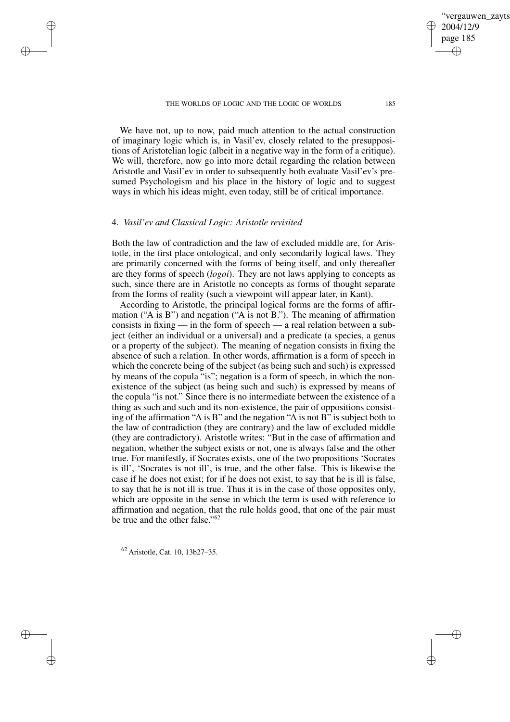We have not, up to now, paid much attention to the actual construction of imaginary logic which is, in Vasil'ev, closely related to the presuppositions of Aristotelian logic (albeit in a negative way in the form of a critique). We will, therefore, now go into more detail regarding the relation between Aristotle and Vasil'ev in order to subsequently both evaluate Vasil'ev's presumed Psychologism and his place in the history of logic and to suggest ways in which his ideas might, even today, still be of critical importance.

## 4. *Vasil'ev and Classical Logic: Aristotle revisited*

✐

✐

✐

✐

Both the law of contradiction and the law of excluded middle are, for Aristotle, in the first place ontological, and only secondarily logical laws. They are primarily concerned with the forms of being itself, and only thereafter are they forms of speech (*logoi*). They are not laws applying to concepts as such, since there are in Aristotle no concepts as forms of thought separate from the forms of reality (such a viewpoint will appear later, in Kant).

According to Aristotle, the principal logical forms are the forms of affirmation ( $(A \text{ is } B)$ ) and negation ( $(A \text{ is not } B)$ ). The meaning of affirmation consists in fixing — in the form of speech — a real relation between a subject (either an individual or a universal) and a predicate (a species, a genus or a property of the subject). The meaning of negation consists in fixing the absence of such a relation. In other words, affirmation is a form of speech in which the concrete being of the subject (as being such and such) is expressed by means of the copula "is"; negation is a form of speech, in which the nonexistence of the subject (as being such and such) is expressed by means of the copula "is not." Since there is no intermediate between the existence of a thing as such and such and its non-existence, the pair of oppositions consisting of the affirmation "A is B" and the negation "A is not B" is subject both to the law of contradiction (they are contrary) and the law of excluded middle (they are contradictory). Aristotle writes: "But in the case of affirmation and negation, whether the subject exists or not, one is always false and the other true. For manifestly, if Socrates exists, one of the two propositions 'Socrates is ill', 'Socrates is not ill', is true, and the other false. This is likewise the case if he does not exist; for if he does not exist, to say that he is ill is false, to say that he is not ill is true. Thus it is in the case of those opposites only, which are opposite in the sense in which the term is used with reference to affirmation and negation, that the rule holds good, that one of the pair must be true and the other false."<sup>62</sup>

<sup>62</sup> Aristotle, Cat. 10, 13b27–35.

✐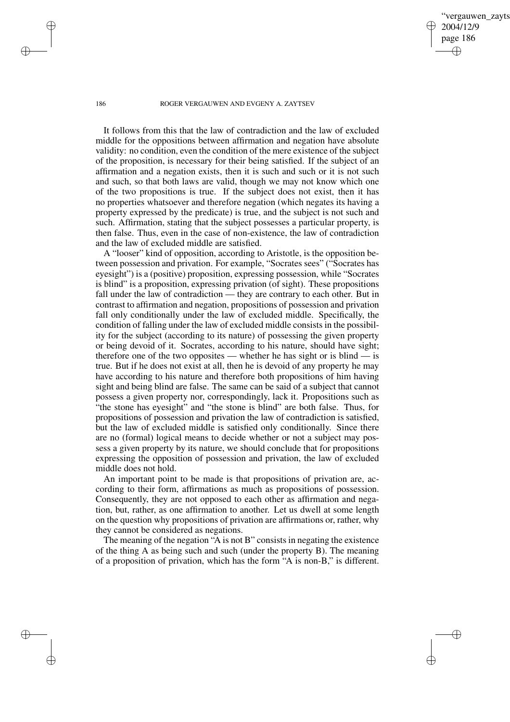vergauwen zavts 2004/12/9 page 186 ✐ ✐

✐

✐

#### 186 ROGER VERGAUWEN AND EVGENY A. ZAYTSEV

It follows from this that the law of contradiction and the law of excluded middle for the oppositions between affirmation and negation have absolute validity: no condition, even the condition of the mere existence of the subject of the proposition, is necessary for their being satisfied. If the subject of an affirmation and a negation exists, then it is such and such or it is not such and such, so that both laws are valid, though we may not know which one of the two propositions is true. If the subject does not exist, then it has no properties whatsoever and therefore negation (which negates its having a property expressed by the predicate) is true, and the subject is not such and such. Affirmation, stating that the subject possesses a particular property, is then false. Thus, even in the case of non-existence, the law of contradiction and the law of excluded middle are satisfied.

A "looser" kind of opposition, according to Aristotle, is the opposition between possession and privation. For example, "Socrates sees" ("Socrates has eyesight") is a (positive) proposition, expressing possession, while "Socrates is blind" is a proposition, expressing privation (of sight). These propositions fall under the law of contradiction — they are contrary to each other. But in contrast to affirmation and negation, propositions of possession and privation fall only conditionally under the law of excluded middle. Specifically, the condition of falling under the law of excluded middle consists in the possibility for the subject (according to its nature) of possessing the given property or being devoid of it. Socrates, according to his nature, should have sight; therefore one of the two opposites — whether he has sight or is blind — is true. But if he does not exist at all, then he is devoid of any property he may have according to his nature and therefore both propositions of him having sight and being blind are false. The same can be said of a subject that cannot possess a given property nor, correspondingly, lack it. Propositions such as "the stone has eyesight" and "the stone is blind" are both false. Thus, for propositions of possession and privation the law of contradiction is satisfied, but the law of excluded middle is satisfied only conditionally. Since there are no (formal) logical means to decide whether or not a subject may possess a given property by its nature, we should conclude that for propositions expressing the opposition of possession and privation, the law of excluded middle does not hold.

An important point to be made is that propositions of privation are, according to their form, affirmations as much as propositions of possession. Consequently, they are not opposed to each other as affirmation and negation, but, rather, as one affirmation to another. Let us dwell at some length on the question why propositions of privation are affirmations or, rather, why they cannot be considered as negations.

The meaning of the negation "A is not B" consists in negating the existence of the thing A as being such and such (under the property B). The meaning of a proposition of privation, which has the form "A is non-B," is different.

✐

✐

✐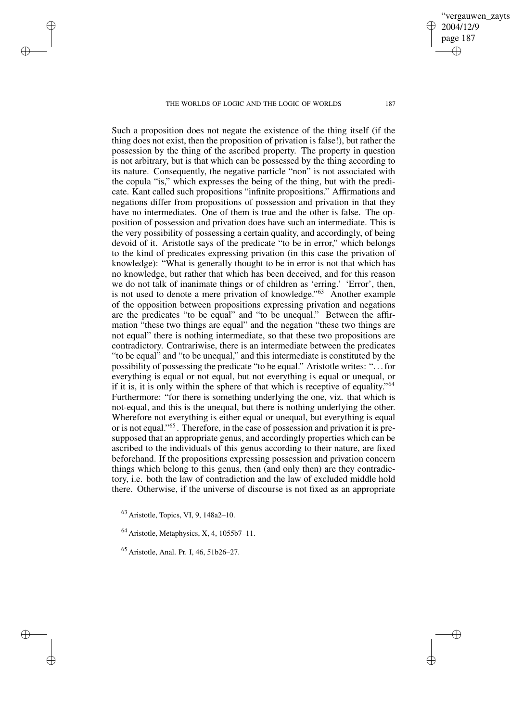✐

✐

✐

✐

vergauwen zavts

2004/12/9 page 187

✐

✐

✐

✐

Such a proposition does not negate the existence of the thing itself (if the thing does not exist, then the proposition of privation is false!), but rather the possession by the thing of the ascribed property. The property in question is not arbitrary, but is that which can be possessed by the thing according to its nature. Consequently, the negative particle "non" is not associated with the copula "is," which expresses the being of the thing, but with the predicate. Kant called such propositions "infinite propositions." Affirmations and negations differ from propositions of possession and privation in that they have no intermediates. One of them is true and the other is false. The opposition of possession and privation does have such an intermediate. This is the very possibility of possessing a certain quality, and accordingly, of being devoid of it. Aristotle says of the predicate "to be in error," which belongs to the kind of predicates expressing privation (in this case the privation of knowledge): "What is generally thought to be in error is not that which has no knowledge, but rather that which has been deceived, and for this reason we do not talk of inanimate things or of children as 'erring.' 'Error', then, is not used to denote a mere privation of knowledge."<sup>63</sup> Another example of the opposition between propositions expressing privation and negations are the predicates "to be equal" and "to be unequal." Between the affirmation "these two things are equal" and the negation "these two things are not equal" there is nothing intermediate, so that these two propositions are contradictory. Contrariwise, there is an intermediate between the predicates "to be equal" and "to be unequal," and this intermediate is constituted by the possibility of possessing the predicate "to be equal." Aristotle writes: ". . .for everything is equal or not equal, but not everything is equal or unequal, or if it is, it is only within the sphere of that which is receptive of equality."<sup>64</sup> Furthermore: "for there is something underlying the one, viz. that which is not-equal, and this is the unequal, but there is nothing underlying the other. Wherefore not everything is either equal or unequal, but everything is equal or is not equal." 65 . Therefore, in the case of possession and privation it is presupposed that an appropriate genus, and accordingly properties which can be ascribed to the individuals of this genus according to their nature, are fixed beforehand. If the propositions expressing possession and privation concern things which belong to this genus, then (and only then) are they contradictory, i.e. both the law of contradiction and the law of excluded middle hold there. Otherwise, if the universe of discourse is not fixed as an appropriate

<sup>63</sup> Aristotle, Topics, VI, 9, 148a2–10.

 $64$  Aristotle, Metaphysics, X, 4, 1055b7-11.

<sup>65</sup> Aristotle, Anal. Pr. I, 46, 51b26–27.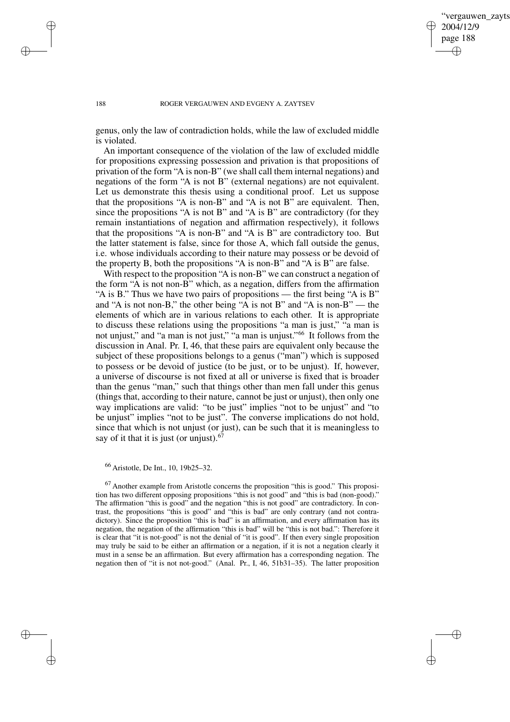✐

#### 188 ROGER VERGAUWEN AND EVGENY A. ZAYTSEV

genus, only the law of contradiction holds, while the law of excluded middle is violated.

An important consequence of the violation of the law of excluded middle for propositions expressing possession and privation is that propositions of privation of the form "A is non-B" (we shall call them internal negations) and negations of the form "A is not B" (external negations) are not equivalent. Let us demonstrate this thesis using a conditional proof. Let us suppose that the propositions "A is non-B" and "A is not B" are equivalent. Then, since the propositions "A is not B" and "A is B" are contradictory (for they remain instantiations of negation and affirmation respectively), it follows that the propositions "A is non-B" and "A is B" are contradictory too. But the latter statement is false, since for those A, which fall outside the genus, i.e. whose individuals according to their nature may possess or be devoid of the property B, both the propositions "A is non-B" and "A is B" are false.

With respect to the proposition "A is non-B" we can construct a negation of the form "A is not non-B" which, as a negation, differs from the affirmation "A is B." Thus we have two pairs of propositions — the first being "A is B" and "A is not non-B," the other being "A is not B" and "A is non-B" — the elements of which are in various relations to each other. It is appropriate to discuss these relations using the propositions "a man is just," "a man is not unjust," and "a man is not just," "a man is unjust." <sup>66</sup> It follows from the discussion in Anal. Pr. I, 46, that these pairs are equivalent only because the subject of these propositions belongs to a genus ("man") which is supposed to possess or be devoid of justice (to be just, or to be unjust). If, however, a universe of discourse is not fixed at all or universe is fixed that is broader than the genus "man," such that things other than men fall under this genus (things that, according to their nature, cannot be just or unjust), then only one way implications are valid: "to be just" implies "not to be unjust" and "to be unjust" implies "not to be just". The converse implications do not hold, since that which is not unjust (or just), can be such that it is meaningless to say of it that it is just (or unjust). $67$ 

 $67$  Another example from Aristotle concerns the proposition "this is good." This proposition has two different opposing propositions "this is not good" and "this is bad (non-good)." The affirmation "this is good" and the negation "this is not good" are contradictory. In contrast, the propositions "this is good" and "this is bad" are only contrary (and not contradictory). Since the proposition "this is bad" is an affirmation, and every affirmation has its negation, the negation of the affirmation "this is bad" will be "this is not bad.": Therefore it is clear that "it is not-good" is not the denial of "it is good". If then every single proposition may truly be said to be either an affirmation or a negation, if it is not a negation clearly it must in a sense be an affirmation. But every affirmation has a corresponding negation. The negation then of "it is not not-good." (Anal. Pr., I, 46, 51b31–35). The latter proposition

✐

✐

✐

<sup>66</sup> Aristotle, De Int., 10, 19b25–32.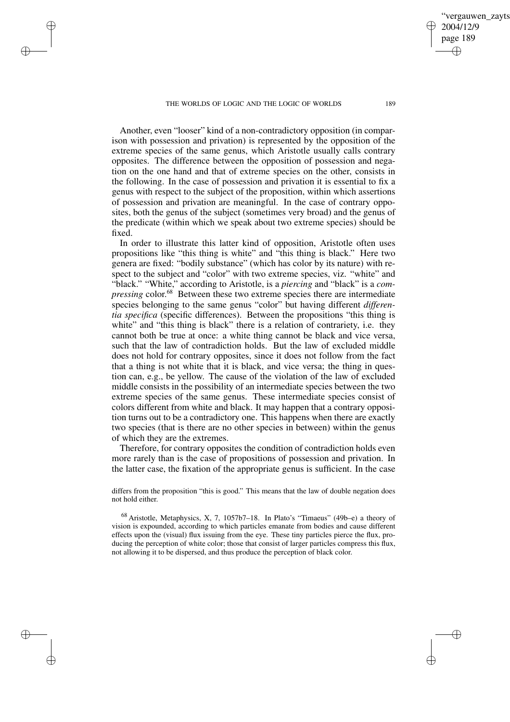✐

✐

✐

✐

Another, even "looser" kind of a non-contradictory opposition (in comparison with possession and privation) is represented by the opposition of the extreme species of the same genus, which Aristotle usually calls contrary opposites. The difference between the opposition of possession and negation on the one hand and that of extreme species on the other, consists in the following. In the case of possession and privation it is essential to fix a genus with respect to the subject of the proposition, within which assertions of possession and privation are meaningful. In the case of contrary opposites, both the genus of the subject (sometimes very broad) and the genus of the predicate (within which we speak about two extreme species) should be fixed.

In order to illustrate this latter kind of opposition, Aristotle often uses propositions like "this thing is white" and "this thing is black." Here two genera are fixed: "bodily substance" (which has color by its nature) with respect to the subject and "color" with two extreme species, viz. "white" and "black." "White," according to Aristotle, is a *piercing* and "black" is a *compressing* color. <sup>68</sup> Between these two extreme species there are intermediate species belonging to the same genus "color" but having different *differentia specifica* (specific differences). Between the propositions "this thing is white" and "this thing is black" there is a relation of contrariety, i.e. they cannot both be true at once: a white thing cannot be black and vice versa, such that the law of contradiction holds. But the law of excluded middle does not hold for contrary opposites, since it does not follow from the fact that a thing is not white that it is black, and vice versa; the thing in question can, e.g., be yellow. The cause of the violation of the law of excluded middle consists in the possibility of an intermediate species between the two extreme species of the same genus. These intermediate species consist of colors different from white and black. It may happen that a contrary opposition turns out to be a contradictory one. This happens when there are exactly two species (that is there are no other species in between) within the genus of which they are the extremes.

Therefore, for contrary opposites the condition of contradiction holds even more rarely than is the case of propositions of possession and privation. In the latter case, the fixation of the appropriate genus is sufficient. In the case

differs from the proposition "this is good." This means that the law of double negation does not hold either.

<sup>68</sup> Aristotle, Metaphysics, X, 7, 1057b7–18. In Plato's "Timaeus" (49b–e) a theory of vision is expounded, according to which particles emanate from bodies and cause different effects upon the (visual) flux issuing from the eye. These tiny particles pierce the flux, producing the perception of white color; those that consist of larger particles compress this flux, not allowing it to be dispersed, and thus produce the perception of black color.

✐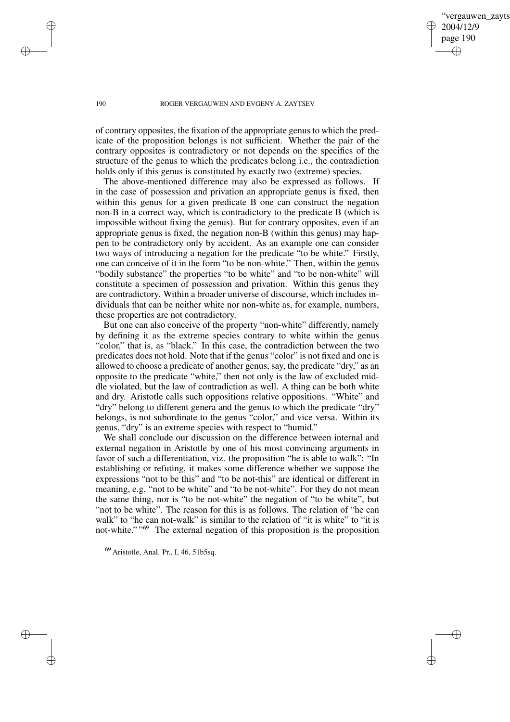vergauwen zavts 2004/12/9 page 190 ✐ ✐

✐

✐

#### 190 ROGER VERGAUWEN AND EVGENY A. ZAYTSEV

of contrary opposites, the fixation of the appropriate genus to which the predicate of the proposition belongs is not sufficient. Whether the pair of the contrary opposites is contradictory or not depends on the specifics of the structure of the genus to which the predicates belong i.e., the contradiction holds only if this genus is constituted by exactly two (extreme) species.

The above-mentioned difference may also be expressed as follows. If in the case of possession and privation an appropriate genus is fixed, then within this genus for a given predicate B one can construct the negation non-B in a correct way, which is contradictory to the predicate B (which is impossible without fixing the genus). But for contrary opposites, even if an appropriate genus is fixed, the negation non-B (within this genus) may happen to be contradictory only by accident. As an example one can consider two ways of introducing a negation for the predicate "to be white." Firstly, one can conceive of it in the form "to be non-white." Then, within the genus "bodily substance" the properties "to be white" and "to be non-white" will constitute a specimen of possession and privation. Within this genus they are contradictory. Within a broader universe of discourse, which includes individuals that can be neither white nor non-white as, for example, numbers, these properties are not contradictory.

But one can also conceive of the property "non-white" differently, namely by defining it as the extreme species contrary to white within the genus "color," that is, as "black." In this case, the contradiction between the two predicates does not hold. Note that if the genus "color" is not fixed and one is allowed to choose a predicate of another genus, say, the predicate "dry," as an opposite to the predicate "white," then not only is the law of excluded middle violated, but the law of contradiction as well. A thing can be both white and dry. Aristotle calls such oppositions relative oppositions. "White" and "dry" belong to different genera and the genus to which the predicate "dry" belongs, is not subordinate to the genus "color," and vice versa. Within its genus, "dry" is an extreme species with respect to "humid."

We shall conclude our discussion on the difference between internal and external negation in Aristotle by one of his most convincing arguments in favor of such a differentiation, viz. the proposition "he is able to walk": "In establishing or refuting, it makes some difference whether we suppose the expressions "not to be this" and "to be not-this" are identical or different in meaning, e.g. "not to be white" and "to be not-white". For they do not mean the same thing, nor is "to be not-white" the negation of "to be white", but "not to be white". The reason for this is as follows. The relation of "he can walk" to "he can not-walk" is similar to the relation of "it is white" to "it is not-white." " <sup>69</sup> The external negation of this proposition is the proposition

<sup>69</sup> Aristotle, Anal. Pr., I, 46, 51b5sq.

✐

✐

✐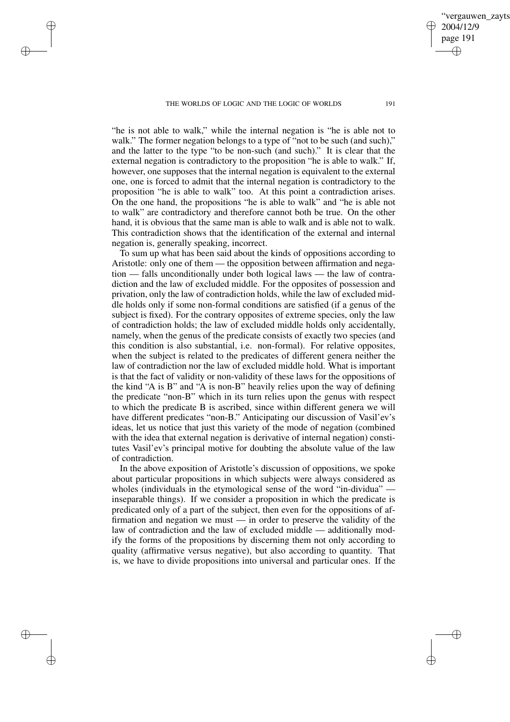✐

✐

✐

✐

"he is not able to walk," while the internal negation is "he is able not to walk." The former negation belongs to a type of "not to be such (and such)," and the latter to the type "to be non-such (and such)." It is clear that the external negation is contradictory to the proposition "he is able to walk." If, however, one supposes that the internal negation is equivalent to the external one, one is forced to admit that the internal negation is contradictory to the proposition "he is able to walk" too. At this point a contradiction arises. On the one hand, the propositions "he is able to walk" and "he is able not to walk" are contradictory and therefore cannot both be true. On the other hand, it is obvious that the same man is able to walk and is able not to walk. This contradiction shows that the identification of the external and internal negation is, generally speaking, incorrect.

To sum up what has been said about the kinds of oppositions according to Aristotle: only one of them — the opposition between affirmation and negation — falls unconditionally under both logical laws — the law of contradiction and the law of excluded middle. For the opposites of possession and privation, only the law of contradiction holds, while the law of excluded middle holds only if some non-formal conditions are satisfied (if a genus of the subject is fixed). For the contrary opposites of extreme species, only the law of contradiction holds; the law of excluded middle holds only accidentally, namely, when the genus of the predicate consists of exactly two species (and this condition is also substantial, i.e. non-formal). For relative opposites, when the subject is related to the predicates of different genera neither the law of contradiction nor the law of excluded middle hold. What is important is that the fact of validity or non-validity of these laws for the oppositions of the kind "A is B" and "A is non-B" heavily relies upon the way of defining the predicate "non-B" which in its turn relies upon the genus with respect to which the predicate B is ascribed, since within different genera we will have different predicates "non-B." Anticipating our discussion of Vasil'ev's ideas, let us notice that just this variety of the mode of negation (combined with the idea that external negation is derivative of internal negation) constitutes Vasil'ev's principal motive for doubting the absolute value of the law of contradiction.

In the above exposition of Aristotle's discussion of oppositions, we spoke about particular propositions in which subjects were always considered as wholes (individuals in the etymological sense of the word "in-dividua" inseparable things). If we consider a proposition in which the predicate is predicated only of a part of the subject, then even for the oppositions of affirmation and negation we must — in order to preserve the validity of the law of contradiction and the law of excluded middle — additionally modify the forms of the propositions by discerning them not only according to quality (affirmative versus negative), but also according to quantity. That is, we have to divide propositions into universal and particular ones. If the

vergauwen zayts

2004/12/9 page 191

✐

✐

✐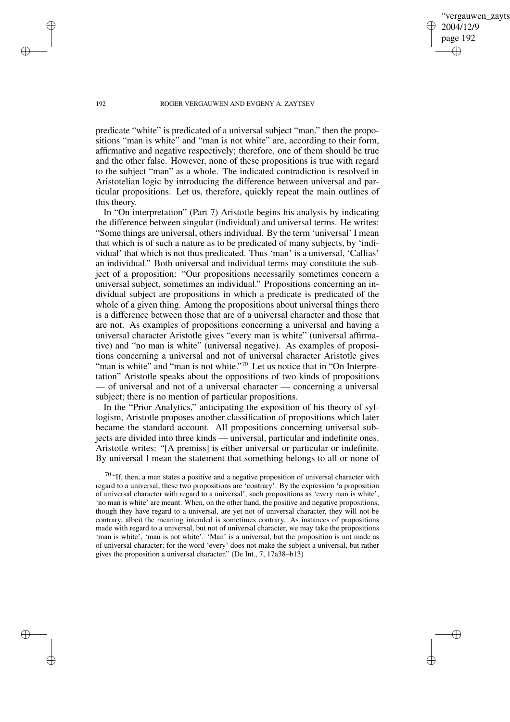vergauwen zavts 2004/12/9 page 192 ✐ ✐

✐

✐

#### 192 ROGER VERGAUWEN AND EVGENY A. ZAYTSEV

predicate "white" is predicated of a universal subject "man," then the propositions "man is white" and "man is not white" are, according to their form, affirmative and negative respectively; therefore, one of them should be true and the other false. However, none of these propositions is true with regard to the subject "man" as a whole. The indicated contradiction is resolved in Aristotelian logic by introducing the difference between universal and particular propositions. Let us, therefore, quickly repeat the main outlines of this theory.

In "On interpretation" (Part 7) Aristotle begins his analysis by indicating the difference between singular (individual) and universal terms. He writes: "Some things are universal, others individual. By the term 'universal' I mean that which is of such a nature as to be predicated of many subjects, by 'individual' that which is not thus predicated. Thus 'man' is a universal, 'Callias' an individual." Both universal and individual terms may constitute the subject of a proposition: "Our propositions necessarily sometimes concern a universal subject, sometimes an individual." Propositions concerning an individual subject are propositions in which a predicate is predicated of the whole of a given thing. Among the propositions about universal things there is a difference between those that are of a universal character and those that are not. As examples of propositions concerning a universal and having a universal character Aristotle gives "every man is white" (universal affirmative) and "no man is white" (universal negative). As examples of propositions concerning a universal and not of universal character Aristotle gives "man is white" and "man is not white."<sup>70</sup> Let us notice that in "On Interpretation" Aristotle speaks about the oppositions of two kinds of propositions — of universal and not of a universal character — concerning a universal subject; there is no mention of particular propositions.

In the "Prior Analytics," anticipating the exposition of his theory of syllogism, Aristotle proposes another classification of propositions which later became the standard account. All propositions concerning universal subjects are divided into three kinds — universal, particular and indefinite ones. Aristotle writes: "[A premiss] is either universal or particular or indefinite. By universal I mean the statement that something belongs to all or none of

✐

✐

✐

 $70$  "If, then, a man states a positive and a negative proposition of universal character with regard to a universal, these two propositions are 'contrary'. By the expression 'a proposition of universal character with regard to a universal', such propositions as 'every man is white', 'no man is white' are meant. When, on the other hand, the positive and negative propositions, though they have regard to a universal, are yet not of universal character, they will not be contrary, albeit the meaning intended is sometimes contrary. As instances of propositions made with regard to a universal, but not of universal character, we may take the propositions 'man is white', 'man is not white'. 'Man' is a universal, but the proposition is not made as of universal character; for the word 'every' does not make the subject a universal, but rather gives the proposition a universal character." (De Int., 7, 17a38–b13)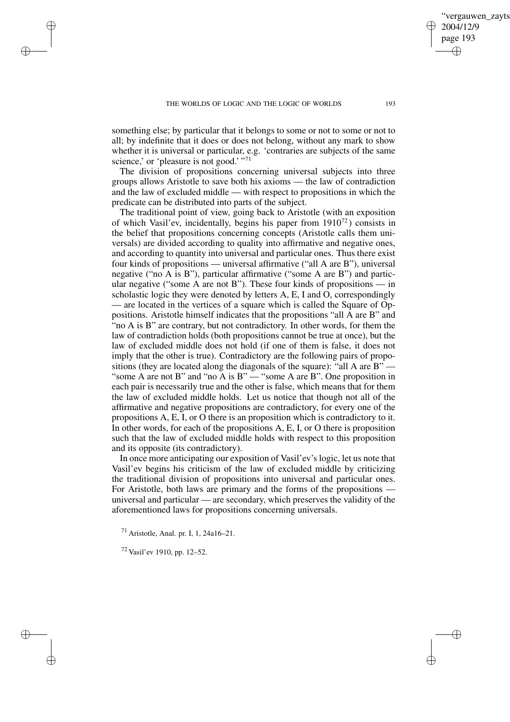something else; by particular that it belongs to some or not to some or not to all; by indefinite that it does or does not belong, without any mark to show whether it is universal or particular, e.g. 'contraries are subjects of the same science,' or 'pleasure is not good.' "71

The division of propositions concerning universal subjects into three groups allows Aristotle to save both his axioms — the law of contradiction and the law of excluded middle — with respect to propositions in which the predicate can be distributed into parts of the subject.

The traditional point of view, going back to Aristotle (with an exposition of which Vasil'ev, incidentally, begins his paper from 1910<sup>72</sup> ) consists in the belief that propositions concerning concepts (Aristotle calls them universals) are divided according to quality into affirmative and negative ones, and according to quantity into universal and particular ones. Thus there exist four kinds of propositions — universal affirmative ("all A are B"), universal negative ("no A is B"), particular affirmative ("some A are B") and particular negative ("some A are not B"). These four kinds of propositions — in scholastic logic they were denoted by letters A, E, I and O, correspondingly — are located in the vertices of a square which is called the Square of Oppositions. Aristotle himself indicates that the propositions "all A are B" and "no A is B" are contrary, but not contradictory. In other words, for them the law of contradiction holds (both propositions cannot be true at once), but the law of excluded middle does not hold (if one of them is false, it does not imply that the other is true). Contradictory are the following pairs of propositions (they are located along the diagonals of the square): "all A are B" — "some A are not B" and "no A is B" — "some A are B". One proposition in each pair is necessarily true and the other is false, which means that for them the law of excluded middle holds. Let us notice that though not all of the affirmative and negative propositions are contradictory, for every one of the propositions A, E, I, or O there is an proposition which is contradictory to it. In other words, for each of the propositions A, E, I, or O there is proposition such that the law of excluded middle holds with respect to this proposition and its opposite (its contradictory).

In once more anticipating our exposition of Vasil'ev's logic, let us note that Vasil'ev begins his criticism of the law of excluded middle by criticizing the traditional division of propositions into universal and particular ones. For Aristotle, both laws are primary and the forms of the propositions universal and particular — are secondary, which preserves the validity of the aforementioned laws for propositions concerning universals.

<sup>71</sup> Aristotle, Anal. pr. I, 1, 24a16–21.

<sup>72</sup> Vasil'ev 1910, pp. 12–52.

✐

✐

✐

✐

vergauwen zavts

2004/12/9 page 193

✐

✐

✐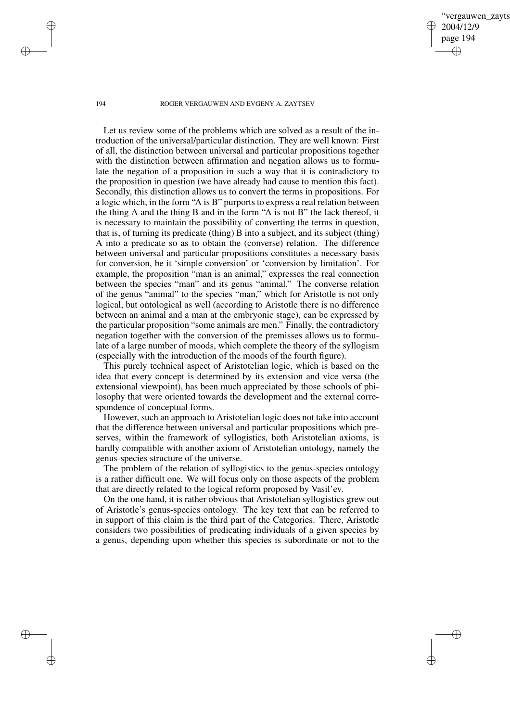vergauwen zavts 2004/12/9 page 194 ✐ ✐

✐

✐

#### 194 ROGER VERGAUWEN AND EVGENY A. ZAYTSEV

Let us review some of the problems which are solved as a result of the introduction of the universal/particular distinction. They are well known: First of all, the distinction between universal and particular propositions together with the distinction between affirmation and negation allows us to formulate the negation of a proposition in such a way that it is contradictory to the proposition in question (we have already had cause to mention this fact). Secondly, this distinction allows us to convert the terms in propositions. For a logic which, in the form "A is B" purports to express a real relation between the thing A and the thing B and in the form "A is not B" the lack thereof, it is necessary to maintain the possibility of converting the terms in question, that is, of turning its predicate (thing) B into a subject, and its subject (thing) A into a predicate so as to obtain the (converse) relation. The difference between universal and particular propositions constitutes a necessary basis for conversion, be it 'simple conversion' or 'conversion by limitation'. For example, the proposition "man is an animal," expresses the real connection between the species "man" and its genus "animal." The converse relation of the genus "animal" to the species "man," which for Aristotle is not only logical, but ontological as well (according to Aristotle there is no difference between an animal and a man at the embryonic stage), can be expressed by the particular proposition "some animals are men." Finally, the contradictory negation together with the conversion of the premisses allows us to formulate of a large number of moods, which complete the theory of the syllogism (especially with the introduction of the moods of the fourth figure).

This purely technical aspect of Aristotelian logic, which is based on the idea that every concept is determined by its extension and vice versa (the extensional viewpoint), has been much appreciated by those schools of philosophy that were oriented towards the development and the external correspondence of conceptual forms.

However, such an approach to Aristotelian logic does not take into account that the difference between universal and particular propositions which preserves, within the framework of syllogistics, both Aristotelian axioms, is hardly compatible with another axiom of Aristotelian ontology, namely the genus-species structure of the universe.

The problem of the relation of syllogistics to the genus-species ontology is a rather difficult one. We will focus only on those aspects of the problem that are directly related to the logical reform proposed by Vasil'ev.

On the one hand, it is rather obvious that Aristotelian syllogistics grew out of Aristotle's genus-species ontology. The key text that can be referred to in support of this claim is the third part of the Categories. There, Aristotle considers two possibilities of predicating individuals of a given species by a genus, depending upon whether this species is subordinate or not to the

✐

✐

✐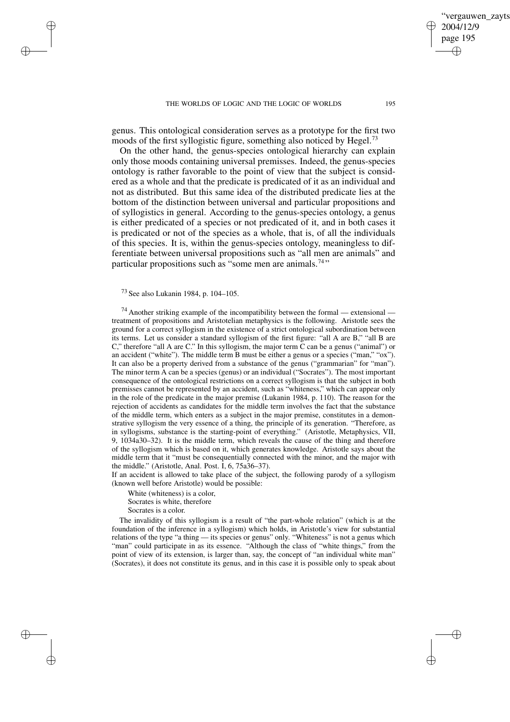genus. This ontological consideration serves as a prototype for the first two moods of the first syllogistic figure, something also noticed by Hegel.<sup>73</sup>

On the other hand, the genus-species ontological hierarchy can explain only those moods containing universal premisses. Indeed, the genus-species ontology is rather favorable to the point of view that the subject is considered as a whole and that the predicate is predicated of it as an individual and not as distributed. But this same idea of the distributed predicate lies at the bottom of the distinction between universal and particular propositions and of syllogistics in general. According to the genus-species ontology, a genus is either predicated of a species or not predicated of it, and in both cases it is predicated or not of the species as a whole, that is, of all the individuals of this species. It is, within the genus-species ontology, meaningless to differentiate between universal propositions such as "all men are animals" and particular propositions such as "some men are animals.<sup>74</sup>"

<sup>73</sup> See also Lukanin 1984, p. 104–105.

✐

✐

✐

✐

 $^{74}$  Another striking example of the incompatibility between the formal — extensional treatment of propositions and Aristotelian metaphysics is the following. Aristotle sees the ground for a correct syllogism in the existence of a strict ontological subordination between its terms. Let us consider a standard syllogism of the first figure: "all A are B," "all B are C," therefore "all A are C." In this syllogism, the major term C can be a genus ("animal") or an accident ("white"). The middle term B must be either a genus or a species ("man," "ox"). It can also be a property derived from a substance of the genus ("grammarian" for "man"). The minor term A can be a species (genus) or an individual ("Socrates"). The most important consequence of the ontological restrictions on a correct syllogism is that the subject in both premisses cannot be represented by an accident, such as "whiteness," which can appear only in the role of the predicate in the major premise (Lukanin 1984, p. 110). The reason for the rejection of accidents as candidates for the middle term involves the fact that the substance of the middle term, which enters as a subject in the major premise, constitutes in a demonstrative syllogism the very essence of a thing, the principle of its generation. "Therefore, as in syllogisms, substance is the starting-point of everything." (Aristotle, Metaphysics, VII, 9, 1034a30–32). It is the middle term, which reveals the cause of the thing and therefore of the syllogism which is based on it, which generates knowledge. Aristotle says about the middle term that it "must be consequentially connected with the minor, and the major with the middle." (Aristotle, Anal. Post. I, 6, 75a36–37).

If an accident is allowed to take place of the subject, the following parody of a syllogism (known well before Aristotle) would be possible:

White (whiteness) is a color,

Socrates is white, therefore

Socrates is a color.

The invalidity of this syllogism is a result of "the part-whole relation" (which is at the foundation of the inference in a syllogism) which holds, in Aristotle's view for substantial relations of the type "a thing — its species or genus" only. "Whiteness" is not a genus which "man" could participate in as its essence. "Although the class of "white things," from the point of view of its extension, is larger than, say, the concept of "an individual white man" (Socrates), it does not constitute its genus, and in this case it is possible only to speak about

vergauwen zavts

2004/12/9 page 195

✐

✐

✐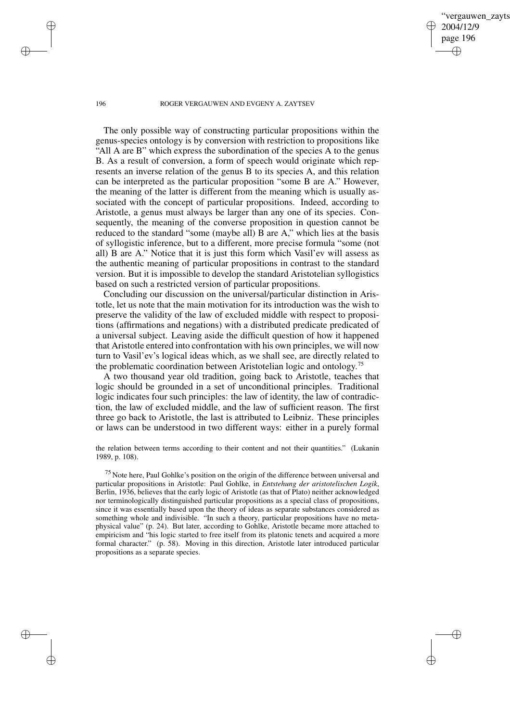ergauwen zayts 2004/12/9 page 196 ✐ ✐

✐

✐

#### 196 ROGER VERGAUWEN AND EVGENY A. ZAYTSEV

The only possible way of constructing particular propositions within the genus-species ontology is by conversion with restriction to propositions like "All A are B" which express the subordination of the species A to the genus B. As a result of conversion, a form of speech would originate which represents an inverse relation of the genus B to its species A, and this relation can be interpreted as the particular proposition "some B are A." However, the meaning of the latter is different from the meaning which is usually associated with the concept of particular propositions. Indeed, according to Aristotle, a genus must always be larger than any one of its species. Consequently, the meaning of the converse proposition in question cannot be reduced to the standard "some (maybe all) B are A," which lies at the basis of syllogistic inference, but to a different, more precise formula "some (not all) B are A." Notice that it is just this form which Vasil'ev will assess as the authentic meaning of particular propositions in contrast to the standard version. But it is impossible to develop the standard Aristotelian syllogistics based on such a restricted version of particular propositions.

Concluding our discussion on the universal/particular distinction in Aristotle, let us note that the main motivation for its introduction was the wish to preserve the validity of the law of excluded middle with respect to propositions (affirmations and negations) with a distributed predicate predicated of a universal subject. Leaving aside the difficult question of how it happened that Aristotle entered into confrontation with his own principles, we will now turn to Vasil'ev's logical ideas which, as we shall see, are directly related to the problematic coordination between Aristotelian logic and ontology.<sup>75</sup>

A two thousand year old tradition, going back to Aristotle, teaches that logic should be grounded in a set of unconditional principles. Traditional logic indicates four such principles: the law of identity, the law of contradiction, the law of excluded middle, and the law of sufficient reason. The first three go back to Aristotle, the last is attributed to Leibniz. These principles or laws can be understood in two different ways: either in a purely formal

the relation between terms according to their content and not their quantities." (Lukanin 1989, p. 108).

<sup>75</sup> Note here, Paul Gohlke's position on the origin of the difference between universal and particular propositions in Aristotle: Paul Gohlke, in *Entstehung der aristotelischen Logik*, Berlin, 1936, believes that the early logic of Aristotle (as that of Plato) neither acknowledged nor terminologically distinguished particular propositions as a special class of propositions, since it was essentially based upon the theory of ideas as separate substances considered as something whole and indivisible. "In such a theory, particular propositions have no metaphysical value" (p. 24). But later, according to Gohlke, Aristotle became more attached to empiricism and "his logic started to free itself from its platonic tenets and acquired a more formal character." (p. 58). Moving in this direction, Aristotle later introduced particular propositions as a separate species.

✐

✐

✐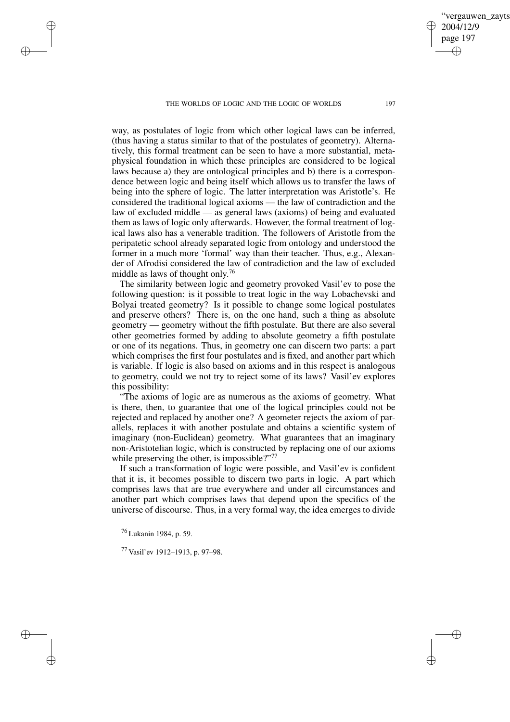way, as postulates of logic from which other logical laws can be inferred. (thus having a status similar to that of the postulates of geometry). Alternatively, this formal treatment can be seen to have a more substantial, metaphysical foundation in which these principles are considered to be logical laws because a) they are ontological principles and b) there is a correspondence between logic and being itself which allows us to transfer the laws of being into the sphere of logic. The latter interpretation was Aristotle's. He considered the traditional logical axioms — the law of contradiction and the law of excluded middle — as general laws (axioms) of being and evaluated them as laws of logic only afterwards. However, the formal treatment of logical laws also has a venerable tradition. The followers of Aristotle from the peripatetic school already separated logic from ontology and understood the former in a much more 'formal' way than their teacher. Thus, e.g., Alexander of Afrodisi considered the law of contradiction and the law of excluded middle as laws of thought only. 76

The similarity between logic and geometry provoked Vasil'ev to pose the following question: is it possible to treat logic in the way Lobachevski and Bolyai treated geometry? Is it possible to change some logical postulates and preserve others? There is, on the one hand, such a thing as absolute geometry — geometry without the fifth postulate. But there are also several other geometries formed by adding to absolute geometry a fifth postulate or one of its negations. Thus, in geometry one can discern two parts: a part which comprises the first four postulates and is fixed, and another part which is variable. If logic is also based on axioms and in this respect is analogous to geometry, could we not try to reject some of its laws? Vasil'ev explores this possibility:

"The axioms of logic are as numerous as the axioms of geometry. What is there, then, to guarantee that one of the logical principles could not be rejected and replaced by another one? A geometer rejects the axiom of parallels, replaces it with another postulate and obtains a scientific system of imaginary (non-Euclidean) geometry. What guarantees that an imaginary non-Aristotelian logic, which is constructed by replacing one of our axioms while preserving the other, is impossible?"<sup>77</sup>

If such a transformation of logic were possible, and Vasil'ev is confident that it is, it becomes possible to discern two parts in logic. A part which comprises laws that are true everywhere and under all circumstances and another part which comprises laws that depend upon the specifics of the universe of discourse. Thus, in a very formal way, the idea emerges to divide

<sup>76</sup> Lukanin 1984, p. 59.

✐

✐

✐

✐

<sup>77</sup> Vasil'ev 1912–1913, p. 97–98.

ergauwen zayts

2004/12/9 page 197

✐

✐

✐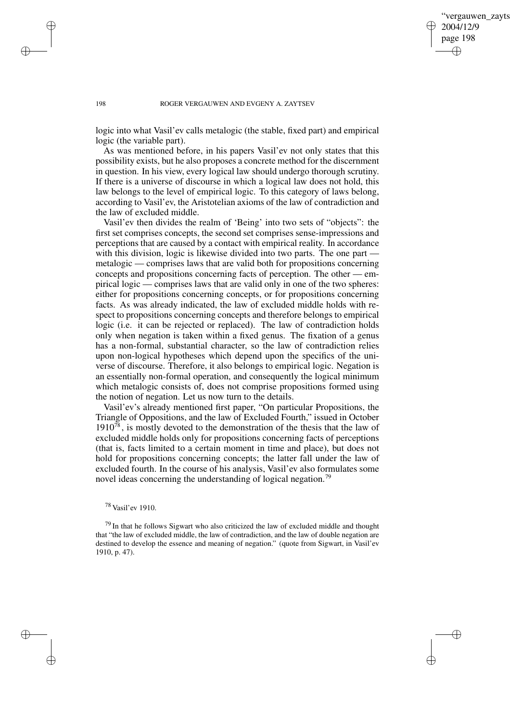✐

#### 198 ROGER VERGAUWEN AND EVGENY A. ZAYTSEV

logic into what Vasil'ev calls metalogic (the stable, fixed part) and empirical logic (the variable part).

As was mentioned before, in his papers Vasil'ev not only states that this possibility exists, but he also proposes a concrete method for the discernment in question. In his view, every logical law should undergo thorough scrutiny. If there is a universe of discourse in which a logical law does not hold, this law belongs to the level of empirical logic. To this category of laws belong, according to Vasil'ev, the Aristotelian axioms of the law of contradiction and the law of excluded middle.

Vasil'ev then divides the realm of 'Being' into two sets of "objects": the first set comprises concepts, the second set comprises sense-impressions and perceptions that are caused by a contact with empirical reality. In accordance with this division, logic is likewise divided into two parts. The one part metalogic — comprises laws that are valid both for propositions concerning concepts and propositions concerning facts of perception. The other — empirical logic — comprises laws that are valid only in one of the two spheres: either for propositions concerning concepts, or for propositions concerning facts. As was already indicated, the law of excluded middle holds with respect to propositions concerning concepts and therefore belongs to empirical logic (i.e. it can be rejected or replaced). The law of contradiction holds only when negation is taken within a fixed genus. The fixation of a genus has a non-formal, substantial character, so the law of contradiction relies upon non-logical hypotheses which depend upon the specifics of the universe of discourse. Therefore, it also belongs to empirical logic. Negation is an essentially non-formal operation, and consequently the logical minimum which metalogic consists of, does not comprise propositions formed using the notion of negation. Let us now turn to the details.

Vasil'ev's already mentioned first paper, "On particular Propositions, the Triangle of Oppositions, and the law of Excluded Fourth," issued in October  $1910^{78}$ , is mostly devoted to the demonstration of the thesis that the law of excluded middle holds only for propositions concerning facts of perceptions (that is, facts limited to a certain moment in time and place), but does not hold for propositions concerning concepts; the latter fall under the law of excluded fourth. In the course of his analysis, Vasil'ev also formulates some novel ideas concerning the understanding of logical negation.<sup>79</sup>

✐

✐

✐

<sup>78</sup> Vasil'ev 1910.

 $79$  In that he follows Sigwart who also criticized the law of excluded middle and thought that "the law of excluded middle, the law of contradiction, and the law of double negation are destined to develop the essence and meaning of negation." (quote from Sigwart, in Vasil'ev 1910, p. 47).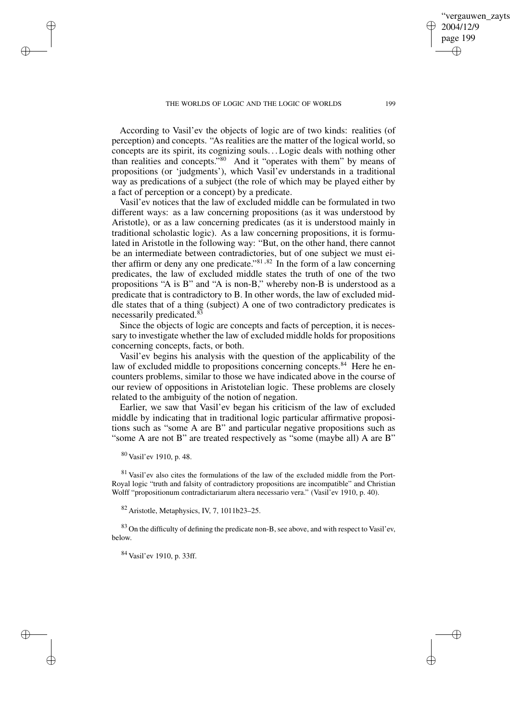According to Vasil'ev the objects of logic are of two kinds: realities (of perception) and concepts. "As realities are the matter of the logical world, so concepts are its spirit, its cognizing souls. . .Logic deals with nothing other than realities and concepts." <sup>80</sup> And it "operates with them" by means of propositions (or 'judgments'), which Vasil'ev understands in a traditional way as predications of a subject (the role of which may be played either by a fact of perception or a concept) by a predicate.

Vasil'ev notices that the law of excluded middle can be formulated in two different ways: as a law concerning propositions (as it was understood by Aristotle), or as a law concerning predicates (as it is understood mainly in traditional scholastic logic). As a law concerning propositions, it is formulated in Aristotle in the following way: "But, on the other hand, there cannot be an intermediate between contradictories, but of one subject we must either affirm or deny any one predicate." $81,82$  In the form of a law concerning predicates, the law of excluded middle states the truth of one of the two propositions "A is B" and "A is non-B," whereby non-B is understood as a predicate that is contradictory to B. In other words, the law of excluded middle states that of a thing (subject) A one of two contradictory predicates is necessarily predicated.<sup>83</sup>

Since the objects of logic are concepts and facts of perception, it is necessary to investigate whether the law of excluded middle holds for propositions concerning concepts, facts, or both.

Vasil'ev begins his analysis with the question of the applicability of the law of excluded middle to propositions concerning concepts.<sup>84</sup> Here he encounters problems, similar to those we have indicated above in the course of our review of oppositions in Aristotelian logic. These problems are closely related to the ambiguity of the notion of negation.

Earlier, we saw that Vasil'ev began his criticism of the law of excluded middle by indicating that in traditional logic particular affirmative propositions such as "some A are B" and particular negative propositions such as "some A are not B" are treated respectively as "some (maybe all) A are B"

<sup>80</sup> Vasil'ev 1910, p. 48.

✐

✐

✐

✐

<sup>81</sup> Vasil'ev also cites the formulations of the law of the excluded middle from the Port-Royal logic "truth and falsity of contradictory propositions are incompatible" and Christian Wolff "propositionum contradictariarum altera necessario vera." (Vasil'ev 1910, p. 40).

<sup>82</sup> Aristotle, Metaphysics, IV, 7, 1011b23–25.

<sup>83</sup> On the difficulty of defining the predicate non-B, see above, and with respect to Vasil'ev, below.

<sup>84</sup> Vasil'ev 1910, p. 33ff.

vergauwen zayts

2004/12/9 page 199

✐

✐

✐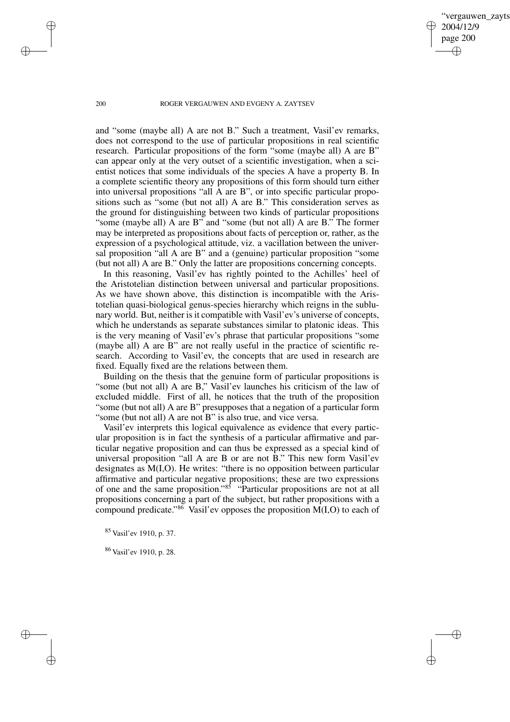vergauwen zavts 2004/12/9 page 200 ✐ ✐

✐

✐

#### 200 ROGER VERGAUWEN AND EVGENY A. ZAYTSEV

and "some (maybe all) A are not B." Such a treatment, Vasil'ev remarks, does not correspond to the use of particular propositions in real scientific research. Particular propositions of the form "some (maybe all) A are B" can appear only at the very outset of a scientific investigation, when a scientist notices that some individuals of the species A have a property B. In a complete scientific theory any propositions of this form should turn either into universal propositions "all A are B", or into specific particular propositions such as "some (but not all) A are B." This consideration serves as the ground for distinguishing between two kinds of particular propositions "some (maybe all) A are B" and "some (but not all) A are B." The former may be interpreted as propositions about facts of perception or, rather, as the expression of a psychological attitude, viz. a vacillation between the universal proposition "all A are B" and a (genuine) particular proposition "some (but not all) A are B." Only the latter are propositions concerning concepts.

In this reasoning, Vasil'ev has rightly pointed to the Achilles' heel of the Aristotelian distinction between universal and particular propositions. As we have shown above, this distinction is incompatible with the Aristotelian quasi-biological genus-species hierarchy which reigns in the sublunary world. But, neither isit compatible with Vasil'ev's universe of concepts, which he understands as separate substances similar to platonic ideas. This is the very meaning of Vasil'ev's phrase that particular propositions "some (maybe all) A are B" are not really useful in the practice of scientific research. According to Vasil'ev, the concepts that are used in research are fixed. Equally fixed are the relations between them.

Building on the thesis that the genuine form of particular propositions is "some (but not all) A are B," Vasil'ev launches his criticism of the law of excluded middle. First of all, he notices that the truth of the proposition "some (but not all) A are B" presupposes that a negation of a particular form "some (but not all) A are not B" is also true, and vice versa.

Vasil'ev interprets this logical equivalence as evidence that every particular proposition is in fact the synthesis of a particular affirmative and particular negative proposition and can thus be expressed as a special kind of universal proposition "all A are B or are not B." This new form Vasil'ev designates as M(I,O). He writes: "there is no opposition between particular affirmative and particular negative propositions; these are two expressions of one and the same proposition." <sup>85</sup> "Particular propositions are not at all propositions concerning a part of the subject, but rather propositions with a compound predicate." <sup>86</sup> Vasil'ev opposes the proposition M(I,O) to each of

<sup>85</sup> Vasil'ev 1910, p. 37.

<sup>86</sup> Vasil'ev 1910, p. 28.

✐

✐

✐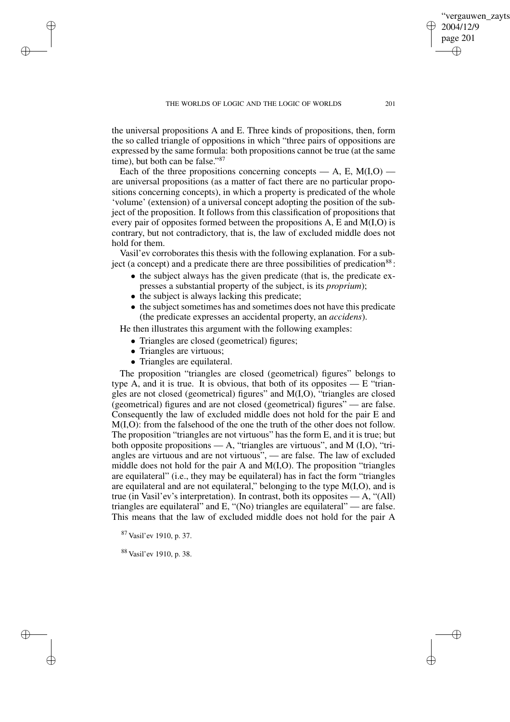the universal propositions A and E. Three kinds of propositions, then, form the so called triangle of oppositions in which "three pairs of oppositions are expressed by the same formula: both propositions cannot be true (at the same time), but both can be false."<sup>87</sup>

Each of the three propositions concerning concepts — A, E,  $M(I, O)$  are universal propositions (as a matter of fact there are no particular propositions concerning concepts), in which a property is predicated of the whole 'volume' (extension) of a universal concept adopting the position of the subject of the proposition. It follows from this classification of propositions that every pair of opposites formed between the propositions A, E and M(I,O) is contrary, but not contradictory, that is, the law of excluded middle does not hold for them.

Vasil'ev corroborates this thesis with the following explanation. For a subject (a concept) and a predicate there are three possibilities of predication<sup>88</sup>:

- the subject always has the given predicate (that is, the predicate expresses a substantial property of the subject, is its *proprium*);
- the subject is always lacking this predicate;
- $\bullet$  the subject sometimes has and sometimes does not have this predicate (the predicate expresses an accidental property, an *accidens*).

He then illustrates this argument with the following examples:

- Triangles are closed (geometrical) figures;
- Triangles are virtuous;

✐

✐

✐

✐

• Triangles are equilateral.

The proposition "triangles are closed (geometrical) figures" belongs to type A, and it is true. It is obvious, that both of its opposites  $- E$  "triangles are not closed (geometrical) figures" and M(I,O), "triangles are closed (geometrical) figures and are not closed (geometrical) figures" — are false. Consequently the law of excluded middle does not hold for the pair E and M(I,O): from the falsehood of the one the truth of the other does not follow. The proposition "triangles are not virtuous" has the form E, and it is true; but both opposite propositions  $- A$ , "triangles are virtuous", and M (I,O), "triangles are virtuous and are not virtuous", — are false. The law of excluded middle does not hold for the pair A and M(I,O). The proposition "triangles are equilateral" (i.e., they may be equilateral) has in fact the form "triangles are equilateral and are not equilateral," belonging to the type M(I,O), and is true (in Vasil'ev's interpretation). In contrast, both its opposites  $- A$ , "(All) triangles are equilateral" and E, "(No) triangles are equilateral" — are false. This means that the law of excluded middle does not hold for the pair A

<sup>87</sup> Vasil'ev 1910, p. 37.

<sup>88</sup> Vasil'ev 1910, p. 38.

vergauwen zayts

2004/12/9 page 201

✐

✐

✐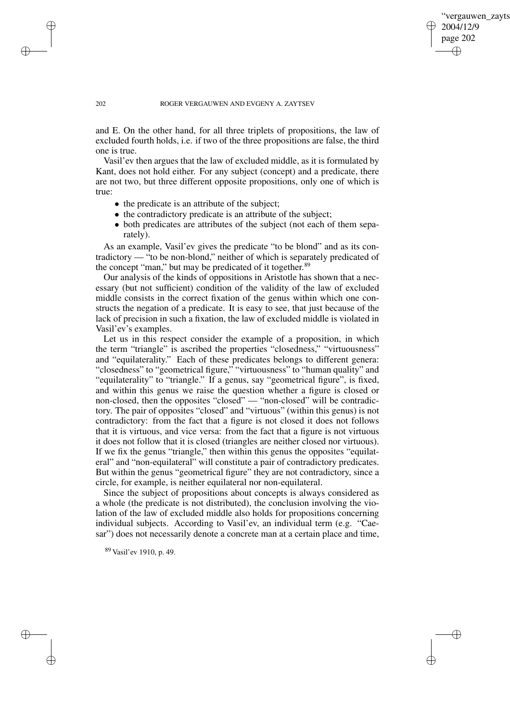✐

### 202 ROGER VERGAUWEN AND EVGENY A. ZAYTSEV

and E. On the other hand, for all three triplets of propositions, the law of excluded fourth holds, i.e. if two of the three propositions are false, the third one is true.

Vasil'ev then argues that the law of excluded middle, as it is formulated by Kant, does not hold either. For any subject (concept) and a predicate, there are not two, but three different opposite propositions, only one of which is true:

- the predicate is an attribute of the subject;
- the contradictory predicate is an attribute of the subject;
- both predicates are attributes of the subject (not each of them separately).

As an example, Vasil'ev gives the predicate "to be blond" and as its contradictory — "to be non-blond," neither of which is separately predicated of the concept "man," but may be predicated of it together.<sup>89</sup>

Our analysis of the kinds of oppositions in Aristotle has shown that a necessary (but not sufficient) condition of the validity of the law of excluded middle consists in the correct fixation of the genus within which one constructs the negation of a predicate. It is easy to see, that just because of the lack of precision in such a fixation, the law of excluded middle is violated in Vasil'ev's examples.

Let us in this respect consider the example of a proposition, in which the term "triangle" is ascribed the properties "closedness," "virtuousness" and "equilaterality." Each of these predicates belongs to different genera: "closedness" to "geometrical figure," "virtuousness" to "human quality" and "equilaterality" to "triangle." If a genus, say "geometrical figure", is fixed, and within this genus we raise the question whether a figure is closed or non-closed, then the opposites "closed" — "non-closed" will be contradictory. The pair of opposites "closed" and "virtuous" (within this genus) is not contradictory: from the fact that a figure is not closed it does not follows that it is virtuous, and vice versa: from the fact that a figure is not virtuous it does not follow that it is closed (triangles are neither closed nor virtuous). If we fix the genus "triangle," then within this genus the opposites "equilateral" and "non-equilateral" will constitute a pair of contradictory predicates. But within the genus "geometrical figure" they are not contradictory, since a circle, for example, is neither equilateral nor non-equilateral.

Since the subject of propositions about concepts is always considered as a whole (the predicate is not distributed), the conclusion involving the violation of the law of excluded middle also holds for propositions concerning individual subjects. According to Vasil'ev, an individual term (e.g. "Caesar") does not necessarily denote a concrete man at a certain place and time,

<sup>89</sup> Vasil'ev 1910, p. 49.

✐

✐

✐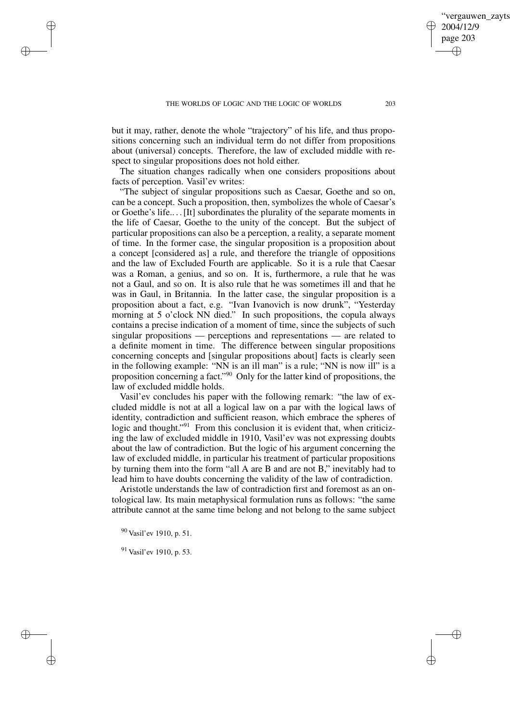but it may, rather, denote the whole "trajectory" of his life, and thus propositions concerning such an individual term do not differ from propositions about (universal) concepts. Therefore, the law of excluded middle with respect to singular propositions does not hold either.

The situation changes radically when one considers propositions about facts of perception. Vasil'ev writes:

"The subject of singular propositions such as Caesar, Goethe and so on, can be a concept. Such a proposition, then, symbolizes the whole of Caesar's or Goethe's life.. . .[It] subordinates the plurality of the separate moments in the life of Caesar, Goethe to the unity of the concept. But the subject of particular propositions can also be a perception, a reality, a separate moment of time. In the former case, the singular proposition is a proposition about a concept [considered as] a rule, and therefore the triangle of oppositions and the law of Excluded Fourth are applicable. So it is a rule that Caesar was a Roman, a genius, and so on. It is, furthermore, a rule that he was not a Gaul, and so on. It is also rule that he was sometimes ill and that he was in Gaul, in Britannia. In the latter case, the singular proposition is a proposition about a fact, e.g. "Ivan Ivanovich is now drunk", "Yesterday morning at 5 o'clock NN died." In such propositions, the copula always contains a precise indication of a moment of time, since the subjects of such singular propositions — perceptions and representations — are related to a definite moment in time. The difference between singular propositions concerning concepts and [singular propositions about] facts is clearly seen in the following example: "NN is an ill man" is a rule; "NN is now ill" is a proposition concerning a fact."<sup>90</sup> Only for the latter kind of propositions, the law of excluded middle holds.

Vasil'ev concludes his paper with the following remark: "the law of excluded middle is not at all a logical law on a par with the logical laws of identity, contradiction and sufficient reason, which embrace the spheres of logic and thought."<sup>91</sup> From this conclusion it is evident that, when criticizing the law of excluded middle in 1910, Vasil'ev was not expressing doubts about the law of contradiction. But the logic of his argument concerning the law of excluded middle, in particular his treatment of particular propositions by turning them into the form "all A are B and are not B," inevitably had to lead him to have doubts concerning the validity of the law of contradiction.

Aristotle understands the law of contradiction first and foremost as an ontological law. Its main metaphysical formulation runs as follows: "the same attribute cannot at the same time belong and not belong to the same subject

<sup>90</sup> Vasil'ev 1910, p. 51.

✐

✐

✐

✐

<sup>91</sup> Vasil'ev 1910, p. 53.

vergauwen zavts

2004/12/9 page 203

✐

✐

✐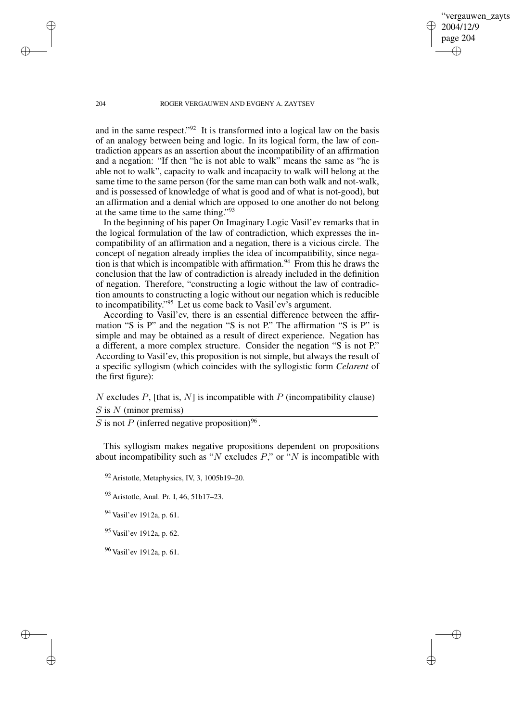'vergauwen zavts 2004/12/9 page 204 ✐ ✐

✐

✐

### 204 ROGER VERGAUWEN AND EVGENY A. ZAYTSEV

and in the same respect."<sup>92</sup> It is transformed into a logical law on the basis of an analogy between being and logic. In its logical form, the law of contradiction appears as an assertion about the incompatibility of an affirmation and a negation: "If then "he is not able to walk" means the same as "he is able not to walk", capacity to walk and incapacity to walk will belong at the same time to the same person (for the same man can both walk and not-walk, and is possessed of knowledge of what is good and of what is not-good), but an affirmation and a denial which are opposed to one another do not belong at the same time to the same thing." 93

In the beginning of his paper On Imaginary Logic Vasil'ev remarks that in the logical formulation of the law of contradiction, which expresses the incompatibility of an affirmation and a negation, there is a vicious circle. The concept of negation already implies the idea of incompatibility, since negation is that which is incompatible with affirmation.<sup>94</sup> From this he draws the conclusion that the law of contradiction is already included in the definition of negation. Therefore, "constructing a logic without the law of contradiction amounts to constructing a logic without our negation which is reducible to incompatibility."<sup>95</sup> Let us come back to Vasil'ev's argument.

According to Vasil'ev, there is an essential difference between the affirmation "S is P" and the negation "S is not P." The affirmation "S is P" is simple and may be obtained as a result of direct experience. Negation has a different, a more complex structure. Consider the negation "S is not P." According to Vasil'ev, this proposition is not simple, but always the result of a specific syllogism (which coincides with the syllogistic form *Celarent* of the first figure):

N excludes P, [that is, N] is incompatible with P (incompatibility clause)  $S$  is  $N$  (minor premiss)

S is not P (inferred negative proposition)<sup>96</sup>.

This syllogism makes negative propositions dependent on propositions about incompatibility such as "N excludes  $P$ ," or "N is incompatible with

 $92$  Aristotle, Metaphysics, IV, 3, 1005b19–20.

<sup>93</sup> Aristotle, Anal. Pr. I, 46, 51b17–23.

<sup>94</sup> Vasil'ev 1912a, p. 61.

<sup>95</sup> Vasil'ev 1912a, p. 62.

<sup>96</sup> Vasil'ev 1912a, p. 61.

✐

✐

✐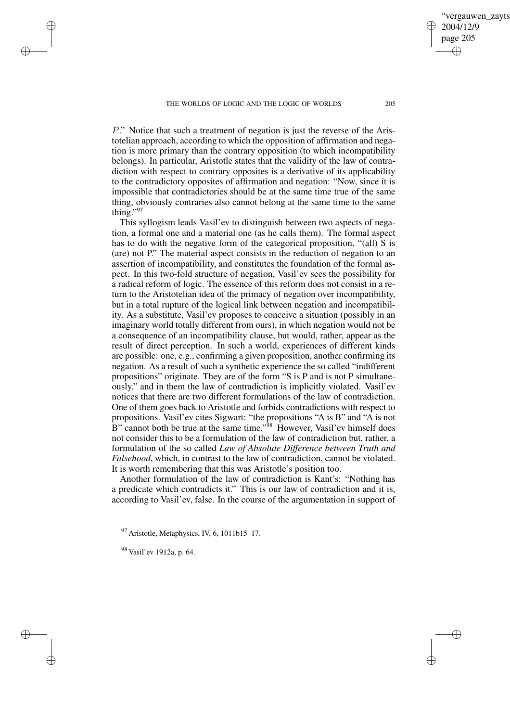P." Notice that such a treatment of negation is just the reverse of the Aristotelian approach, according to which the opposition of affirmation and negation is more primary than the contrary opposition (to which incompatibility belongs). In particular, Aristotle states that the validity of the law of contradiction with respect to contrary opposites is a derivative of its applicability to the contradictory opposites of affirmation and negation: "Now, since it is impossible that contradictories should be at the same time true of the same thing, obviously contraries also cannot belong at the same time to the same thing."<sup>97</sup>

This syllogism leads Vasil'ev to distinguish between two aspects of negation, a formal one and a material one (as he calls them). The formal aspect has to do with the negative form of the categorical proposition, "(all) S is (are) not P." The material aspect consists in the reduction of negation to an assertion of incompatibility, and constitutes the foundation of the formal aspect. In this two-fold structure of negation, Vasil'ev sees the possibility for a radical reform of logic. The essence of this reform does not consist in a return to the Aristotelian idea of the primacy of negation over incompatibility, but in a total rupture of the logical link between negation and incompatibility. As a substitute, Vasil'ev proposes to conceive a situation (possibly in an imaginary world totally different from ours), in which negation would not be a consequence of an incompatibility clause, but would, rather, appear as the result of direct perception. In such a world, experiences of different kinds are possible: one, e.g., confirming a given proposition, another confirming its negation. As a result of such a synthetic experience the so called "indifferent propositions" originate. They are of the form "S is P and is not P simultaneously," and in them the law of contradiction is implicitly violated. Vasil'ev notices that there are two different formulations of the law of contradiction. One of them goes back to Aristotle and forbids contradictions with respect to propositions. Vasil'ev cites Sigwart: "the propositions "A is B" and "A is not B" cannot both be true at the same time."<sup>98</sup> However, Vasil'ev himself does not consider this to be a formulation of the law of contradiction but, rather, a formulation of the so called *Law of Absolute Difference between Truth and Falsehood*, which, in contrast to the law of contradiction, cannot be violated. It is worth remembering that this was Aristotle's position too.

Another formulation of the law of contradiction is Kant's: "Nothing has a predicate which contradicts it." This is our law of contradiction and it is, according to Vasil'ev, false. In the course of the argumentation in support of

 $97$  Aristotle, Metaphysics, IV, 6, 1011b15–17.

<sup>98</sup> Vasil'ev 1912a, p. 64.

✐

✐

✐

✐

vergauwen zavts

2004/12/9 page 205

✐

✐

✐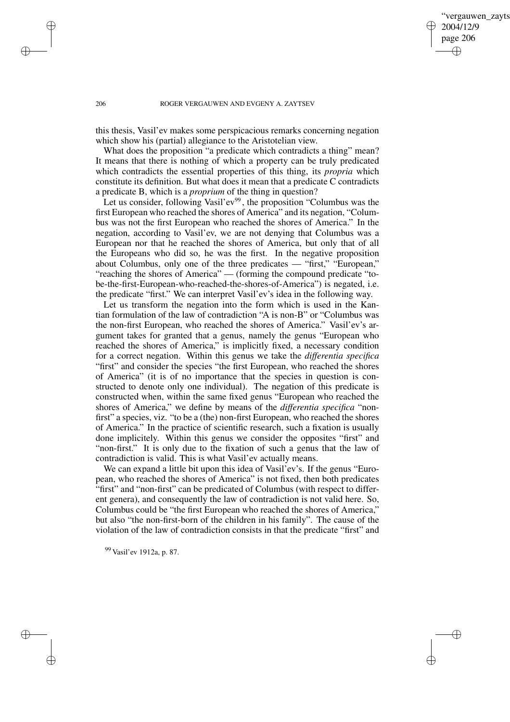## vergauwen zayts 2004/12/9 page 206 ✐ ✐

✐

✐

### 206 ROGER VERGAUWEN AND EVGENY A. ZAYTSEV

this thesis, Vasil'ev makes some perspicacious remarks concerning negation which show his (partial) allegiance to the Aristotelian view.

What does the proposition "a predicate which contradicts a thing" mean? It means that there is nothing of which a property can be truly predicated which contradicts the essential properties of this thing, its *propria* which constitute its definition. But what does it mean that a predicate C contradicts a predicate B, which is a *proprium* of the thing in question?

Let us consider, following Vasil'ev<sup>99</sup>, the proposition "Columbus was the first European who reached the shores of America" and its negation, "Columbus was not the first European who reached the shores of America." In the negation, according to Vasil'ev, we are not denying that Columbus was a European nor that he reached the shores of America, but only that of all the Europeans who did so, he was the first. In the negative proposition about Columbus, only one of the three predicates — "first," "European," "reaching the shores of America" — (forming the compound predicate "tobe-the-first-European-who-reached-the-shores-of-America") is negated, i.e. the predicate "first." We can interpret Vasil'ev's idea in the following way.

Let us transform the negation into the form which is used in the Kantian formulation of the law of contradiction "A is non-B" or "Columbus was the non-first European, who reached the shores of America." Vasil'ev's argument takes for granted that a genus, namely the genus "European who reached the shores of America," is implicitly fixed, a necessary condition for a correct negation. Within this genus we take the *differentia specifica* "first" and consider the species "the first European, who reached the shores of America" (it is of no importance that the species in question is constructed to denote only one individual). The negation of this predicate is constructed when, within the same fixed genus "European who reached the shores of America," we define by means of the *differentia specifica* "nonfirst" a species, viz. "to be a (the) non-first European, who reached the shores of America." In the practice of scientific research, such a fixation is usually done implicitely. Within this genus we consider the opposites "first" and "non-first." It is only due to the fixation of such a genus that the law of contradiction is valid. This is what Vasil'ev actually means.

We can expand a little bit upon this idea of Vasil'ev's. If the genus "European, who reached the shores of America" is not fixed, then both predicates "first" and "non-first" can be predicated of Columbus (with respect to different genera), and consequently the law of contradiction is not valid here. So, Columbus could be "the first European who reached the shores of America," but also "the non-first-born of the children in his family". The cause of the violation of the law of contradiction consists in that the predicate "first" and

<sup>99</sup> Vasil'ev 1912a, p. 87.

✐

✐

✐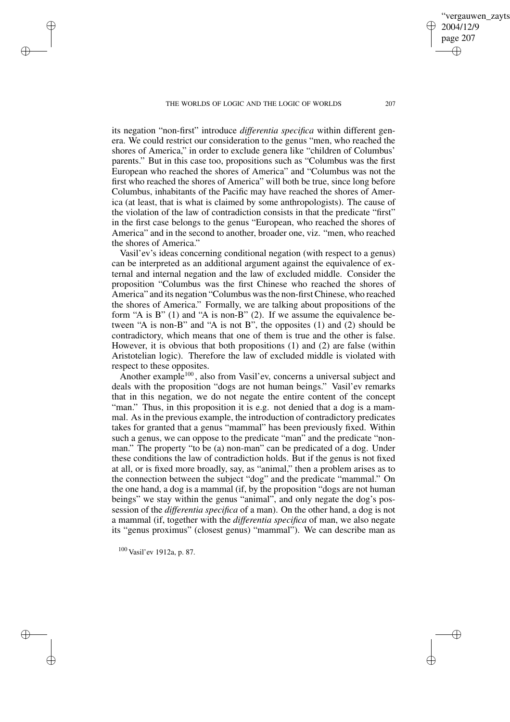its negation "non-first" introduce *differentia specifica* within different genera. We could restrict our consideration to the genus "men, who reached the shores of America," in order to exclude genera like "children of Columbus' parents." But in this case too, propositions such as "Columbus was the first European who reached the shores of America" and "Columbus was not the first who reached the shores of America" will both be true, since long before Columbus, inhabitants of the Pacific may have reached the shores of America (at least, that is what is claimed by some anthropologists). The cause of the violation of the law of contradiction consists in that the predicate "first" in the first case belongs to the genus "European, who reached the shores of America" and in the second to another, broader one, viz. "men, who reached the shores of America."

Vasil'ev's ideas concerning conditional negation (with respect to a genus) can be interpreted as an additional argument against the equivalence of external and internal negation and the law of excluded middle. Consider the proposition "Columbus was the first Chinese who reached the shores of America" and its negation "Columbus wasthe non-firstChinese, who reached the shores of America." Formally, we are talking about propositions of the form "A is B"  $(1)$  and "A is non-B"  $(2)$ . If we assume the equivalence between "A is non-B" and "A is not B", the opposites (1) and (2) should be contradictory, which means that one of them is true and the other is false. However, it is obvious that both propositions (1) and (2) are false (within Aristotelian logic). Therefore the law of excluded middle is violated with respect to these opposites.

Another example<sup>100</sup>, also from Vasil'ev, concerns a universal subject and deals with the proposition "dogs are not human beings." Vasil'ev remarks that in this negation, we do not negate the entire content of the concept "man." Thus, in this proposition it is e.g. not denied that a dog is a mammal. As in the previous example, the introduction of contradictory predicates takes for granted that a genus "mammal" has been previously fixed. Within such a genus, we can oppose to the predicate "man" and the predicate "nonman." The property "to be (a) non-man" can be predicated of a dog. Under these conditions the law of contradiction holds. But if the genus is not fixed at all, or is fixed more broadly, say, as "animal," then a problem arises as to the connection between the subject "dog" and the predicate "mammal." On the one hand, a dog is a mammal (if, by the proposition "dogs are not human beings" we stay within the genus "animal", and only negate the dog's possession of the *differentia specifica* of a man). On the other hand, a dog is not a mammal (if, together with the *differentia specifica* of man, we also negate its "genus proximus" (closest genus) "mammal"). We can describe man as

<sup>100</sup> Vasil'ev 1912a, p. 87.

✐

✐

✐

✐

vergauwen zayts

2004/12/9 page 207

✐

✐

✐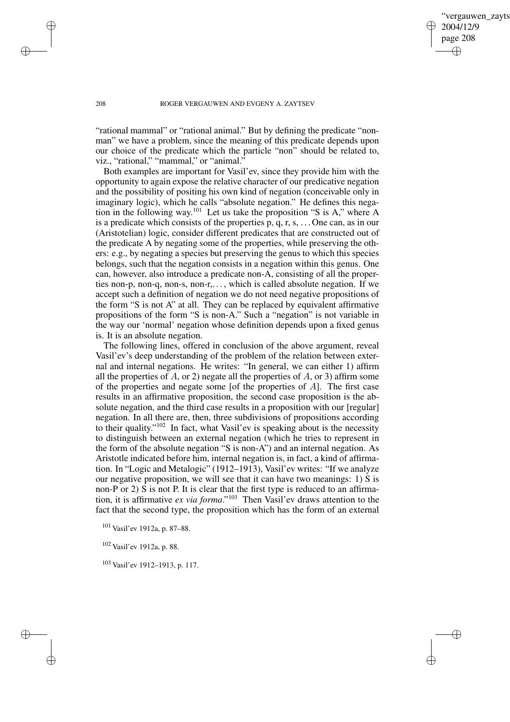✐

#### 208 ROGER VERGAUWEN AND EVGENY A. ZAYTSEV

"rational mammal" or "rational animal." But by defining the predicate "nonman" we have a problem, since the meaning of this predicate depends upon our choice of the predicate which the particle "non" should be related to, viz., "rational," "mammal," or "animal."

Both examples are important for Vasil'ev, since they provide him with the opportunity to again expose the relative character of our predicative negation and the possibility of positing his own kind of negation (conceivable only in imaginary logic), which he calls "absolute negation." He defines this negation in the following way.<sup>101</sup> Let us take the proposition "S is A," where A is a predicate which consists of the properties  $\overline{p}$ ,  $\overline{q}$ ,  $\overline{r}$ ,  $\overline{s}$ , ... One can, as in our (Aristotelian) logic, consider different predicates that are constructed out of the predicate A by negating some of the properties, while preserving the others: e.g., by negating a species but preserving the genus to which this species belongs, such that the negation consists in a negation within this genus. One can, however, also introduce a predicate non-A, consisting of all the properties non-p, non-q, non-s, non-r,. . . , which is called absolute negation. If we accept such a definition of negation we do not need negative propositions of the form "S is not A" at all. They can be replaced by equivalent affirmative propositions of the form "S is non-A." Such a "negation" is not variable in the way our 'normal' negation whose definition depends upon a fixed genus is. It is an absolute negation.

The following lines, offered in conclusion of the above argument, reveal Vasil'ev's deep understanding of the problem of the relation between external and internal negations. He writes: "In general, we can either 1) affirm all the properties of  $A$ , or 2) negate all the properties of  $A$ , or 3) affirm some of the properties and negate some [of the properties of  $A$ ]. The first case results in an affirmative proposition, the second case proposition is the absolute negation, and the third case results in a proposition with our [regular] negation. In all there are, then, three subdivisions of propositions according to their quality." <sup>102</sup> In fact, what Vasil'ev is speaking about is the necessity to distinguish between an external negation (which he tries to represent in the form of the absolute negation "S is non-A") and an internal negation. As Aristotle indicated before him, internal negation is, in fact, a kind of affirmation. In "Logic and Metalogic" (1912–1913), Vasil'ev writes: "If we analyze our negative proposition, we will see that it can have two meanings:  $1)$  S is non-P or 2) S is not P. It is clear that the first type is reduced to an affirmation, it is affirmative *ex via forma*." <sup>103</sup> Then Vasil'ev draws attention to the fact that the second type, the proposition which has the form of an external

<sup>102</sup> Vasil'ev 1912a, p. 88.

<sup>103</sup> Vasil'ev 1912–1913, p. 117.

✐

✐

✐

<sup>101</sup> Vasil'ev 1912a, p. 87–88.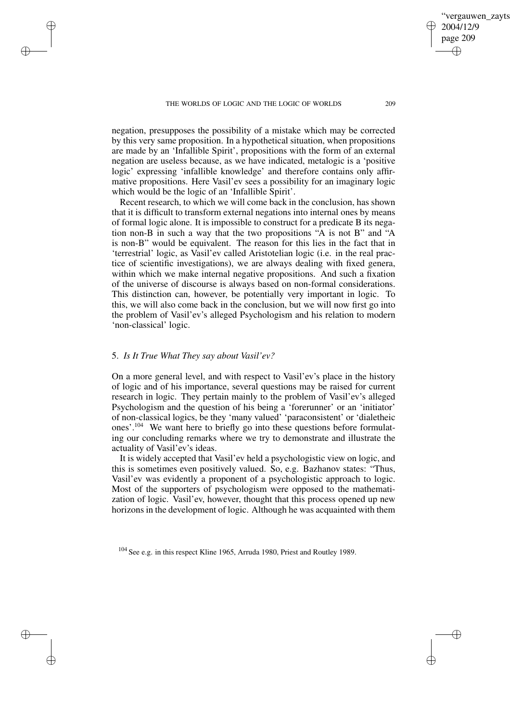negation, presupposes the possibility of a mistake which may be corrected by this very same proposition. In a hypothetical situation, when propositions are made by an 'Infallible Spirit', propositions with the form of an external negation are useless because, as we have indicated, metalogic is a 'positive logic' expressing 'infallible knowledge' and therefore contains only affirmative propositions. Here Vasil'ev sees a possibility for an imaginary logic which would be the logic of an 'Infallible Spirit'.

Recent research, to which we will come back in the conclusion, has shown that it is difficult to transform external negations into internal ones by means of formal logic alone. It is impossible to construct for a predicate B its negation non-B in such a way that the two propositions "A is not B" and "A is non-B" would be equivalent. The reason for this lies in the fact that in 'terrestrial' logic, as Vasil'ev called Aristotelian logic (i.e. in the real practice of scientific investigations), we are always dealing with fixed genera, within which we make internal negative propositions. And such a fixation of the universe of discourse is always based on non-formal considerations. This distinction can, however, be potentially very important in logic. To this, we will also come back in the conclusion, but we will now first go into the problem of Vasil'ev's alleged Psychologism and his relation to modern 'non-classical' logic.

## 5. *Is It True What They say about Vasil'ev?*

✐

✐

✐

✐

On a more general level, and with respect to Vasil'ev's place in the history of logic and of his importance, several questions may be raised for current research in logic. They pertain mainly to the problem of Vasil'ev's alleged Psychologism and the question of his being a 'forerunner' or an 'initiator' of non-classical logics, be they 'many valued' 'paraconsistent' or 'dialetheic ones'.<sup>104</sup> We want here to briefly go into these questions before formulating our concluding remarks where we try to demonstrate and illustrate the actuality of Vasil'ev's ideas.

It is widely accepted that Vasil'ev held a psychologistic view on logic, and this is sometimes even positively valued. So, e.g. Bazhanov states: "Thus, Vasil'ev was evidently a proponent of a psychologistic approach to logic. Most of the supporters of psychologism were opposed to the mathematization of logic. Vasil'ev, however, thought that this process opened up new horizons in the development of logic. Although he was acquainted with them

<sup>104</sup> See e.g. in this respect Kline 1965, Arruda 1980, Priest and Routley 1989.

✐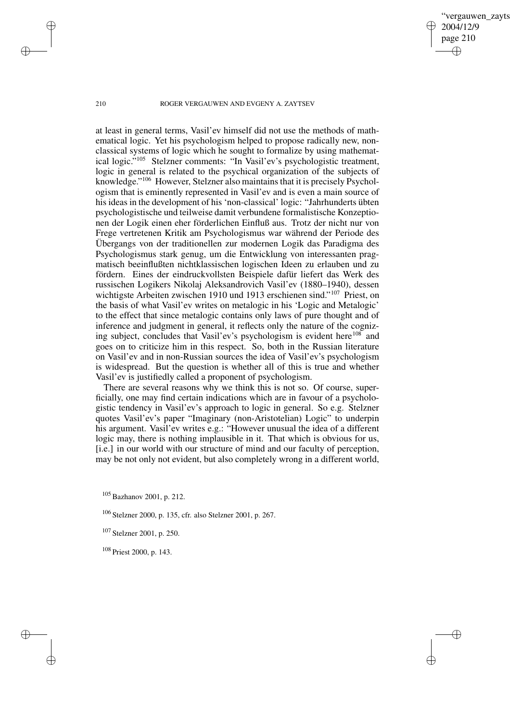vergauwen zavts 2004/12/9 page 210 ✐ ✐

✐

✐

## 210 ROGER VERGAUWEN AND EVGENY A. ZAYTSEV

at least in general terms, Vasil'ev himself did not use the methods of mathematical logic. Yet his psychologism helped to propose radically new, nonclassical systems of logic which he sought to formalize by using mathematical logic." <sup>105</sup> Stelzner comments: "In Vasil'ev's psychologistic treatment, logic in general is related to the psychical organization of the subjects of knowledge."<sup>106</sup> However, Stelzner also maintains that it is precisely Psychologism that is eminently represented in Vasil'ev and is even a main source of his ideas in the development of his 'non-classical' logic: "Jahrhunderts übten psychologistische und teilweise damit verbundene formalistische Konzeptionen der Logik einen eher förderlichen Einfluß aus. Trotz der nicht nur von Frege vertretenen Kritik am Psychologismus war während der Periode des Übergangs von der traditionellen zur modernen Logik das Paradigma des Psychologismus stark genug, um die Entwicklung von interessanten pragmatisch beeinflußten nichtklassischen logischen Ideen zu erlauben und zu fördern. Eines der eindruckvollsten Beispiele dafür liefert das Werk des russischen Logikers Nikolaj Aleksandrovich Vasil'ev (1880–1940), dessen wichtigste Arbeiten zwischen 1910 und 1913 erschienen sind."<sup>107</sup> Priest, on the basis of what Vasil'ev writes on metalogic in his 'Logic and Metalogic' to the effect that since metalogic contains only laws of pure thought and of inference and judgment in general, it reflects only the nature of the cognizing subject, concludes that Vasil'ev's psychologism is evident here<sup>108</sup> and goes on to criticize him in this respect. So, both in the Russian literature on Vasil'ev and in non-Russian sources the idea of Vasil'ev's psychologism is widespread. But the question is whether all of this is true and whether Vasil'ev is justifiedly called a proponent of psychologism.

There are several reasons why we think this is not so. Of course, superficially, one may find certain indications which are in favour of a psychologistic tendency in Vasil'ev's approach to logic in general. So e.g. Stelzner quotes Vasil'ev's paper "Imaginary (non-Aristotelian) Logic" to underpin his argument. Vasil'ev writes e.g.: "However unusual the idea of a different logic may, there is nothing implausible in it. That which is obvious for us, [i.e.] in our world with our structure of mind and our faculty of perception, may be not only not evident, but also completely wrong in a different world,

<sup>106</sup> Stelzner 2000, p. 135, cfr. also Stelzner 2001, p. 267.

<sup>107</sup> Stelzner 2001, p. 250.

<sup>108</sup> Priest 2000, p. 143.

 $\rightarrow$ 

 $\rightarrow$ 

✐

<sup>105</sup> Bazhanov 2001, p. 212.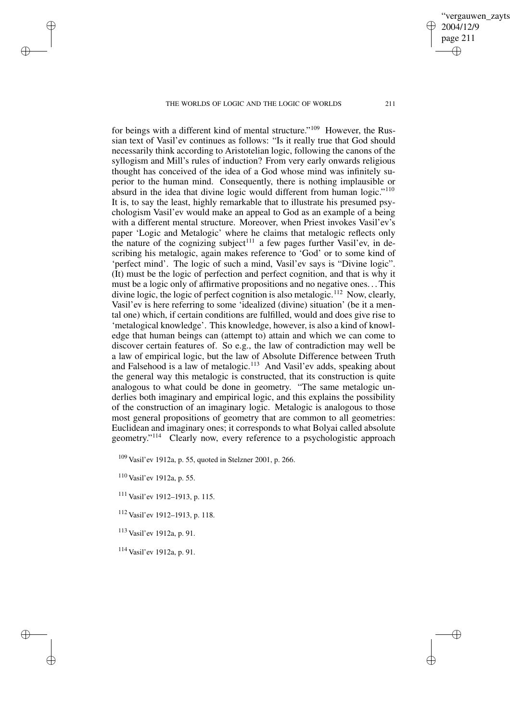for beings with a different kind of mental structure."<sup>109</sup> However, the Russian text of Vasil'ev continues as follows: "Is it really true that God should necessarily think according to Aristotelian logic, following the canons of the syllogism and Mill's rules of induction? From very early onwards religious thought has conceived of the idea of a God whose mind was infinitely superior to the human mind. Consequently, there is nothing implausible or absurd in the idea that divine logic would different from human logic."<sup>110</sup> It is, to say the least, highly remarkable that to illustrate his presumed psychologism Vasil'ev would make an appeal to God as an example of a being with a different mental structure. Moreover, when Priest invokes Vasil'ev's paper 'Logic and Metalogic' where he claims that metalogic reflects only the nature of the cognizing subject<sup>111</sup> a few pages further Vasil'ev, in describing his metalogic, again makes reference to 'God' or to some kind of 'perfect mind'. The logic of such a mind, Vasil'ev says is "Divine logic". (It) must be the logic of perfection and perfect cognition, and that is why it must be a logic only of affirmative propositions and no negative ones. . .This divine logic, the logic of perfect cognition is also metalogic.<sup>112</sup> Now, clearly, Vasil'ev is here referring to some 'idealized (divine) situation' (be it a mental one) which, if certain conditions are fulfilled, would and does give rise to 'metalogical knowledge'. This knowledge, however, is also a kind of knowledge that human beings can (attempt to) attain and which we can come to discover certain features of. So e.g., the law of contradiction may well be a law of empirical logic, but the law of Absolute Difference between Truth a law of empirical regie, each and Falsehood is a law of metalogic.<sup>113</sup> And Vasil'ev adds, speaking about the general way this metalogic is constructed, that its construction is quite analogous to what could be done in geometry. "The same metalogic underlies both imaginary and empirical logic, and this explains the possibility of the construction of an imaginary logic. Metalogic is analogous to those most general propositions of geometry that are common to all geometries: Euclidean and imaginary ones; it corresponds to what Bolyai called absolute geometry."<sup>114</sup> Clearly now, every reference to a psychologistic approach

<sup>109</sup> Vasil'ev 1912a, p. 55, quoted in Stelzner 2001, p. 266.

<sup>110</sup> Vasil'ev 1912a, p. 55.

 $\rightarrow$ 

 $\rightarrow$ 

✐

✐

<sup>111</sup> Vasil'ev 1912–1913, p. 115.

<sup>112</sup> Vasil'ev 1912–1913, p. 118.

<sup>113</sup> Vasil'ev 1912a, p. 91.

<sup>114</sup> Vasil'ev 1912a, p. 91.

✐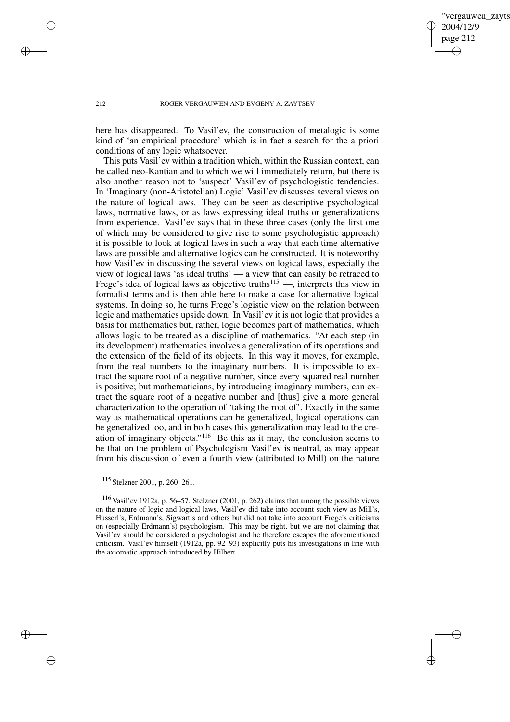✐

#### 212 ROGER VERGAUWEN AND EVGENY A. ZAYTSEV

here has disappeared. To Vasil'ev, the construction of metalogic is some kind of 'an empirical procedure' which is in fact a search for the a priori conditions of any logic whatsoever.

This puts Vasil'ev within a tradition which, within the Russian context, can be called neo-Kantian and to which we will immediately return, but there is also another reason not to 'suspect' Vasil'ev of psychologistic tendencies. In 'Imaginary (non-Aristotelian) Logic' Vasil'ev discusses several views on the nature of logical laws. They can be seen as descriptive psychological laws, normative laws, or as laws expressing ideal truths or generalizations from experience. Vasil'ev says that in these three cases (only the first one of which may be considered to give rise to some psychologistic approach) it is possible to look at logical laws in such a way that each time alternative laws are possible and alternative logics can be constructed. It is noteworthy how Vasil'ev in discussing the several views on logical laws, especially the view of logical laws 'as ideal truths' — a view that can easily be retraced to Frege's idea of logical laws as objective truths<sup>115</sup> —, interprets this view in formalist terms and is then able here to make a case for alternative logical systems. In doing so, he turns Frege's logistic view on the relation between logic and mathematics upside down. In Vasil'ev it is not logic that provides a basis for mathematics but, rather, logic becomes part of mathematics, which allows logic to be treated as a discipline of mathematics. "At each step (in its development) mathematics involves a generalization of its operations and the extension of the field of its objects. In this way it moves, for example, from the real numbers to the imaginary numbers. It is impossible to extract the square root of a negative number, since every squared real number is positive; but mathematicians, by introducing imaginary numbers, can extract the square root of a negative number and [thus] give a more general characterization to the operation of 'taking the root of'. Exactly in the same way as mathematical operations can be generalized, logical operations can be generalized too, and in both cases this generalization may lead to the creation of imaginary objects."<sup>116</sup> Be this as it may, the conclusion seems to be that on the problem of Psychologism Vasil'ev is neutral, as may appear from his discussion of even a fourth view (attributed to Mill) on the nature

 $\rightarrow$ 

 $\rightarrow$ 

✐

✐

<sup>116</sup> Vasil'ev 1912a, p. 56–57. Stelzner (2001, p. 262) claims that among the possible views on the nature of logic and logical laws, Vasil'ev did take into account such view as Mill's, Husserl's, Erdmann's, Sigwart's and others but did not take into account Frege's criticisms on (especially Erdmann's) psychologism. This may be right, but we are not claiming that Vasil'ev should be considered a psychologist and he therefore escapes the aforementioned criticism. Vasil'ev himself (1912a, pp. 92–93) explicitly puts his investigations in line with the axiomatic approach introduced by Hilbert.

<sup>115</sup> Stelzner 2001, p. 260–261.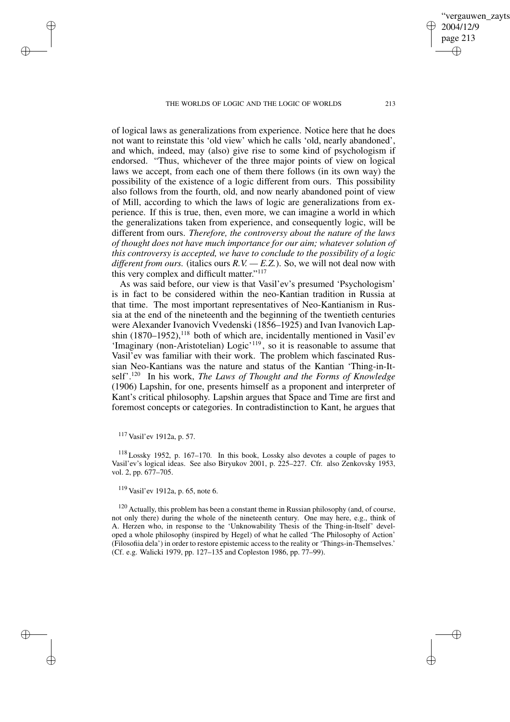vergauwen zavts

2004/12/9 page 213

✐

✐

✐

✐

of logical laws as generalizations from experience. Notice here that he does not want to reinstate this 'old view' which he calls 'old, nearly abandoned', and which, indeed, may (also) give rise to some kind of psychologism if endorsed. "Thus, whichever of the three major points of view on logical laws we accept, from each one of them there follows (in its own way) the possibility of the existence of a logic different from ours. This possibility also follows from the fourth, old, and now nearly abandoned point of view of Mill, according to which the laws of logic are generalizations from experience. If this is true, then, even more, we can imagine a world in which the generalizations taken from experience, and consequently logic, will be different from ours. *Therefore, the controversy about the nature of the laws of thought does not have much importance for our aim; whatever solution of this controversy is accepted, we have to conclude to the possibility of a logic different from ours.* (italics ours *R.V. — E.Z.*). So, we will not deal now with this very complex and difficult matter."<sup>117</sup>

As was said before, our view is that Vasil'ev's presumed 'Psychologism' is in fact to be considered within the neo-Kantian tradition in Russia at that time. The most important representatives of Neo-Kantianism in Russia at the end of the nineteenth and the beginning of the twentieth centuries were Alexander Ivanovich Vvedenski (1856–1925) and Ivan Ivanovich Lapshin  $(1870-1952)$ ,<sup>118</sup> both of which are, incidentally mentioned in Vasil'ev 'Imaginary (non-Aristotelian) Logic'<sup>119</sup>, so it is reasonable to assume that Vasil'ev was familiar with their work. The problem which fascinated Russian Neo-Kantians was the nature and status of the Kantian 'Thing-in-Itself'.<sup>120</sup> In his work, *The Laws of Thought and the Forms of Knowledge* (1906) Lapshin, for one, presents himself as a proponent and interpreter of Kant's critical philosophy. Lapshin argues that Space and Time are first and foremost concepts or categories. In contradistinction to Kant, he argues that

 $\rightarrow$ 

 $\rightarrow$ 

✐

✐

<sup>118</sup> Lossky 1952, p. 167–170. In this book, Lossky also devotes a couple of pages to Vasil'ev's logical ideas. See also Biryukov 2001, p. 225–227. Cfr. also Zenkovsky 1953, vol. 2, pp. 677–705.

<sup>120</sup> Actually, this problem has been a constant theme in Russian philosophy (and, of course, not only there) during the whole of the nineteenth century. One may here, e.g., think of A. Herzen who, in response to the 'Unknowability Thesis of the Thing-in-Itself' developed a whole philosophy (inspired by Hegel) of what he called 'The Philosophy of Action' (Filosofiia dela') in order to restore epistemic access to the reality or 'Things-in-Themselves.' (Cf. e.g. Walicki 1979, pp. 127–135 and Copleston 1986, pp. 77–99).

<sup>117</sup> Vasil'ev 1912a, p. 57.

<sup>119</sup> Vasil'ev 1912a, p. 65, note 6.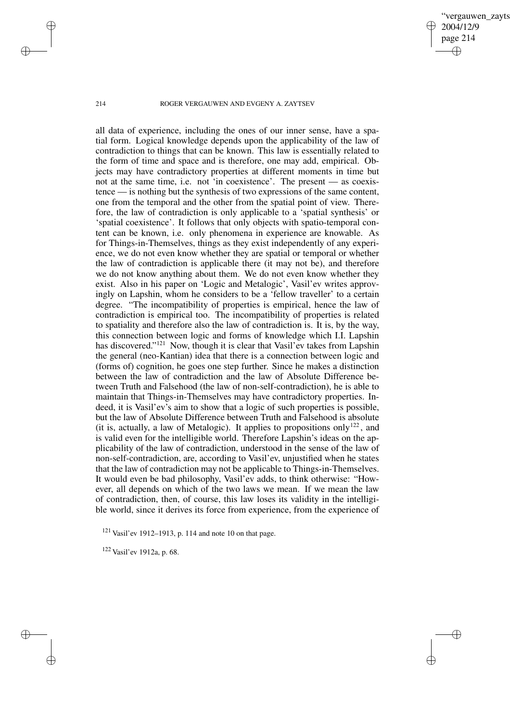vergauwen zavts 2004/12/9 page 214 ✐ ✐

✐

✐

## 214 ROGER VERGAUWEN AND EVGENY A. ZAYTSEV

all data of experience, including the ones of our inner sense, have a spatial form. Logical knowledge depends upon the applicability of the law of contradiction to things that can be known. This law is essentially related to the form of time and space and is therefore, one may add, empirical. Objects may have contradictory properties at different moments in time but not at the same time, i.e. not 'in coexistence'. The present — as coexistence — is nothing but the synthesis of two expressions of the same content, one from the temporal and the other from the spatial point of view. Therefore, the law of contradiction is only applicable to a 'spatial synthesis' or 'spatial coexistence'. It follows that only objects with spatio-temporal content can be known, i.e. only phenomena in experience are knowable. As for Things-in-Themselves, things as they exist independently of any experience, we do not even know whether they are spatial or temporal or whether the law of contradiction is applicable there (it may not be), and therefore we do not know anything about them. We do not even know whether they exist. Also in his paper on 'Logic and Metalogic', Vasil'ev writes approvingly on Lapshin, whom he considers to be a 'fellow traveller' to a certain degree. "The incompatibility of properties is empirical, hence the law of contradiction is empirical too. The incompatibility of properties is related to spatiality and therefore also the law of contradiction is. It is, by the way, this connection between logic and forms of knowledge which I.I. Lapshin has discovered."<sup>121</sup> Now, though it is clear that Vasil'ev takes from Lapshin the general (neo-Kantian) idea that there is a connection between logic and (forms of) cognition, he goes one step further. Since he makes a distinction between the law of contradiction and the law of Absolute Difference between Truth and Falsehood (the law of non-self-contradiction), he is able to maintain that Things-in-Themselves may have contradictory properties. Indeed, it is Vasil'ev's aim to show that a logic of such properties is possible, but the law of Absolute Difference between Truth and Falsehood is absolute (it is, actually, a law of Metalogic). It applies to propositions only<sup>122</sup>, and is valid even for the intelligible world. Therefore Lapshin's ideas on the applicability of the law of contradiction, understood in the sense of the law of non-self-contradiction, are, according to Vasil'ev, unjustified when he states that the law of contradiction may not be applicable to Things-in-Themselves. It would even be bad philosophy, Vasil'ev adds, to think otherwise: "However, all depends on which of the two laws we mean. If we mean the law of contradiction, then, of course, this law loses its validity in the intelligible world, since it derives its force from experience, from the experience of

 $\rightarrow$ 

 $\rightarrow$ 

✐

<sup>121</sup> Vasil'ev 1912–1913, p. 114 and note 10 on that page.

<sup>122</sup> Vasil'ev 1912a, p. 68.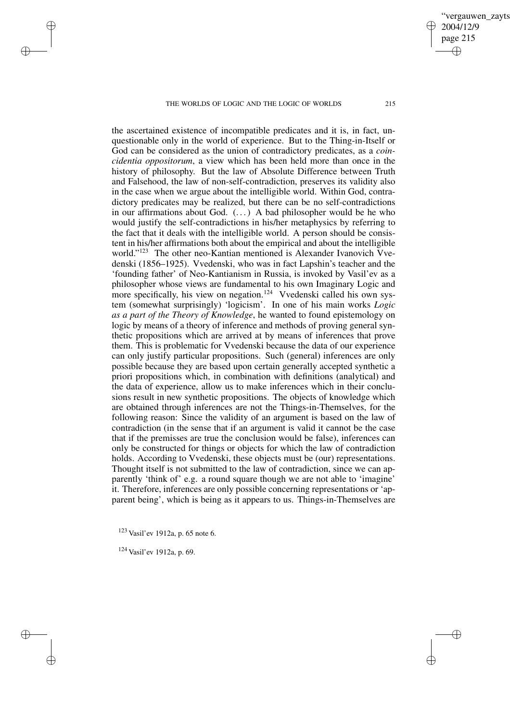the ascertained existence of incompatible predicates and it is, in fact, unquestionable only in the world of experience. But to the Thing-in-Itself or God can be considered as the union of contradictory predicates, as a *coincidentia oppositorum*, a view which has been held more than once in the history of philosophy. But the law of Absolute Difference between Truth and Falsehood, the law of non-self-contradiction, preserves its validity also in the case when we argue about the intelligible world. Within God, contradictory predicates may be realized, but there can be no self-contradictions in our affirmations about God. (. . .) A bad philosopher would be he who would justify the self-contradictions in his/her metaphysics by referring to the fact that it deals with the intelligible world. A person should be consistent in his/her affirmations both about the empirical and about the intelligible world." <sup>123</sup> The other neo-Kantian mentioned is Alexander Ivanovich Vvedenski (1856–1925). Vvedenski, who was in fact Lapshin's teacher and the 'founding father' of Neo-Kantianism in Russia, is invoked by Vasil'ev as a philosopher whose views are fundamental to his own Imaginary Logic and more specifically, his view on negation.<sup>124</sup> Vvedenski called his own system (somewhat surprisingly) 'logicism'. In one of his main works *Logic as a part of the Theory of Knowledge*, he wanted to found epistemology on logic by means of a theory of inference and methods of proving general synthetic propositions which are arrived at by means of inferences that prove them. This is problematic for Vvedenski because the data of our experience can only justify particular propositions. Such (general) inferences are only possible because they are based upon certain generally accepted synthetic a priori propositions which, in combination with definitions (analytical) and the data of experience, allow us to make inferences which in their conclusions result in new synthetic propositions. The objects of knowledge which are obtained through inferences are not the Things-in-Themselves, for the following reason: Since the validity of an argument is based on the law of contradiction (in the sense that if an argument is valid it cannot be the case that if the premisses are true the conclusion would be false), inferences can only be constructed for things or objects for which the law of contradiction holds. According to Vvedenski, these objects must be (our) representations. Thought itself is not submitted to the law of contradiction, since we can apparently 'think of' e.g. a round square though we are not able to 'imagine' it. Therefore, inferences are only possible concerning representations or 'apparent being', which is being as it appears to us. Things-in-Themselves are

<sup>123</sup> Vasil'ev 1912a, p. 65 note 6.

<sup>124</sup> Vasil'ev 1912a, p. 69.

 $\rightarrow$ 

 $\rightarrow$ 

✐

✐

vergauwen zavts

2004/12/9 page 215

✐

✐

✐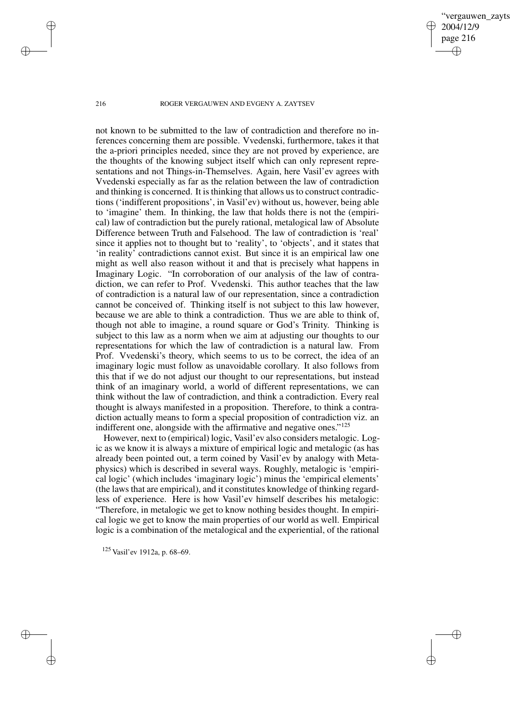vergauwen zavts 2004/12/9 page 216 ✐ ✐

✐

✐

216 ROGER VERGAUWEN AND EVGENY A. ZAYTSEV

not known to be submitted to the law of contradiction and therefore no inferences concerning them are possible. Vvedenski, furthermore, takes it that the a-priori principles needed, since they are not proved by experience, are the thoughts of the knowing subject itself which can only represent representations and not Things-in-Themselves. Again, here Vasil'ev agrees with Vvedenski especially as far as the relation between the law of contradiction and thinking is concerned. It is thinking that allows us to construct contradictions ('indifferent propositions', in Vasil'ev) without us, however, being able to 'imagine' them. In thinking, the law that holds there is not the (empirical) law of contradiction but the purely rational, metalogical law of Absolute Difference between Truth and Falsehood. The law of contradiction is 'real' since it applies not to thought but to 'reality', to 'objects', and it states that 'in reality' contradictions cannot exist. But since it is an empirical law one might as well also reason without it and that is precisely what happens in Imaginary Logic. "In corroboration of our analysis of the law of contradiction, we can refer to Prof. Vvedenski. This author teaches that the law of contradiction is a natural law of our representation, since a contradiction cannot be conceived of. Thinking itself is not subject to this law however, because we are able to think a contradiction. Thus we are able to think of, though not able to imagine, a round square or God's Trinity. Thinking is subject to this law as a norm when we aim at adjusting our thoughts to our representations for which the law of contradiction is a natural law. From Prof. Vvedenski's theory, which seems to us to be correct, the idea of an imaginary logic must follow as unavoidable corollary. It also follows from this that if we do not adjust our thought to our representations, but instead think of an imaginary world, a world of different representations, we can think without the law of contradiction, and think a contradiction. Every real thought is always manifested in a proposition. Therefore, to think a contradiction actually means to form a special proposition of contradiction viz. an indifferent one, alongside with the affirmative and negative ones."<sup>125</sup>

However, next to (empirical) logic, Vasil'ev also considers metalogic. Logic as we know it is always a mixture of empirical logic and metalogic (as has already been pointed out, a term coined by Vasil'ev by analogy with Metaphysics) which is described in several ways. Roughly, metalogic is 'empirical logic' (which includes 'imaginary logic') minus the 'empirical elements' (the laws that are empirical), and it constitutes knowledge of thinking regardless of experience. Here is how Vasil'ev himself describes his metalogic: "Therefore, in metalogic we get to know nothing besides thought. In empirical logic we get to know the main properties of our world as well. Empirical logic is a combination of the metalogical and the experiential, of the rational

<sup>125</sup> Vasil'ev 1912a, p. 68–69.

 $\rightarrow$ 

 $\rightarrow$ 

✐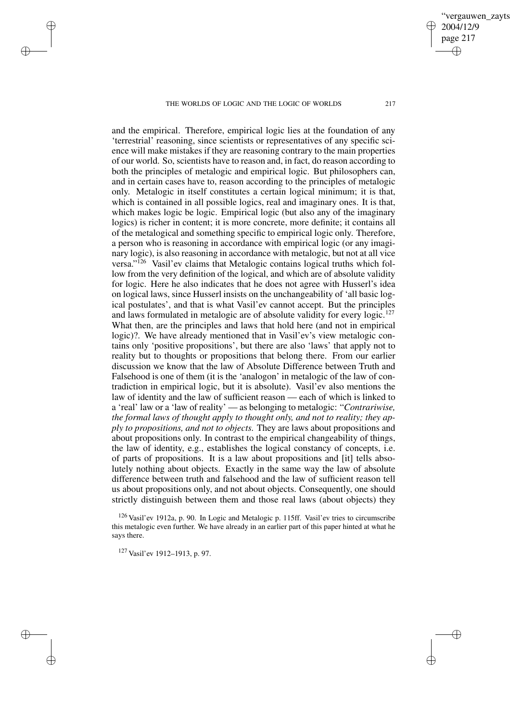and the empirical. Therefore, empirical logic lies at the foundation of any 'terrestrial' reasoning, since scientists or representatives of any specific science will make mistakes if they are reasoning contrary to the main properties of our world. So, scientists have to reason and, in fact, do reason according to both the principles of metalogic and empirical logic. But philosophers can, and in certain cases have to, reason according to the principles of metalogic only. Metalogic in itself constitutes a certain logical minimum; it is that, which is contained in all possible logics, real and imaginary ones. It is that, which makes logic be logic. Empirical logic (but also any of the imaginary logics) is richer in content; it is more concrete, more definite; it contains all of the metalogical and something specific to empirical logic only. Therefore, a person who is reasoning in accordance with empirical logic (or any imaginary logic), is also reasoning in accordance with metalogic, but not at all vice versa."<sup>126</sup> Vasil'ev claims that Metalogic contains logical truths which follow from the very definition of the logical, and which are of absolute validity for logic. Here he also indicates that he does not agree with Husserl's idea on logical laws, since Husserl insists on the unchangeability of 'all basic logical postulates', and that is what Vasil'ev cannot accept. But the principles and laws formulated in metalogic are of absolute validity for every logic.<sup>127</sup> What then, are the principles and laws that hold here (and not in empirical logic)?. We have already mentioned that in Vasil'ev's view metalogic contains only 'positive propositions', but there are also 'laws' that apply not to reality but to thoughts or propositions that belong there. From our earlier discussion we know that the law of Absolute Difference between Truth and Falsehood is one of them (it is the 'analogon' in metalogic of the law of contradiction in empirical logic, but it is absolute). Vasil'ev also mentions the law of identity and the law of sufficient reason — each of which is linked to a 'real' law or a 'law of reality' — as belonging to metalogic: "*Contrariwise, the formal laws of thought apply to thought only, and not to reality; they apply to propositions, and not to objects.* They are laws about propositions and about propositions only. In contrast to the empirical changeability of things, the law of identity, e.g., establishes the logical constancy of concepts, i.e. of parts of propositions. It is a law about propositions and [it] tells absolutely nothing about objects. Exactly in the same way the law of absolute difference between truth and falsehood and the law of sufficient reason tell us about propositions only, and not about objects. Consequently, one should strictly distinguish between them and those real laws (about objects) they

<sup>126</sup> Vasil'ev 1912a, p. 90. In Logic and Metalogic p. 115ff. Vasil'ev tries to circumscribe this metalogic even further. We have already in an earlier part of this paper hinted at what he says there.

<sup>127</sup> Vasil'ev 1912–1913, p. 97.

✐

✐

✐

✐

ergauwen zayts 2004/12/9 page 217 ✐ ✐

✐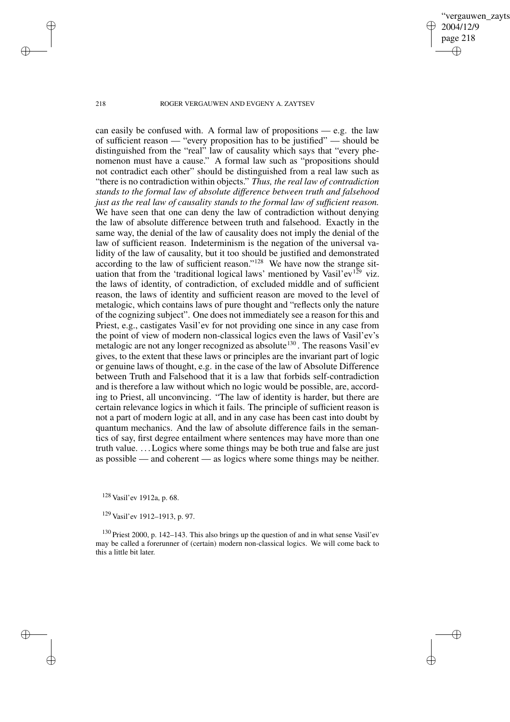vergauwen zayts 2004/12/9 page 218 ✐ ✐

✐

✐

218 ROGER VERGAUWEN AND EVGENY A. ZAYTSEV

can easily be confused with. A formal law of propositions  $-$  e.g. the law of sufficient reason — "every proposition has to be justified" — should be distinguished from the "real" law of causality which says that "every phenomenon must have a cause." A formal law such as "propositions should not contradict each other" should be distinguished from a real law such as "there is no contradiction within objects." *Thus, the real law of contradiction stands to the formal law of absolute difference between truth and falsehood just as the real law of causality stands to the formal law of sufficient reason.* We have seen that one can deny the law of contradiction without denying the law of absolute difference between truth and falsehood. Exactly in the same way, the denial of the law of causality does not imply the denial of the law of sufficient reason. Indeterminism is the negation of the universal validity of the law of causality, but it too should be justified and demonstrated according to the law of sufficient reason."<sup>128</sup> We have now the strange situation that from the 'traditional logical laws' mentioned by Vasil'ev<sup>129</sup> viz. the laws of identity, of contradiction, of excluded middle and of sufficient reason, the laws of identity and sufficient reason are moved to the level of metalogic, which contains laws of pure thought and "reflects only the nature of the cognizing subject". One does not immediately see a reason for this and Priest, e.g., castigates Vasil'ev for not providing one since in any case from the point of view of modern non-classical logics even the laws of Vasil'ev's metalogic are not any longer recognized as absolute<sup>130</sup>. The reasons Vasil'ev gives, to the extent that these laws or principles are the invariant part of logic or genuine laws of thought, e.g. in the case of the law of Absolute Difference between Truth and Falsehood that it is a law that forbids self-contradiction and is therefore a law without which no logic would be possible, are, according to Priest, all unconvincing. "The law of identity is harder, but there are certain relevance logics in which it fails. The principle of sufficient reason is not a part of modern logic at all, and in any case has been cast into doubt by quantum mechanics. And the law of absolute difference fails in the semantics of say, first degree entailment where sentences may have more than one truth value. . . .Logics where some things may be both true and false are just as possible — and coherent — as logics where some things may be neither.

<sup>128</sup> Vasil'ev 1912a, p. 68.

<sup>129</sup> Vasil'ev 1912–1913, p. 97.

<sup>130</sup> Priest 2000, p. 142–143. This also brings up the question of and in what sense Vasil'ev may be called a forerunner of (certain) modern non-classical logics. We will come back to this a little bit later.

✐

✐

✐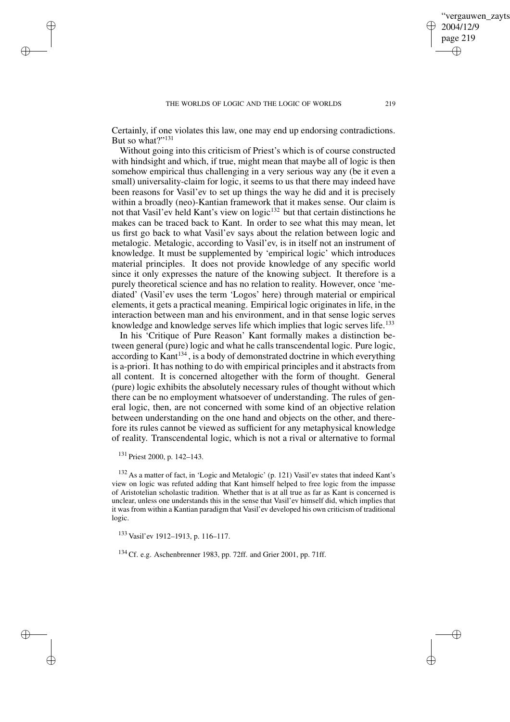Certainly, if one violates this law, one may end up endorsing contradictions. But so what?"<sup>131</sup>

Without going into this criticism of Priest's which is of course constructed with hindsight and which, if true, might mean that maybe all of logic is then somehow empirical thus challenging in a very serious way any (be it even a small) universality-claim for logic, it seems to us that there may indeed have been reasons for Vasil'ev to set up things the way he did and it is precisely within a broadly (neo)-Kantian framework that it makes sense. Our claim is not that Vasil'ev held Kant's view on logic<sup>132</sup> but that certain distinctions he makes can be traced back to Kant. In order to see what this may mean, let us first go back to what Vasil'ev says about the relation between logic and metalogic. Metalogic, according to Vasil'ev, is in itself not an instrument of knowledge. It must be supplemented by 'empirical logic' which introduces material principles. It does not provide knowledge of any specific world since it only expresses the nature of the knowing subject. It therefore is a purely theoretical science and has no relation to reality. However, once 'mediated' (Vasil'ev uses the term 'Logos' here) through material or empirical elements, it gets a practical meaning. Empirical logic originates in life, in the interaction between man and his environment, and in that sense logic serves knowledge and knowledge serves life which implies that logic serves life.<sup>133</sup>

In his 'Critique of Pure Reason' Kant formally makes a distinction between general (pure) logic and what he calls transcendental logic. Pure logic, according to Kant<sup>134</sup>, is a body of demonstrated doctrine in which everything is a-priori. It has nothing to do with empirical principles and it abstracts from all content. It is concerned altogether with the form of thought. General (pure) logic exhibits the absolutely necessary rules of thought without which there can be no employment whatsoever of understanding. The rules of general logic, then, are not concerned with some kind of an objective relation between understanding on the one hand and objects on the other, and therefore its rules cannot be viewed as sufficient for any metaphysical knowledge of reality. Transcendental logic, which is not a rival or alternative to formal

✐

✐

✐

✐

<sup>132</sup> As a matter of fact, in 'Logic and Metalogic' (p. 121) Vasil'ev states that indeed Kant's view on logic was refuted adding that Kant himself helped to free logic from the impasse of Aristotelian scholastic tradition. Whether that is at all true as far as Kant is concerned is unclear, unless one understands this in the sense that Vasil'ev himself did, which implies that it was from within a Kantian paradigm that Vasil'ev developed his own criticism of traditional logic.

<sup>133</sup> Vasil'ev 1912–1913, p. 116–117.

<sup>134</sup> Cf. e.g. Aschenbrenner 1983, pp. 72ff. and Grier 2001, pp. 71ff.

ergauwen zayts

2004/12/9 page 219

✐

✐

✐

<sup>131</sup> Priest 2000, p. 142–143.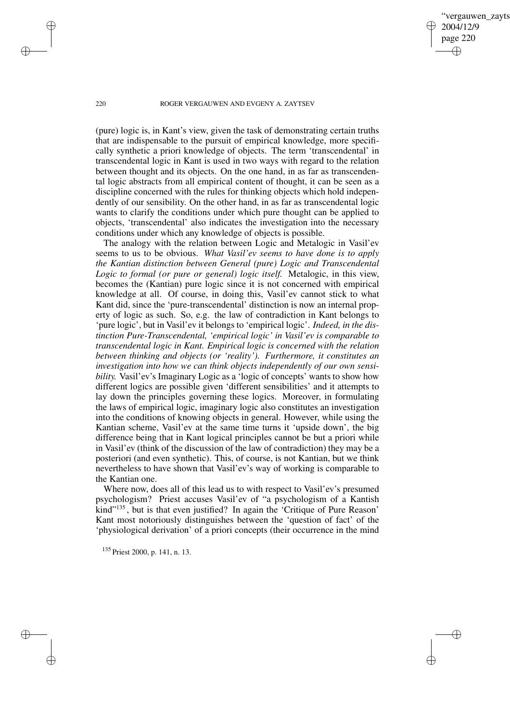vergauwen zayts 2004/12/9 page 220 ✐ ✐

✐

✐

### 220 ROGER VERGAUWEN AND EVGENY A. ZAYTSEV

(pure) logic is, in Kant's view, given the task of demonstrating certain truths that are indispensable to the pursuit of empirical knowledge, more specifically synthetic a priori knowledge of objects. The term 'transcendental' in transcendental logic in Kant is used in two ways with regard to the relation between thought and its objects. On the one hand, in as far as transcendental logic abstracts from all empirical content of thought, it can be seen as a discipline concerned with the rules for thinking objects which hold independently of our sensibility. On the other hand, in as far as transcendental logic wants to clarify the conditions under which pure thought can be applied to objects, 'transcendental' also indicates the investigation into the necessary conditions under which any knowledge of objects is possible.

The analogy with the relation between Logic and Metalogic in Vasil'ev seems to us to be obvious. *What Vasil'ev seems to have done is to apply the Kantian distinction between General (pure) Logic and Transcendental Logic to formal (or pure or general) logic itself.* Metalogic, in this view, becomes the (Kantian) pure logic since it is not concerned with empirical knowledge at all. Of course, in doing this, Vasil'ev cannot stick to what Kant did, since the 'pure-transcendental' distinction is now an internal property of logic as such. So, e.g. the law of contradiction in Kant belongs to 'pure logic', but in Vasil'ev it belongs to 'empirical logic'. *Indeed, in the distinction Pure-Transcendental, 'empirical logic' in Vasil'ev is comparable to transcendental logic in Kant. Empirical logic is concerned with the relation between thinking and objects (or 'reality'). Furthermore, it constitutes an investigation into how we can think objects independently of our own sensibility.* Vasil'ev's Imaginary Logic as a 'logic of concepts' wants to show how different logics are possible given 'different sensibilities' and it attempts to lay down the principles governing these logics. Moreover, in formulating the laws of empirical logic, imaginary logic also constitutes an investigation into the conditions of knowing objects in general. However, while using the Kantian scheme, Vasil'ev at the same time turns it 'upside down', the big difference being that in Kant logical principles cannot be but a priori while in Vasil'ev (think of the discussion of the law of contradiction) they may be a posteriori (and even synthetic). This, of course, is not Kantian, but we think nevertheless to have shown that Vasil'ev's way of working is comparable to the Kantian one.

Where now, does all of this lead us to with respect to Vasil'ev's presumed psychologism? Priest accuses Vasil'ev of "a psychologism of a Kantish kind"<sup>135</sup>, but is that even justified? In again the 'Critique of Pure Reason' Kant most notoriously distinguishes between the 'question of fact' of the 'physiological derivation' of a priori concepts (their occurrence in the mind

<sup>135</sup> Priest 2000, p. 141, n. 13.

✐

✐

✐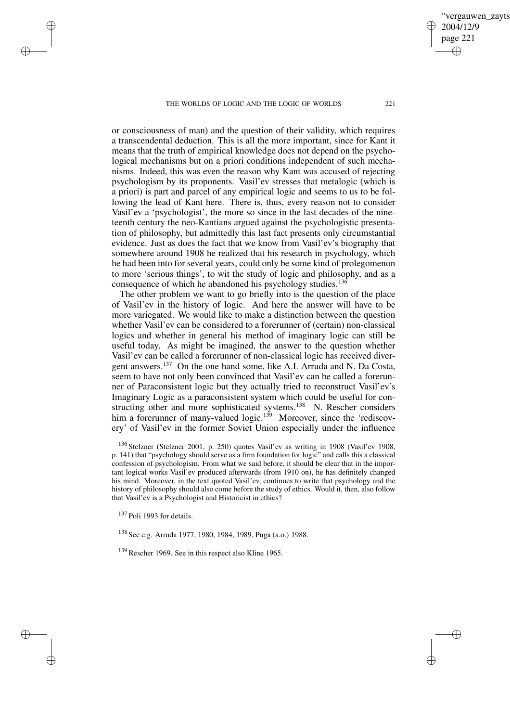or consciousness of man) and the question of their validity, which requires a transcendental deduction. This is all the more important, since for Kant it means that the truth of empirical knowledge does not depend on the psychological mechanisms but on a priori conditions independent of such mechanisms. Indeed, this was even the reason why Kant was accused of rejecting psychologism by its proponents. Vasil'ev stresses that metalogic (which is a priori) is part and parcel of any empirical logic and seems to us to be following the lead of Kant here. There is, thus, every reason not to consider Vasil'ev a 'psychologist', the more so since in the last decades of the nineteenth century the neo-Kantians argued against the psychologistic presentation of philosophy, but admittedly this last fact presents only circumstantial evidence. Just as does the fact that we know from Vasil'ev's biography that somewhere around 1908 he realized that his research in psychology, which he had been into for several years, could only be some kind of prolegomenon to more 'serious things', to wit the study of logic and philosophy, and as a consequence of which he abandoned his psychology studies.<sup>136</sup>

The other problem we want to go briefly into is the question of the place of Vasil'ev in the history of logic. And here the answer will have to be more variegated. We would like to make a distinction between the question whether Vasil'ev can be considered to a forerunner of (certain) non-classical logics and whether in general his method of imaginary logic can still be useful today. As might be imagined, the answer to the question whether Vasil'ev can be called a forerunner of non-classical logic has received divergent answers.<sup>137</sup> On the one hand some, like A.I. Arruda and N. Da Costa, seem to have not only been convinced that Vasil'ev can be called a forerunner of Paraconsistent logic but they actually tried to reconstruct Vasil'ev's Imaginary Logic as a paraconsistent system which could be useful for constructing other and more sophisticated systems.<sup>138</sup> N. Rescher considers him a forerunner of many-valued logic.<sup>139</sup> Moreover, since the 'rediscovery' of Vasil'ev in the former Soviet Union especially under the influence

<sup>137</sup> Poli 1993 for details.

✐

✐

✐

✐

<sup>138</sup> See e.g. Arruda 1977, 1980, 1984, 1989, Puga (a.o.) 1988.

<sup>139</sup> Rescher 1969. See in this respect also Kline 1965.

vergauwen zavts

2004/12/9 page 221

✐

✐

✐

<sup>136</sup> Stelzner (Stelzner 2001, p. 250) quotes Vasil'ev as writing in 1908 (Vasil'ev 1908, p. 141) that "psychology should serve as a firm foundation for logic" and calls this a classical confession of psychologism. From what we said before, it should be clear that in the important logical works Vasil'ev produced afterwards (from 1910 on), he has definitely changed his mind. Moreover, in the text quoted Vasil'ev, continues to write that psychology and the history of philosophy should also come before the study of ethics. Would it, then, also follow that Vasil'ev is a Psychologist and Historicist in ethics?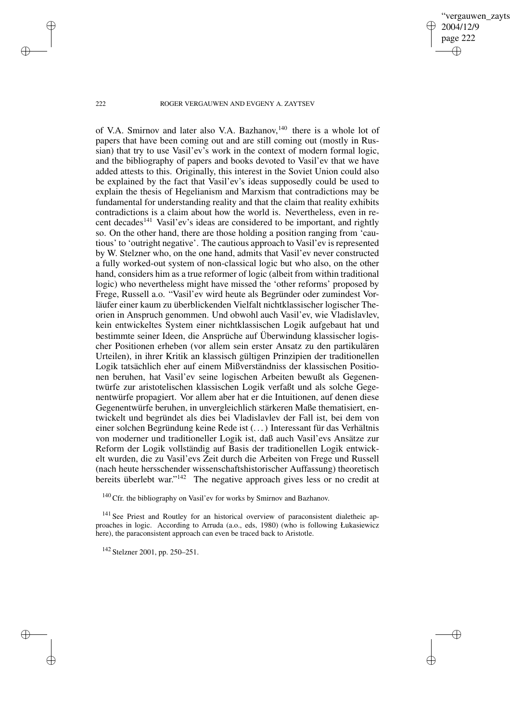vergauwen zavts 2004/12/9 page 222 ✐ ✐

✐

✐

### 222 ROGER VERGAUWEN AND EVGENY A. ZAYTSEV

of V.A. Smirnov and later also V.A. Bazhanov,<sup>140</sup> there is a whole lot of papers that have been coming out and are still coming out (mostly in Russian) that try to use Vasil'ev's work in the context of modern formal logic, and the bibliography of papers and books devoted to Vasil'ev that we have added attests to this. Originally, this interest in the Soviet Union could also be explained by the fact that Vasil'ev's ideas supposedly could be used to explain the thesis of Hegelianism and Marxism that contradictions may be fundamental for understanding reality and that the claim that reality exhibits contradictions is a claim about how the world is. Nevertheless, even in recent decades<sup>141</sup> Vasil'ev's ideas are considered to be important, and rightly so. On the other hand, there are those holding a position ranging from 'cautious' to 'outright negative'. The cautious approach to Vasil'ev isrepresented by W. Stelzner who, on the one hand, admits that Vasil'ev never constructed a fully worked-out system of non-classical logic but who also, on the other hand, considers him as a true reformer of logic (albeit from within traditional logic) who nevertheless might have missed the 'other reforms' proposed by Frege, Russell a.o. "Vasil'ev wird heute als Begründer oder zumindest Vorläufer einer kaum zu überblickenden Vielfalt nichtklassischer logischer Theorien in Anspruch genommen. Und obwohl auch Vasil'ev, wie Vladislavlev, kein entwickeltes System einer nichtklassischen Logik aufgebaut hat und bestimmte seiner Ideen, die Ansprüche auf Überwindung klassischer logischer Positionen erheben (vor allem sein erster Ansatz zu den partikulären Urteilen), in ihrer Kritik an klassisch gültigen Prinzipien der traditionellen Logik tatsächlich eher auf einem Mißverständniss der klassischen Positionen beruhen, hat Vasil'ev seine logischen Arbeiten bewußt als Gegenentwürfe zur aristotelischen klassischen Logik verfaßt und als solche Gegenentwürfe propagiert. Vor allem aber hat er die Intuitionen, auf denen diese Gegenentwürfe beruhen, in unvergleichlich stärkeren Maße thematisiert, entwickelt und begründet als dies bei Vladislavlev der Fall ist, bei dem von einer solchen Begründung keine Rede ist (. . .) Interessant für das Verhältnis von moderner und traditioneller Logik ist, daß auch Vasil'evs Ansätze zur Reform der Logik vollständig auf Basis der traditionellen Logik entwickelt wurden, die zu Vasil'evs Zeit durch die Arbeiten von Frege und Russell (nach heute hersschender wissenschaftshistorischer Auffassung) theoretisch bereits überlebt war."<sup>142</sup> The negative approach gives less or no credit at

<sup>140</sup> Cfr. the bibliography on Vasil'ev for works by Smirnov and Bazhanov.

<sup>141</sup> See Priest and Routley for an historical overview of paraconsistent dialetheic approaches in logic. According to Arruda (a.o., eds, 1980) (who is following Łukasiewicz here), the paraconsistent approach can even be traced back to Aristotle.

<sup>142</sup> Stelzner 2001, pp. 250–251.

✐

✐

✐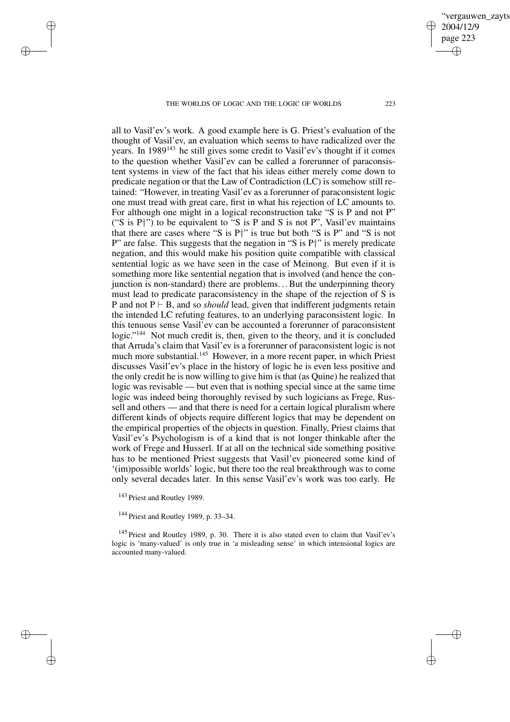all to Vasil'ev's work. A good example here is G. Priest's evaluation of the thought of Vasil'ev, an evaluation which seems to have radicalized over the years. In 1989<sup>143</sup> he still gives some credit to Vasil'ev's thought if it comes to the question whether Vasil'ev can be called a forerunner of paraconsistent systems in view of the fact that his ideas either merely come down to predicate negation or that the Law of Contradiction (LC) is somehow still retained: "However, in treating Vasil'ev as a forerunner of paraconsistent logic one must tread with great care, first in what his rejection of LC amounts to. For although one might in a logical reconstruction take "S is P and not P" ("S is  $P^{\dagger}$ ") to be equivalent to "S is P and S is not P", Vasil'ev maintains that there are cases where "S is P†" is true but both "S is P" and "S is not P" are false. This suggests that the negation in "S is  $P_1$ " is merely predicate negation, and this would make his position quite compatible with classical sentential logic as we have seen in the case of Meinong. But even if it is something more like sentential negation that is involved (and hence the conjunction is non-standard) there are problems... But the underpinning theory must lead to predicate paraconsistency in the shape of the rejection of S is P and not  $P \vdash B$ , and so *should* lead, given that indifferent judgments retain the intended LC refuting features, to an underlying paraconsistent logic. In this tenuous sense Vasil'ev can be accounted a forerunner of paraconsistent logic."<sup>144</sup> Not much credit is, then, given to the theory, and it is concluded that Arruda's claim that Vasil'ev is a forerunner of paraconsistent logic is not much more substantial.<sup>145</sup> However, in a more recent paper, in which Priest discusses Vasil'ev's place in the history of logic he is even less positive and the only credit he is now willing to give him is that (as Quine) he realized that logic was revisable — but even that is nothing special since at the same time logic was indeed being thoroughly revised by such logicians as Frege, Russell and others — and that there is need for a certain logical pluralism where different kinds of objects require different logics that may be dependent on the empirical properties of the objects in question. Finally, Priest claims that Vasil'ev's Psychologism is of a kind that is not longer thinkable after the work of Frege and Husserl. If at all on the technical side something positive has to be mentioned Priest suggests that Vasil'ev pioneered some kind of '(im)possible worlds' logic, but there too the real breakthrough was to come only several decades later. In this sense Vasil'ev's work was too early. He

✐

✐

✐

✐

<sup>145</sup> Priest and Routley 1989, p. 30. There it is also stated even to claim that Vasil'ev's logic is 'many-valued' is only true in 'a misleading sense' in which intensional logics are accounted many-valued.

vergauwen zavts 2004/12/9 page 223 ✐ ✐

✐

<sup>&</sup>lt;sup>143</sup> Priest and Routley 1989.

<sup>&</sup>lt;sup>144</sup> Priest and Routley 1989, p. 33–34.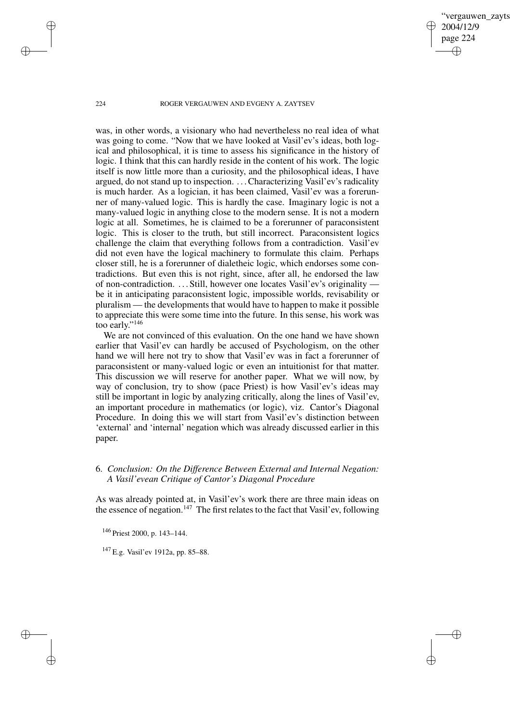vergauwen zayts 2004/12/9 page 224 ✐ ✐

✐

✐

## 224 ROGER VERGAUWEN AND EVGENY A. ZAYTSEV

was, in other words, a visionary who had nevertheless no real idea of what was going to come. "Now that we have looked at Vasil'ev's ideas, both logical and philosophical, it is time to assess his significance in the history of logic. I think that this can hardly reside in the content of his work. The logic itself is now little more than a curiosity, and the philosophical ideas, I have argued, do not stand up to inspection. . . .Characterizing Vasil'ev's radicality is much harder. As a logician, it has been claimed, Vasil'ev was a forerunner of many-valued logic. This is hardly the case. Imaginary logic is not a many-valued logic in anything close to the modern sense. It is not a modern logic at all. Sometimes, he is claimed to be a forerunner of paraconsistent logic. This is closer to the truth, but still incorrect. Paraconsistent logics challenge the claim that everything follows from a contradiction. Vasil'ev did not even have the logical machinery to formulate this claim. Perhaps closer still, he is a forerunner of dialetheic logic, which endorses some contradictions. But even this is not right, since, after all, he endorsed the law of non-contradiction. . . . Still, however one locates Vasil'ev's originality be it in anticipating paraconsistent logic, impossible worlds, revisability or pluralism — the developments that would have to happen to make it possible to appreciate this were some time into the future. In this sense, his work was too early."<sup>146</sup>

We are not convinced of this evaluation. On the one hand we have shown earlier that Vasil'ev can hardly be accused of Psychologism, on the other hand we will here not try to show that Vasil'ev was in fact a forerunner of paraconsistent or many-valued logic or even an intuitionist for that matter. This discussion we will reserve for another paper. What we will now, by way of conclusion, try to show (pace Priest) is how Vasil'ev's ideas may still be important in logic by analyzing critically, along the lines of Vasil'ev, an important procedure in mathematics (or logic), viz. Cantor's Diagonal Procedure. In doing this we will start from Vasil'ev's distinction between 'external' and 'internal' negation which was already discussed earlier in this paper.

# 6. *Conclusion: On the Difference Between External and Internal Negation: A Vasil'evean Critique of Cantor's Diagonal Procedure*

As was already pointed at, in Vasil'ev's work there are three main ideas on the essence of negation.<sup>147</sup> The first relates to the fact that Vasil'ev, following

<sup>146</sup> Priest 2000, p. 143–144.

<sup>147</sup> E.g. Vasil'ev 1912a, pp. 85–88.

✐

✐

✐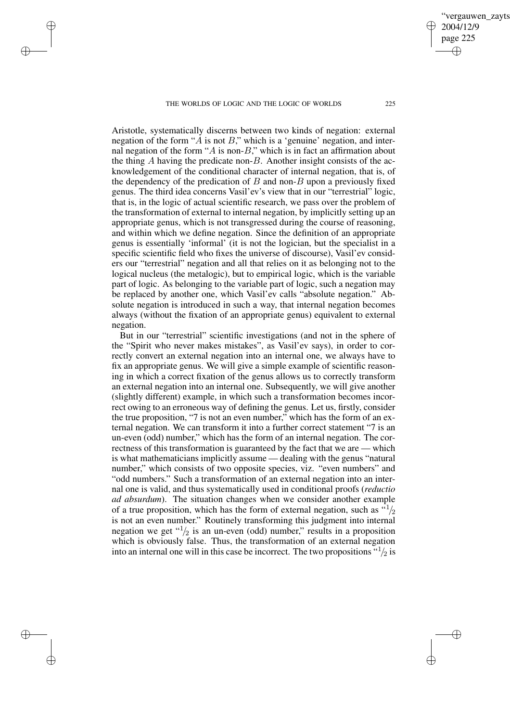✐

✐

✐

✐

ergauwen zayts

2004/12/9 page 225

✐

✐

✐

✐

Aristotle, systematically discerns between two kinds of negation: external negation of the form " $\ddot{A}$  is not  $\ddot{B}$ ," which is a 'genuine' negation, and internal negation of the form " $\ddot{A}$  is non- $\ddot{B}$ ," which is in fact an affirmation about the thing A having the predicate non-B. Another insight consists of the acknowledgement of the conditional character of internal negation, that is, of the dependency of the predication of  $B$  and non- $B$  upon a previously fixed genus. The third idea concerns Vasil'ev's view that in our "terrestrial" logic, that is, in the logic of actual scientific research, we pass over the problem of the transformation of external to internal negation, by implicitly setting up an appropriate genus, which is not transgressed during the course of reasoning, and within which we define negation. Since the definition of an appropriate genus is essentially 'informal' (it is not the logician, but the specialist in a specific scientific field who fixes the universe of discourse), Vasil'ev considers our "terrestrial" negation and all that relies on it as belonging not to the logical nucleus (the metalogic), but to empirical logic, which is the variable part of logic. As belonging to the variable part of logic, such a negation may be replaced by another one, which Vasil'ev calls "absolute negation." Absolute negation is introduced in such a way, that internal negation becomes always (without the fixation of an appropriate genus) equivalent to external negation.

But in our "terrestrial" scientific investigations (and not in the sphere of the "Spirit who never makes mistakes", as Vasil'ev says), in order to correctly convert an external negation into an internal one, we always have to fix an appropriate genus. We will give a simple example of scientific reasoning in which a correct fixation of the genus allows us to correctly transform an external negation into an internal one. Subsequently, we will give another (slightly different) example, in which such a transformation becomes incorrect owing to an erroneous way of defining the genus. Let us, firstly, consider the true proposition, "7 is not an even number," which has the form of an external negation. We can transform it into a further correct statement "7 is an un-even (odd) number," which has the form of an internal negation. The correctness of this transformation is guaranteed by the fact that we are — which is what mathematicians implicitly assume — dealing with the genus "natural number," which consists of two opposite species, viz. "even numbers" and "odd numbers." Such a transformation of an external negation into an internal one is valid, and thus systematically used in conditional proofs (*reductio ad absurdum*). The situation changes when we consider another example of a true proposition, which has the form of external negation, such as  $\frac{d^{1}}{2}$ is not an even number." Routinely transforming this judgment into internal negation we get " $1/2$  is an un-even (odd) number," results in a proposition which is obviously false. Thus, the transformation of an external negation into an internal one will in this case be incorrect. The two propositions  $\frac{1}{2}$  is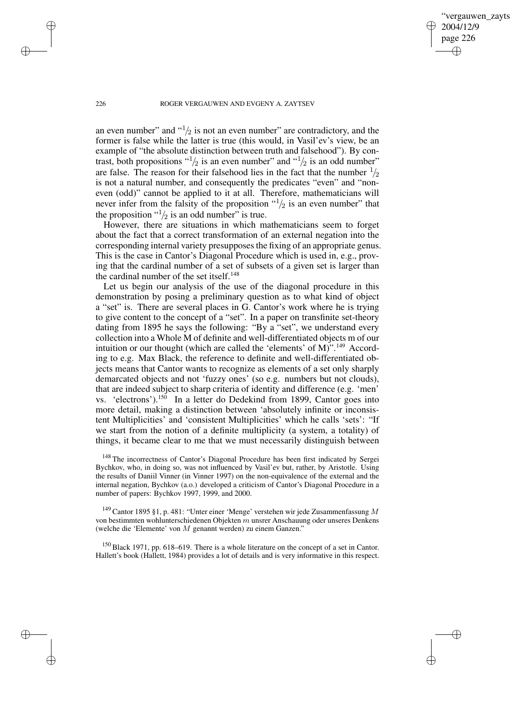✐

### 226 ROGER VERGAUWEN AND EVGENY A. ZAYTSEV

an even number" and " $\frac{1}{2}$  is not an even number" are contradictory, and the former is false while the latter is true (this would, in Vasil'ev's view, be an example of "the absolute distinction between truth and falsehood"). By contrast, both propositions " $\frac{1}{2}$  is an even number" and " $\frac{1}{2}$  is an odd number" are false. The reason for their falsehood lies in the fact that the number  $\frac{1}{2}$ is not a natural number, and consequently the predicates "even" and "noneven (odd)" cannot be applied to it at all. Therefore, mathematicians will never infer from the falsity of the proposition  $\binom{1}{2}$  is an even number" that the proposition  $\frac{1}{2}$  is an odd number" is true.

However, there are situations in which mathematicians seem to forget about the fact that a correct transformation of an external negation into the corresponding internal variety presupposesthe fixing of an appropriate genus. This is the case in Cantor's Diagonal Procedure which is used in, e.g., proving that the cardinal number of a set of subsets of a given set is larger than the cardinal number of the set itself.<sup>148</sup>

Let us begin our analysis of the use of the diagonal procedure in this demonstration by posing a preliminary question as to what kind of object a "set" is. There are several places in G. Cantor's work where he is trying to give content to the concept of a "set". In a paper on transfinite set-theory dating from 1895 he says the following: "By a "set", we understand every collection into a Whole M of definite and well-differentiated objects m of our intuition or our thought (which are called the 'elements' of M)".<sup>149</sup> According to e.g. Max Black, the reference to definite and well-differentiated objects means that Cantor wants to recognize as elements of a set only sharply demarcated objects and not 'fuzzy ones' (so e.g. numbers but not clouds), that are indeed subject to sharp criteria of identity and difference (e.g. 'men' vs. 'electrons').<sup>150</sup> In a letter do Dedekind from 1899, Cantor goes into more detail, making a distinction between 'absolutely infinite or inconsistent Multiplicities' and 'consistent Multiplicities' which he calls 'sets': "If we start from the notion of a definite multiplicity (a system, a totality) of things, it became clear to me that we must necessarily distinguish between

<sup>148</sup> The incorrectness of Cantor's Diagonal Procedure has been first indicated by Sergei Bychkov, who, in doing so, was not influenced by Vasil'ev but, rather, by Aristotle. Using the results of Daniil Vinner (in Vinner 1997) on the non-equivalence of the external and the internal negation, Bychkov (a.o.) developed a criticism of Cantor's Diagonal Procedure in a number of papers: Bychkov 1997, 1999, and 2000.

 $^{149}$  Cantor 1895 §1, p. 481: "Unter einer 'Menge' verstehen wir jede Zusammenfassung  $M$ von bestimmten wohlunterschiedenen Objekten m unsrer Anschauung oder unseres Denkens (welche die 'Elemente' von M genannt werden) zu einem Ganzen."

<sup>150</sup> Black 1971, pp. 618–619. There is a whole literature on the concept of a set in Cantor. Hallett's book (Hallett, 1984) provides a lot of details and is very informative in this respect.

✐

✐

✐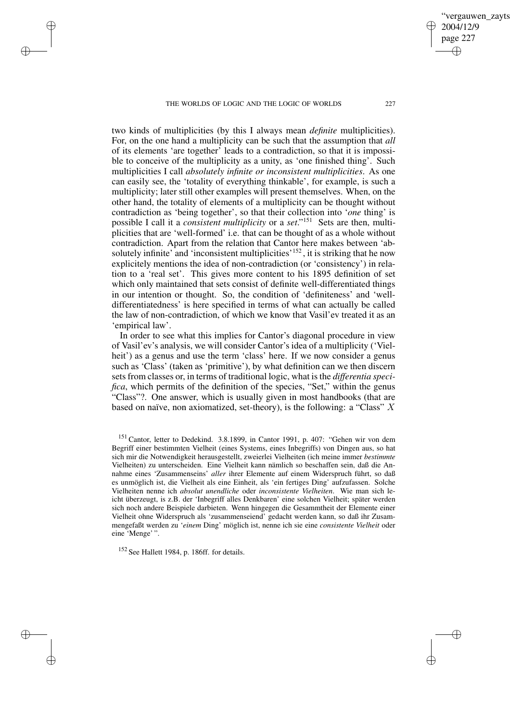✐

✐

✐

✐

two kinds of multiplicities (by this I always mean *definite* multiplicities). For, on the one hand a multiplicity can be such that the assumption that *all* of its elements 'are together' leads to a contradiction, so that it is impossible to conceive of the multiplicity as a unity, as 'one finished thing'. Such multiplicities I call *absolutely infinite or inconsistent multiplicities*. As one can easily see, the 'totality of everything thinkable', for example, is such a multiplicity; later still other examples will present themselves. When, on the other hand, the totality of elements of a multiplicity can be thought without contradiction as 'being together', so that their collection into '*one* thing' is possible I call it a *consistent multiplicity* or a *set*." <sup>151</sup> Sets are then, multiplicities that are 'well-formed' i.e. that can be thought of as a whole without contradiction. Apart from the relation that Cantor here makes between 'absolutely infinite' and 'inconsistent multiplicities'<sup>152</sup>, it is striking that he now explicitely mentions the idea of non-contradiction (or 'consistency') in relation to a 'real set'. This gives more content to his 1895 definition of set which only maintained that sets consist of definite well-differentiated things in our intention or thought. So, the condition of 'definiteness' and 'welldifferentiatedness' is here specified in terms of what can actually be called the law of non-contradiction, of which we know that Vasil'ev treated it as an 'empirical law'.

In order to see what this implies for Cantor's diagonal procedure in view of Vasil'ev's analysis, we will consider Cantor's idea of a multiplicity ('Vielheit') as a genus and use the term 'class' here. If we now consider a genus such as 'Class' (taken as 'primitive'), by what definition can we then discern sets from classes or, in terms of traditional logic, what is the *differentia specifica*, which permits of the definition of the species, "Set," within the genus "Class"?. One answer, which is usually given in most handbooks (that are based on naïve, non axiomatized, set-theory), is the following: a "Class"  $X$ 

<sup>152</sup> See Hallett 1984, p. 186ff. for details.

vergauwen zayts

2004/12/9 page 227

✐

✐

✐

<sup>151</sup> Cantor, letter to Dedekind. 3.8.1899, in Cantor 1991, p. 407: "Gehen wir von dem Begriff einer bestimmten Vielheit (eines Systems, eines Inbegriffs) von Dingen aus, so hat sich mir die Notwendigkeit herausgestellt, zweierlei Vielheiten (ich meine immer *bestimmte* Vielheiten) zu unterscheiden. Eine Vielheit kann nämlich so beschaffen sein, daß die Annahme eines 'Zusammenseins' *aller* ihrer Elemente auf einem Widerspruch führt, so daß es unmöglich ist, die Vielheit als eine Einheit, als 'ein fertiges Ding' aufzufassen. Solche Vielheiten nenne ich *absolut unendliche* oder *inconsistente Vielheiten*. Wie man sich leicht überzeugt, is z.B. der 'Inbegriff alles Denkbaren' eine solchen Vielheit; später werden sich noch andere Beispiele darbieten. Wenn hingegen die Gesammtheit der Elemente einer Vielheit ohne Widerspruch als 'zusammenseiend' gedacht werden kann, so daß ihr Zusammengefaßt werden zu '*einem* Ding' möglich ist, nenne ich sie eine *consistente Vielheit* oder eine 'Menge' ".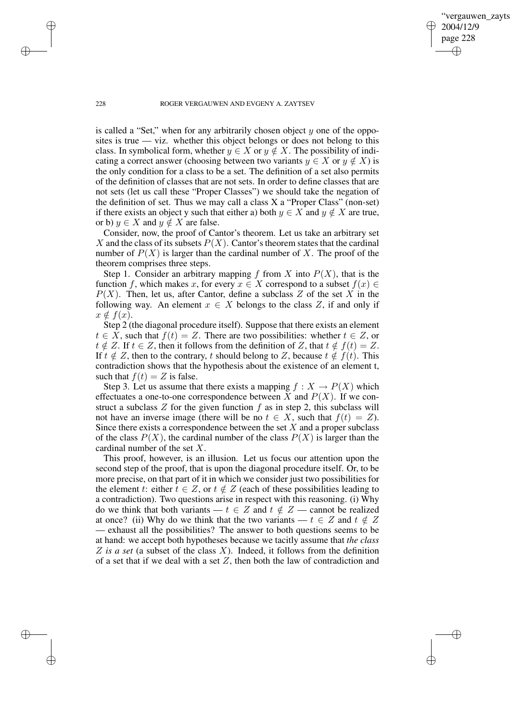✐

#### 228 ROGER VERGAUWEN AND EVGENY A. ZAYTSEV

is called a "Set," when for any arbitrarily chosen object  $y$  one of the opposites is true — viz. whether this object belongs or does not belong to this class. In symbolical form, whether  $y \in X$  or  $y \notin X$ . The possibility of indicating a correct answer (choosing between two variants  $y \in X$  or  $y \notin X$ ) is the only condition for a class to be a set. The definition of a set also permits of the definition of classes that are not sets. In order to define classes that are not sets (let us call these "Proper Classes") we should take the negation of the definition of set. Thus we may call a class X a "Proper Class" (non-set) if there exists an object y such that either a) both  $y \in X$  and  $y \notin X$  are true, or b)  $y \in X$  and  $y \notin X$  are false.

Consider, now, the proof of Cantor's theorem. Let us take an arbitrary set X and the class of its subsets  $P(X)$ . Cantor's theorem states that the cardinal number of  $P(X)$  is larger than the cardinal number of X. The proof of the theorem comprises three steps.

Step 1. Consider an arbitrary mapping f from X into  $P(X)$ , that is the function f, which makes x, for every  $x \in X$  correspond to a subset  $f(x) \in$  $P(X)$ . Then, let us, after Cantor, define a subclass Z of the set X in the following way. An element  $x \in X$  belongs to the class Z, if and only if  $x \notin f(x)$ .

Step 2 (the diagonal procedure itself). Suppose that there exists an element  $t \in \overline{X}$ , such that  $f(t) = Z$ . There are two possibilities: whether  $t \in \overline{Z}$ , or  $t \notin Z$ . If  $t \in Z$ , then it follows from the definition of Z, that  $t \notin f(t) = Z$ . If  $t \notin Z$ , then to the contrary, t should belong to Z, because  $t \notin f(t)$ . This contradiction shows that the hypothesis about the existence of an element t, such that  $f(t) = Z$  is false.

Step 3. Let us assume that there exists a mapping  $f : X \to P(X)$  which effectuates a one-to-one correspondence between X and  $P(X)$ . If we construct a subclass  $Z$  for the given function  $f$  as in step 2, this subclass will not have an inverse image (there will be no  $t \in X$ , such that  $f(t) = Z$ ). Since there exists a correspondence between the set  $X$  and a proper subclass of the class  $P(X)$ , the cardinal number of the class  $P(X)$  is larger than the cardinal number of the set X.

This proof, however, is an illusion. Let us focus our attention upon the second step of the proof, that is upon the diagonal procedure itself. Or, to be more precise, on that part of it in which we consider just two possibilities for the element t: either  $t \in Z$ , or  $t \notin Z$  (each of these possibilities leading to a contradiction). Two questions arise in respect with this reasoning. (i) Why do we think that both variants —  $t \in Z$  and  $t \notin Z$  — cannot be realized at once? (ii) Why do we think that the two variants —  $t \in Z$  and  $t \notin Z$ — exhaust all the possibilities? The answer to both questions seems to be at hand: we accept both hypotheses because we tacitly assume that *the class* Z *is a set* (a subset of the class X). Indeed, it follows from the definition of a set that if we deal with a set  $Z$ , then both the law of contradiction and

✐

✐

✐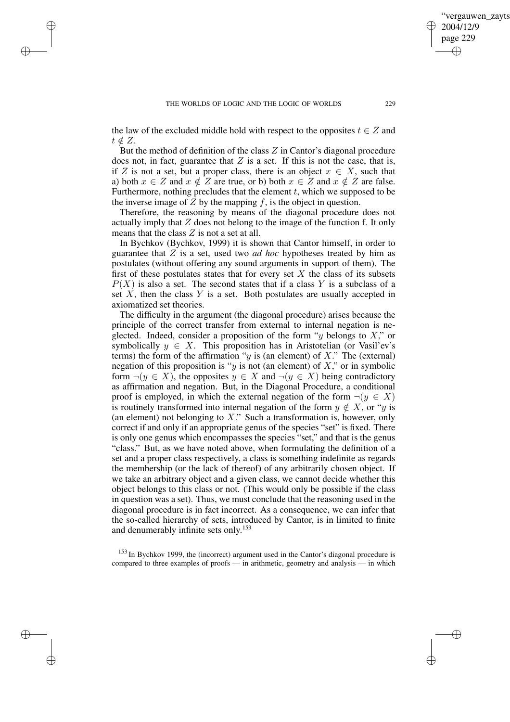✐

✐

✐

the law of the excluded middle hold with respect to the opposites  $t \in Z$  and  $t \notin Z$ .

But the method of definition of the class Z in Cantor's diagonal procedure does not, in fact, guarantee that  $Z$  is a set. If this is not the case, that is, if Z is not a set, but a proper class, there is an object  $x \in X$ , such that a) both  $x \in Z$  and  $x \notin Z$  are true, or b) both  $x \in Z$  and  $x \notin Z$  are false. Furthermore, nothing precludes that the element  $t$ , which we supposed to be the inverse image of  $Z$  by the mapping  $f$ , is the object in question.

Therefore, the reasoning by means of the diagonal procedure does not actually imply that  $Z$  does not belong to the image of the function f. It only means that the class  $Z$  is not a set at all.

In Bychkov (Bychkov, 1999) it is shown that Cantor himself, in order to guarantee that  $Z$  is a set, used two *ad hoc* hypotheses treated by him as postulates (without offering any sound arguments in support of them). The first of these postulates states that for every set  $X$  the class of its subsets  $P(X)$  is also a set. The second states that if a class Y is a subclass of a set  $X$ , then the class  $Y$  is a set. Both postulates are usually accepted in axiomatized set theories.

The difficulty in the argument (the diagonal procedure) arises because the principle of the correct transfer from external to internal negation is neglected. Indeed, consider a proposition of the form "y belongs to  $X$ ," or symbolically  $y \in X$ . This proposition has in Aristotelian (or Vasil'ev's terms) the form of the affirmation " $y$  is (an element) of X." The (external) negation of this proposition is "y is not (an element) of  $X$ ," or in symbolic form  $\neg(y \in X)$ , the opposites  $y \in X$  and  $\neg(y \in X)$  being contradictory as affirmation and negation. But, in the Diagonal Procedure, a conditional proof is employed, in which the external negation of the form  $\neg(y \in X)$ is routinely transformed into internal negation of the form  $y \notin X$ , or "y is (an element) not belonging to  $X$ ." Such a transformation is, however, only correct if and only if an appropriate genus of the species "set" is fixed. There is only one genus which encompasses the species "set," and that is the genus "class." But, as we have noted above, when formulating the definition of a set and a proper class respectively, a class is something indefinite as regards the membership (or the lack of thereof) of any arbitrarily chosen object. If we take an arbitrary object and a given class, we cannot decide whether this object belongs to this class or not. (This would only be possible if the class in question was a set). Thus, we must conclude that the reasoning used in the diagonal procedure is in fact incorrect. As a consequence, we can infer that the so-called hierarchy of sets, introduced by Cantor, is in limited to finite and denumerably infinite sets only. 153

<sup>153</sup> In Bychkov 1999, the (incorrect) argument used in the Cantor's diagonal procedure is compared to three examples of proofs — in arithmetic, geometry and analysis — in which

vergauwen zayts

2004/12/9 page 229

✐

✐

✐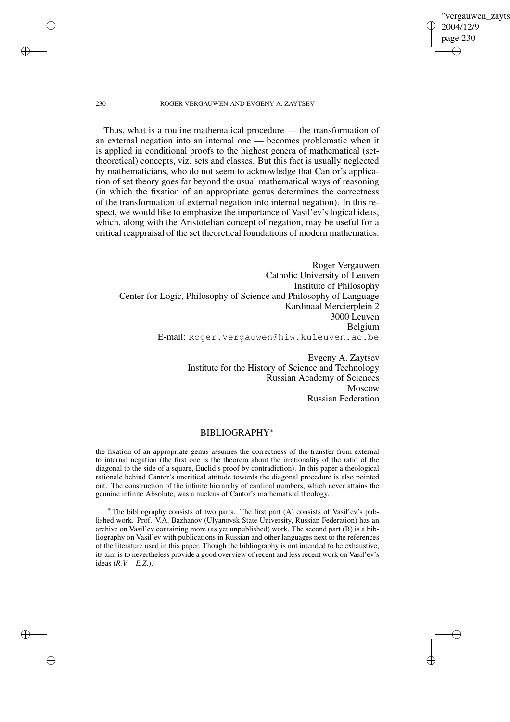✐

### 230 ROGER VERGAUWEN AND EVGENY A. ZAYTSEV

✐

✐

✐

✐

Thus, what is a routine mathematical procedure — the transformation of an external negation into an internal one — becomes problematic when it is applied in conditional proofs to the highest genera of mathematical (settheoretical) concepts, viz. sets and classes. But this fact is usually neglected by mathematicians, who do not seem to acknowledge that Cantor's application of set theory goes far beyond the usual mathematical ways of reasoning (in which the fixation of an appropriate genus determines the correctness of the transformation of external negation into internal negation). In this respect, we would like to emphasize the importance of Vasil'ev's logical ideas, which, along with the Aristotelian concept of negation, may be useful for a critical reappraisal of the set theoretical foundations of modern mathematics.

Roger Vergauwen Catholic University of Leuven Institute of Philosophy Center for Logic, Philosophy of Science and Philosophy of Language Kardinaal Mercierplein 2 3000 Leuven Belgium E-mail: Roger.Vergauwen@hiw.kuleuven.ac.be

> Evgeny A. Zaytsev Institute for the History of Science and Technology Russian Academy of Sciences Moscow Russian Federation

# BIBLIOGRAPHY<sup>∗</sup>

the fixation of an appropriate genus assumes the correctness of the transfer from external to internal negation (the first one is the theorem about the irrationality of the ratio of the diagonal to the side of a square, Euclid's proof by contradiction). In this paper a theological rationale behind Cantor's uncritical attitude towards the diagonal procedure is also pointed out. The construction of the infinite hierarchy of cardinal numbers, which never attains the genuine infinite Absolute, was a nucleus of Cantor's mathematical theology.

<sup>∗</sup> The bibliography consists of two parts. The first part (A) consists of Vasil'ev's published work. Prof. V.A. Bazhanov (Ulyanovsk State University, Russian Federation) has an archive on Vasil'ev containing more (as yet unpublished) work. The second part (B) is a bibliography on Vasil'ev with publications in Russian and other languages next to the references of the literature used in this paper. Though the bibliography is not intended to be exhaustive, its aim is to nevertheless provide a good overview of recent and less recent work on Vasil'ev's ideas (*R.V. – E.Z.*).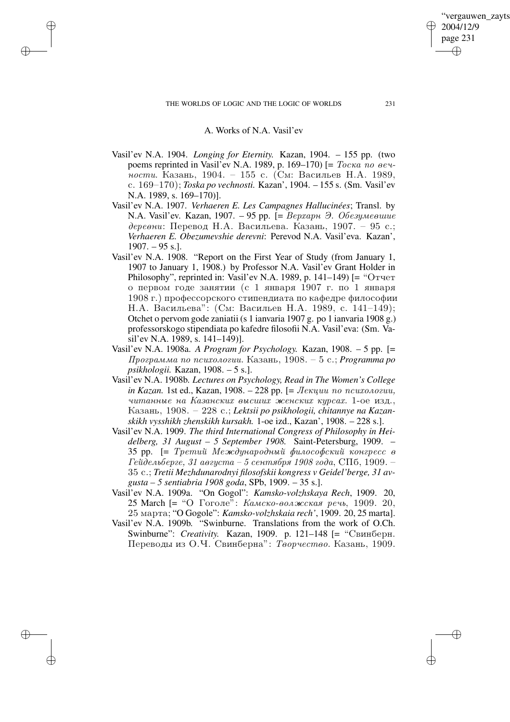✐

✐

✐

# A. Works of N.A. Vasil'ev

- Vasil'ev N.A. 1904. *Longing for Eternity.* Kazan, 1904. 155 pp. (two poems reprinted in Vasil'ev N.A. 1989, p. 169–170) [=  $Tocka$  no  $ee$ ности. Казань, 1904. – 155 с. (См: Васильев Н.А. 1989, s. 169–170); *Toska po vechnosti.* Kazan', 1904. – 155 s. (Sm. Vasil'ev N.A. 1989, s. 169–170)].
- Vasil'ev N.A. 1907. *Verhaeren E. Les Campagnes Hallucinées*; Transl. by N.A. Vasil'ev. Kazan, 1907. – 95 pp.  $= \text{Bernum } \vartheta$ . Obesymesume деревни: Перевод Н.А. Васильева. Казань, 1907. – 95 с.; *Verhaeren E. Obezumevshie derevni*: Perevod N.A. Vasil'eva. Kazan',  $1907. - 95$  s.].
- Vasil'ev N.A. 1908. "Report on the First Year of Study (from January 1, 1907 to January 1, 1908.) by Professor N.A. Vasil'ev Grant Holder in Philosophy", reprinted in: Vasil'ev N.A. 1989, p. 141–149) [= " $O \text{Tver}$ о первом годе занятии (с 1 января 1907 г. по 1 января 1908 г.) профессорского стипендиата по кафедре философии Н.А. Васильева": (См: Васильев Н.А. 1989, с. 141-149); Otchet o pervom gode zaniatii (s 1 ianvaria 1907 g. po 1 ianvaria 1908 g.) professorskogo stipendiata po kafedre filosofii N.A. Vasil'eva: (Sm. Vasil'ev N.A. 1989, s. 141–149)].
- Vasil'ev N.A. 1908a. *A Program for Psychology.* Kazan, 1908. 5 pp. [=  $\mu$ рограмма по психологии. Казань, 1908. – 5 с.; *Programma* po *psikhologii.* Kazan, 1908. – 5 s.].
- Vasil'ev N.A. 1908b. *Lectures on Psychology, Read in The Women's College in Kazan.* 1st ed., Kazan, 1908. – 228 pp.  $=$  *Jekuuu no ncuxonozuu,* читанные на Казанских высших женских курсах. 1-ое изд., Kazan~, 1908. – 228 s.; *Lektsii po psikhologii, chitannye na Kazanskikh vysshikh zhenskikh kursakh.* 1-oe izd., Kazan', 1908. – 228 s.].
- Vasil'ev N.A. 1909. *The third International Congress of Philosophy in Heidelberg, 31 August – 5 September 1908.* Saint-Petersburg, 1909. – 35 pp.  $[= Tpemu\tilde{u}$  Mexcdynapodnu $\tilde{u}$  философский конгресс в  $I$ ейдельберге, 31 августа – 5 сентября 1908 года, СПб, 1909. – 35 s.; *Tretii Mezhdunarodnyi filosofskii kongress v Geidel'berge, 31 avgusta – 5 sentiabria 1908 goda*, SPb, 1909. – 35 s.].
- Vasil'ev N.A. 1909a. "On Gogol": *Kamsko-volzhskaya Rech*, 1909. 20, 25 March [= "О Гоголе": Камско-волжская речь, 1909. 20, 25 marta; "O Gogole": *Kamsko-volzhskaia rech'*, 1909. 20, 25 marta].
- Vasil'ev N.A. 1909b. "Swinburne. Translations from the work of O.Ch. Swinburne": *Creativity.* Kazan, 1909. p. 121–148 [= "Свинберн. Переводы из О.Ч. Свинберна": Творчество. Казань, 1909.

'vergauwen zayts

2004/12/9 page 231

✐

✐

✐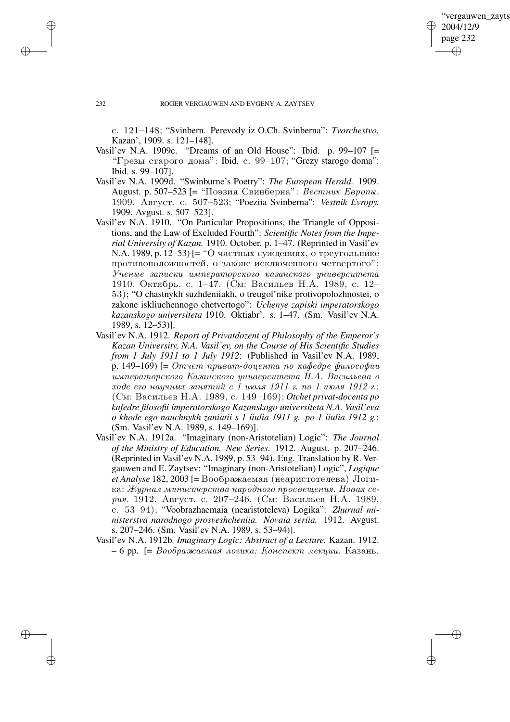✐

### 232 ROGER VERGAUWEN AND EVGENY A. ZAYTSEV

s. 121–148; "Svinbern. Perevody iz O.Ch. Svinberna": *Tvorchestvo.* Kazan', 1909. s. 121–148].

- Vasil'ev N.A. 1909c. "Dreams of an Old House": Ibid. p. 99–107  $\vert$ = "Грезы старого дома": Ibid. c. 99–107; "Grezy starogo doma": Ibid. s. 99–107].
- Vasil'ev N.A. 1909d. "Swinburne's Poetry": *The European Herald.* 1909. August. р. 507–523 [= "Поэзия Свинберна": Вестник Европы. 1909. ABrycr. c. 507–523; "Poeziia Svinberna": *Vestnik Evropy.* 1909. Avgust. s. 507–523].
- Vasil'ev N.A. 1910. "On Particular Propositions, the Triangle of Oppositions, and the Law of Excluded Fourth": *Scientific Notes from the Imperial University of Kazan.* 1910. October. p. 1–47. (Reprinted in Vasil'ev N.A. 1989, p. 12–53) [= "О частных суждениях, о треугольнике противоположностей, о законе исключенного четвертого":  $U$ ченые записки императорского казанского университета 1910. Октябрь. с. 1–47. (См: Васильев Н.А. 1989, с. 12– 53); "O chastnykh suzhdeniiakh, o treugol'nike protivopolozhnostei, o zakone iskliuchennogo chetvertogo": *Uchenye zapiski imperatorskogo kazanskogo universiteta* 1910. Oktiabr'. s. 1–47. (Sm. Vasil'ev N.A. 1989, s. 12–53)].
- Vasil'ev N.A. 1912. *Report of Privatdozent of Philosophy of the Emperor's Kazan University, N.A. Vasil'ev, on the Course of His Scientific Studies from 1 July 1911 to 1 July 1912*: (Published in Vasil'ev N.A. 1989, p. 149–169)  $=$  Omvem npusam-doyenma no кафедре философии uмператорского Казанского университета Н.А. Васильева о  $\mathit{xode}$  его научных занятий с 1 июля 1911 г. по 1 июля 1912 г.: (См: Васильев Н.А. 1989, с. 149–169); Otchet privat-docenta po *kafedre filosofii imperatorskogo Kazanskogo universiteta N.A. Vasil'eva o khode ego nauchnykh zaniatii s 1 iiulia 1911 g. po 1 iiulia 1912 g.*: (Sm. Vasil'ev N.A. 1989, s. 149–169)].
- Vasil'ev N.A. 1912a. "Imaginary (non-Aristotelian) Logic": *The Journal of the Ministry of Education. New Series.* 1912. August. p. 207–246. (Reprinted in Vasil'ev N.A. 1989, p. 53–94). Eng. Translation by R. Vergauwen and E. Zaytsev: "Imaginary (non-Aristotelian) Logic", *Logique*  $et$  *Analyse* 182, 2003 [= Воображаемая (неаристотелева) Логика: Журнал министерства народного просвещения. Новая серия. 1912. Август. с. 207–246. (См: Васильев Н.А. 1989, s. 53–94); "Voobrazhaemaia (nearistoteleva) Logika": *Zhurnal ministerstva narodnogo prosveshcheniia. Novaia seriia.* 1912. Avgust. s. 207–246. (Sm. Vasil'ev N.A. 1989, s. 53–94)].
- Vasil'ev N.A. 1912b. *Imaginary Logic: Abstract of a Lecture.* Kazan. 1912.  $-6$  pp. [=  $Boobpa$ жаемая логика: Конспект лекции. Казань,

✐

✐

✐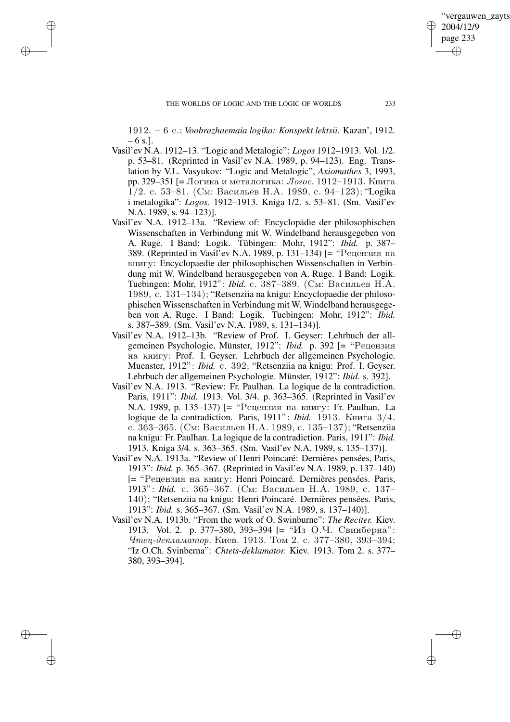✐

✐

✐

1912. – 6 s.; *Voobrazhaemaia logika: Konspekt lektsii.* Kazan', 1912.  $-6$  s.l.

- Vasil'ev N.A. 1912–13. "Logic and Metalogic": *Logos* 1912–1913. Vol. 1/2. p. 53–81. (Reprinted in Vasil'ev N.A. 1989, p. 94–123). Eng. Translation by V.L. Vasyukov: "Logic and Metalogic", *Axiomathes* 3, 1993, рр. 329–351 [= Логика и металогика: Логос. 1912–1913. Книга  $1/2$ . с. 53–81. (См: Васильев Н.А. 1989, с. 94–123); "Logika i metalogika": *Logos.* 1912–1913. Kniga 1/2. s. 53–81. (Sm. Vasil'ev N.A. 1989, s. 94–123)].
- Vasil'ev N.A. 1912–13a. "Review of: Encyclopädie der philosophischen Wissenschaften in Verbindung mit W. Windelband herausgegeben von A. Ruge. I Band: Logik. Tübingen: Mohr, 1912": *Ibid.* p. 387– 389. (Reprinted in Vasil'ev N.A. 1989, p. 131–134) [= "Рецензия на KHUTY: Encyclopaedie der philosophischen Wissenschaften in Verbindung mit W. Windelband herausgegeben von A. Ruge. I Band: Logik. Tuebingen: Mohr, 1912": *Ibid.* с. 387–389. (См: Васильев Н.А. 1989, c. 131–134); "Retsenziia na knigu: Encyclopaedie der philosophischen Wissenschaften in Verbindung mit W. Windelband herausgegeben von A. Ruge. I Band: Logik. Tuebingen: Mohr, 1912": *Ibid.* s. 387–389. (Sm. Vasil'ev N.A. 1989, s. 131–134)].
- Vasil'ev N.A. 1912–13b. "Review of Prof. I. Geyser: Lehrbuch der allgemeinen Psychologie, Münster, 1912": *Ibid.* p. 392 [= "Рецензия na knigu: Prof. I. Geyser. Lehrbuch der allgemeinen Psychologie. Muenster, 1912": *Ibid.* c. 392; "Retsenziia na knigu: Prof. I. Geyser. Lehrbuch der allgemeinen Psychologie. Münster, 1912": *Ibid.* s. 392].
- Vasil'ev N.A. 1913. "Review: Fr. Paulhan. La logique de la contradiction. Paris, 1911": *Ibid.* 1913. Vol. 3/4. p. 363–365. (Reprinted in Vasil'ev N.A. 1989, p. 135-137) [= "Рецензия на книгу: Fr. Paulhan. La logique de la contradiction. Paris, 1911": *Ibid.* 1913. Книга 3/4. с. 363–365. (См: Васильев Н.А. 1989, с. 135–137); "Retsenziia na knigu: Fr. Paulhan. La logique de la contradiction. Paris, 1911": *Ibid.* 1913. Kniga 3/4. s. 363–365. (Sm. Vasil'ev N.A. 1989, s. 135–137)].
- Vasil'ev N.A. 1913a. "Review of Henri Poincaré: Dernières pensées, Paris, 1913": *Ibid.* p. 365–367. (Reprinted in Vasil'ev N.A. 1989, p. 137–140) [= "Рецензия на книгу: Henri Poincaré. Dernières pensées. Paris, 1913": *Ibid.* с. 365–367. (См: Васильев Н.А. 1989, с. 137– 140); "Retsenziia na knigu: Henri Poincaré. Dernières pensées. Paris, 1913": *Ibid.* s. 365–367. (Sm. Vasil'ev N.A. 1989, s. 137–140)].
- Vasil'ev N.A. 1913b. "From the work of O. Swinburne": *The Reciter.* Kiev. 1913. Vol. 2. p. 377-380, 393-394 [= "Из О.Ч. Свинберна":  $Y$ *meu-декламатор.* Киев. 1913. Том 2. с. 377–380, 393–394; "Iz O.Ch. Svinberna": *Chtets-deklamator.* Kiev. 1913. Tom 2. s. 377– 380, 393–394].

'vergauwen zayts

2004/12/9 page 233

✐

✐

✐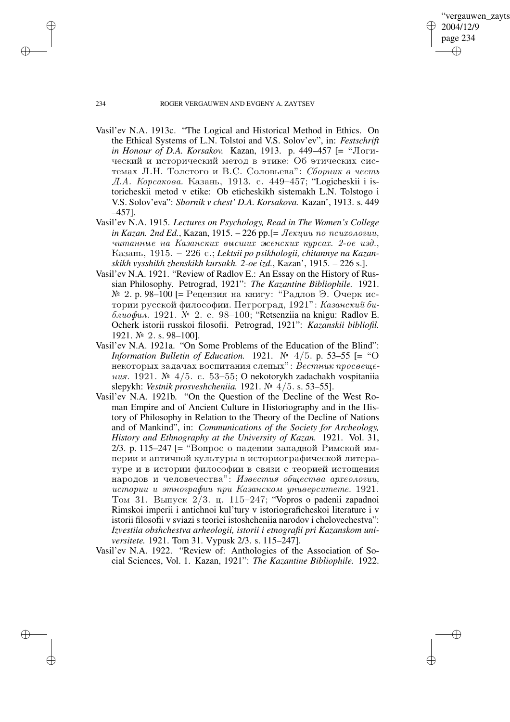'vergauwen zayts 2004/12/9 page 234 ✐ ✐

✐

✐

## 234 ROGER VERGAUWEN AND EVGENY A. ZAYTSEV

- Vasil'ev N.A. 1913c. "The Logical and Historical Method in Ethics. On the Ethical Systems of L.N. Tolstoi and V.S. Solov'ev", in: *Festschrift in Honour of D.A. Korsakov.* Kazan, 1913. p. 449–457 [= "Логический и исторический метол в этике: Об этических системах Л.Н. Толстого и В.С. Соловьева": Сборник в честь Д.А. Корсакова. Казань, 1913. с. 449-457; "Logicheskii i istoricheskii metod v etike: Ob eticheskikh sistemakh L.N. Tolstogo i V.S. Solov'eva": *Sbornik v chest' D.A. Korsakova.* Kazan', 1913. s. 449 –457].
- Vasil'ev N.A. 1915. *Lectures on Psychology, Read in The Women's College in Kazan.* 2nd *Ed.*, Kazan, 1915. – 226 pp.  $I =$  *Jexuuu no ncuxonozuu.* читанные на Казанских высших женских курсах. 2-ое изд., Kazan~, 1915. – 226 s.; *Lektsii po psikhologii, chitannye na Kazanskikh vysshikh zhenskikh kursakh. 2-oe izd.*, Kazan', 1915. – 226 s.].
- Vasil'ev N.A. 1921. "Review of Radlov E.: An Essay on the History of Russian Philosophy. Petrograd, 1921": *The Kazantine Bibliophile.* 1921.  $%$  2. р. 98–100 [= Рецензия на книгу: "Радлов Э. Очерк истории русской философии. Петроград, 1921": Казанский би- $\delta \alpha u \alpha \phi u \alpha$ . 1921.  $\mathbb{N}^2$  2. c. 98–100; "Retsenziia na knigu: Radlov E. Ocherk istorii russkoi filosofii. Petrograd, 1921": *Kazanskii bibliofil.* 1921. № 2. s. 98-100].
- Vasil'ev N.A. 1921a. "On Some Problems of the Education of the Blind": *Information Bulletin of Education.* 1921.  $\mathbb{N}^2$  4/5. p. 53–55 [= "O некоторых задачах воспитания слепых": Вестник просвещения. 1921. № 4/5. с. 53–55; O nekotorykh zadachakh vospitaniia slepykh: *Vestnik prosveshcheniia.* 1921. } 4/5. s. 53–55].
- Vasil'ev N.A. 1921b. "On the Question of the Decline of the West Roman Empire and of Ancient Culture in Historiography and in the History of Philosophy in Relation to the Theory of the Decline of Nations and of Mankind", in: *Communications of the Society for Archeology, History and Ethnography at the University of Kazan.* 1921. Vol. 31, 2/3. р. 115–247 [= "Вопрос о падении западной Римской империи и античной культуры в историографической литературе и в истории философии в связи с теорией истощения народов и человечества": Известия общества археологии, истории и этнографии при Казанском университете. 1921. Том 31. Выпуск  $2/3$ . ц. 115–247; "Vopros o padenii zapadnoi Rimskoi imperii i antichnoi kul'tury v istoriograficheskoi literature i v istorii filosofii v sviazi s teoriei istoshcheniia narodov i chelovechestva": *Izvestiia obshchestva arheologii, istorii i etnografii pri Kazanskom universitete.* 1921. Tom 31. Vypusk 2/3. s. 115–247].
- Vasil'ev N.A. 1922. "Review of: Anthologies of the Association of Social Sciences, Vol. 1. Kazan, 1921": *The Kazantine Bibliophile.* 1922.

✐

✐

✐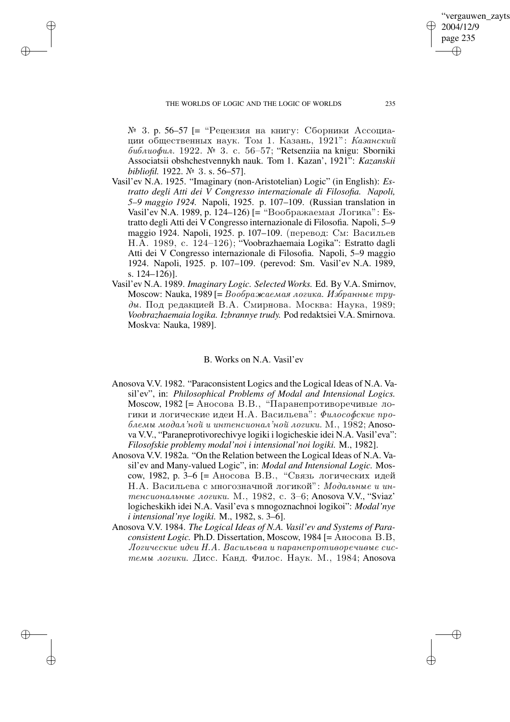✐

✐

✐

 $N<sup>2</sup>$  3. p. 56–57 [= "Рецензия на книгу: Сборники Ассоциации общественных наук. Том 1. Казань, 1921": Казанский  $\delta u \delta u u \delta u u$ . 1922.  $\mathbb{N}^2$  3. c. 56–57; "Retsenziia na knigu: Sborniki Associatsii obshchestvennykh nauk. Tom 1. Kazan', 1921": *Kazanskii bibliofil.* 1922. № 3. s. 56–57].

- Vasil'ev N.A. 1925. "Imaginary (non-Aristotelian) Logic" (in English): *Estratto degli Atti dei V Congresso internazionale di Filosofia. Napoli, 5–9 maggio 1924.* Napoli, 1925. p. 107–109. (Russian translation in Vasil'ev N.A. 1989, p. 124–126) [= "Воображаемая Логика": Estratto degli Atti dei V Congresso internazionale di Filosofia. Napoli, 5–9 maggio 1924. Napoli, 1925. p. 107–109. (перевод: См: Васильев H.A. 1989, c. 124–126); "Voobrazhaemaia Logika": Estratto dagli Atti dei V Congresso internazionale di Filosofia. Napoli, 5–9 maggio 1924. Napoli, 1925. p. 107–109. (perevod: Sm. Vasil'ev N.A. 1989, s. 124–126)].
- Vasil'ev N.A. 1989. *Imaginary Logic. Selected Works.* Ed. By V.A. Smirnov, Moscow: Nauka, 1989 [= Воображаемая логика. Избранные тру- $\partial$ ы. Под редакцией В.А. Смирнова. Москва: Наука, 1989; *Voobrazhaemaia logika. Izbrannye trudy.* Pod redaktsiei V.A. Smirnova. Moskva: Nauka, 1989].

## B. Works on N.A. Vasil'ev

- Anosova V.V. 1982. "Paraconsistent Logics and the Logical Ideas of N.A. Vasil'ev", in: *Philosophical Problems of Modal and Intensional Logics.* Moscow, 1982 [= Аносова В.В., "Паранепротиворечивые логики и логические идеи Н.А. Васильева": Философские про- $\delta$ лемы модал'ной и интенсионал'ной логики. М., 1982; Anosova V.V., "Paraneprotivorechivye logiki i logicheskie idei N.A. Vasil'eva": *Filosofskie problemy modal'noi i intensional'noi logiki.* M., 1982].
- Anosova V.V. 1982a. "On the Relation between the Logical Ideas of N.A. Vasil'ev and Many-valued Logic", in: *Modal and Intensional Logic.* Moscow, 1982, p. 3–6 [= Аносова В.В., "Связь логических идей  $H.A.$  Васильева с многозначной логикой": Модальные и интенсиональные логики. М., 1982, с. 3–6; Anosova V.V., "Sviaz' logicheskikh idei N.A. Vasil'eva s mnogoznachnoi logikoi": *Modal'nye i intensional'nye logiki.* M., 1982, s. 3–6].
- Anosova V.V. 1984. *The Logical Ideas of N.A. Vasil'ev and Systems of Paraconsistent Logic.* Ph.D. Dissertation, Moscow, 1984 [= Аносова В.В,  $\eta$ огические идеи Н.А. Васильева и паранепротиворечивые системы логики. Дисс. Канд. Филос. Наук. М., 1984; Anosova

'vergauwen zayts

2004/12/9 page 235

✐

✐

✐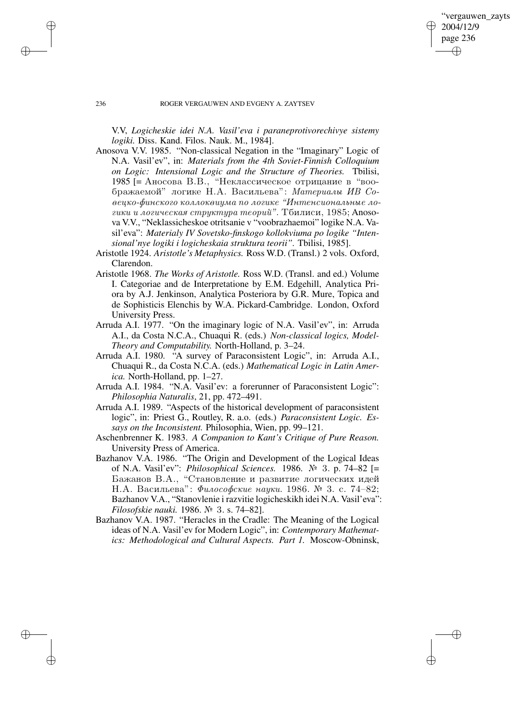✐

### 236 ROGER VERGAUWEN AND EVGENY A. ZAYTSEV

V.V, *Logicheskie idei N.A. Vasil'eva i paraneprotivorechivye sistemy logiki.* Diss. Kand. Filos. Nauk. M., 1984].

- Anosova V.V. 1985. "Non-classical Negation in the "Imaginary" Logic of N.A. Vasil'ev", in: *Materials from the 4th Soviet-Finnish Colloquium on Logic: Intensional Logic and the Structure of Theories.* Tbilisi, 1985 [= Аносова В.В., "Неклассическое отрицание в "воображаемой" логике Н.А. Васильева": Материалы ИВ Со- $\chi_{e}$ ецко-финского коллоквиума по логике "Интенсиональные логики и логическая структура теорий". Тбилиси, 1985; Anosova V.V., "Neklassicheskoe otritsanie v "voobrazhaemoi" logike N.A. Vasil'eva": *Materialy IV Sovetsko-finskogo kollokviuma po logike "Intensional'nye logiki i logicheskaia struktura teorii".* Tbilisi, 1985].
- Aristotle 1924. *Aristotle's Metaphysics.* Ross W.D. (Transl.) 2 vols. Oxford, Clarendon.
- Aristotle 1968. *The Works of Aristotle.* Ross W.D. (Transl. and ed.) Volume I. Categoriae and de Interpretatione by E.M. Edgehill, Analytica Priora by A.J. Jenkinson, Analytica Posteriora by G.R. Mure, Topica and de Sophisticis Elenchis by W.A. Pickard-Cambridge. London, Oxford University Press.
- Arruda A.I. 1977. "On the imaginary logic of N.A. Vasil'ev", in: Arruda A.I., da Costa N.C.A., Chuaqui R. (eds.) *Non-classical logics, Model-Theory and Computability.* North-Holland, p. 3–24.
- Arruda A.I. 1980. "A survey of Paraconsistent Logic", in: Arruda A.I., Chuaqui R., da Costa N.C.A. (eds.) *Mathematical Logic in Latin America.* North-Holland, pp. 1–27.
- Arruda A.I. 1984. "N.A. Vasil'ev: a forerunner of Paraconsistent Logic": *Philosophia Naturalis*, 21, pp. 472–491.
- Arruda A.I. 1989. "Aspects of the historical development of paraconsistent logic", in: Priest G., Routley, R. a.o. (eds.) *Paraconsistent Logic. Essays on the Inconsistent.* Philosophia, Wien, pp. 99–121.
- Aschenbrenner K. 1983. *A Companion to Kant's Critique of Pure Reason.* University Press of America.
- Bazhanov V.A. 1986. "The Origin and Development of the Logical Ideas of N.A. Vasil'ev": *Philosophical Sciences.* 1986. } 3. p. 74–82 [= Бажанов В.А., "Становление и развитие логических идей Н.А. Васильева": Философские науки. 1986. № 3. с. 74–82; Bazhanov V.A., "Stanovlenie i razvitie logicheskikh idei N.A. Vasil'eva": *Filosofskie nauki.* 1986. № 3. s. 74–82].
- Bazhanov V.A. 1987. "Heracles in the Cradle: The Meaning of the Logical ideas of N.A. Vasil'ev for Modern Logic", in: *Contemporary Mathematics: Methodological and Cultural Aspects. Part 1.* Moscow-Obninsk,

✐

✐

✐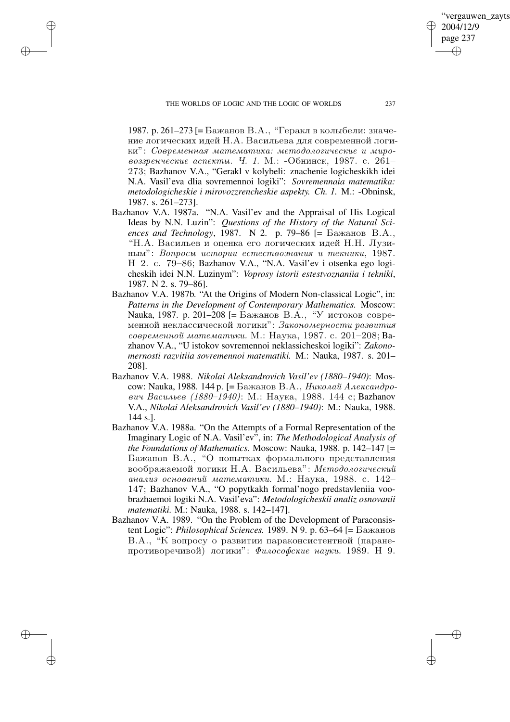✐

✐

✐

1987. р. 261–273 [= Бажанов В.А., "Геракл в колыбели: значение логических идей Н.А. Васильева для современной логики": Современная математика: методологические и мировоззренческие аспекты.  $q_i$ . 1. М.: -Обнинск, 1987. с. 261– 273; Bazhanov V.A., "Gerakl v kolybeli: znachenie logicheskikh idei N.A. Vasil'eva dlia sovremennoi logiki": *Sovremennaia matematika: metodologicheskie i mirovozzrencheskie aspekty. Ch. 1.* M.: -Obninsk, 1987. s. 261–273].

- Bazhanov V.A. 1987a. "N.A. Vasil'ev and the Appraisal of His Logical Ideas by N.N. Luzin": *Questions of the History of the Natural Sciences and Technology*, 1987. N 2. p. 79–86  $[=$  Бажанов В.А., "Н.А. Васильев и оценка его логических идей Н.Н. Лузиным": Вопросы истории естествознания и текники, 1987. H 2. c. 79–86; Bazhanov V.A., "N.A. Vasil'ev i otsenka ego logicheskih idei N.N. Luzinym": *Voprosy istorii estestvoznaniia i tekniki*, 1987. N 2. s. 79–86].
- Bazhanov V.A. 1987b. "At the Origins of Modern Non-classical Logic", in: *Patterns in the Development of Contemporary Mathematics.* Moscow: Nauka, 1987. p. 201–208 [= Бажанов В.А., "У истоков современной неклассической логики": Закономерности развития  $coe$ ременной математики. М.: Наука, 1987. с. 201–208; Ваzhanov V.A., "U istokov sovremennoi neklassicheskoi logiki": *Zakonomernosti razvitiia sovremennoi matematiki.* M.: Nauka, 1987. s. 201– 208].
- Bazhanov V.A. 1988. *Nikolai Aleksandrovich Vasil'ev (1880–1940)*: Moscow: Nauka, 1988. 144 р. [= Бажанов В.А., *Николай Александро*вич Васильев (1880–1940): М.: Наука, 1988. 144 с; Bazhanov V.A., *Nikolai Aleksandrovich Vasil'ev (1880–1940)*: M.: Nauka, 1988. 144 s.].
- Bazhanov V.A. 1988a. "On the Attempts of a Formal Representation of the Imaginary Logic of N.A. Vasil'ev", in: *The Methodological Analysis of the Foundations of Mathematics.* Moscow: Nauka, 1988. p. 142–147 [= Бажанов В.А., "О попытках формального представления воображаемой логики Н.А. Васильева": Методологический анализ оснований математики. М.: Наука, 1988. с. 142– 147; Bazhanov V.A., "O popytkakh formal'nogo predstavleniia voobrazhaemoi logiki N.A. Vasil'eva": *Metodologicheskii analiz osnovanii matematiki.* M.: Nauka, 1988. s. 142–147].
- Bazhanov V.A. 1989. "On the Problem of the Development of Paraconsistent Logic": *Philosophical Sciences.* 1989. N 9. p. 63–64 [= Бажанов В.А., "К вопросу о развитии параконсистентной (паранепротиворечивой) логики": Философские науки. 1989. Н 9.

'vergauwen zavts

2004/12/9 page 237

✐

✐

✐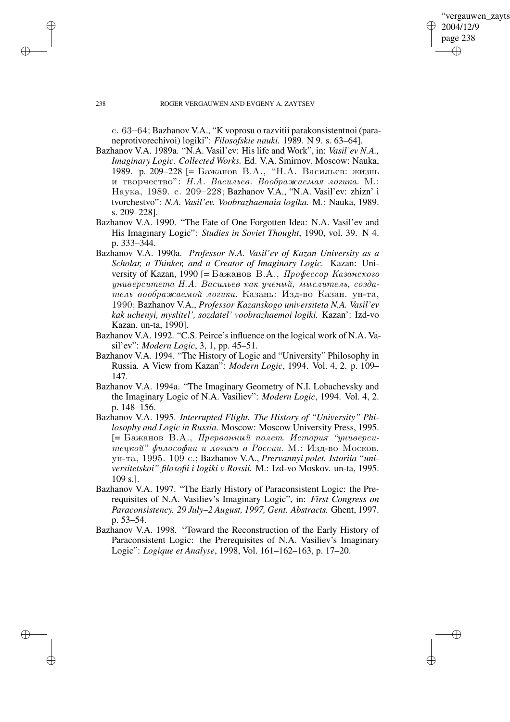✐

## 238 ROGER VERGAUWEN AND EVGENY A. ZAYTSEV

c. 63–64; Bazhanov V.A., "K voprosu o razvitii parakonsistentnoi (paraneprotivorechivoi) logiki": *Filosofskie nauki.* 1989. N 9. s. 63–64].

- Bazhanov V.A. 1989a. "N.A. Vasil'ev: His life and Work", in: *Vasil'ev N.A., Imaginary Logic. Collected Works.* Ed. V.A. Smirnov. Moscow: Nauka, 1989. p. 209–228 [= Бажанов В.А., "Н.А. Васильев: жизнь и творчество": Н.А. Васильев. Воображаемая логика. М.: Наука, 1989. c. 209-228; Bazhanov V.A., "N.A. Vasil'ev: zhizn' i tvorchestvo": *N.A. Vasil'ev. Voobrazhaemaia logika.* M.: Nauka, 1989. s. 209–228].
- Bazhanov V.A. 1990. "The Fate of One Forgotten Idea: N.A. Vasil'ev and His Imaginary Logic": *Studies in Soviet Thought*, 1990, vol. 39. N 4. p. 333–344.
- Bazhanov V.A. 1990a. *Professor N.A. Vasil'ev of Kazan University as a Scholar, a Thinker, and a Creator of Imaginary Logic.* Kazan: University of Kazan, 1990 [= Бажанов В.А.,  $\eta$ рофессор Казанского  $y\mu u$ верситета Н.А. Васильев как ученый, мыслитель, создатель воображаемой логики. Казань: Изд-во Казан. ун-та, 1990; Bazhanov V.A., *Professor Kazanskogo universiteta N.A. Vasil'ev kak uchenyi, myslitel', sozdatel' voobrazhaemoi logiki.* Kazan': Izd-vo Kazan. un-ta, 1990].
- Bazhanov V.A. 1992. "C.S. Peirce's influence on the logical work of N.A. Vasil'ev": *Modern Logic*, 3, 1, pp. 45–51.
- Bazhanov V.A. 1994. "The History of Logic and "University" Philosophy in Russia. A View from Kazan": *Modern Logic*, 1994. Vol. 4, 2. p. 109– 147.
- Bazhanov V.A. 1994a. "The Imaginary Geometry of N.I. Lobachevsky and the Imaginary Logic of N.A. Vasiliev": *Modern Logic*, 1994. Vol. 4, 2. p. 148–156.
- Bazhanov V.A. 1995. *Interrupted Flight. The History of "University" Philosophy and Logic in Russia.* Moscow: Moscow University Press, 1995.  $[=$  Бажанов В.А., Прерванный полет. История "университецкой" философии и логики в России. М.: Изд-во Москов. ун-та, 1995. 109 с.; Bazhanov V.A., *Prervannyi polet. Istoriia "universitetskoi" filosofii i logiki v Rossii.* M.: Izd-vo Moskov. un-ta, 1995. 109 s.].
- Bazhanov V.A. 1997. "The Early History of Paraconsistent Logic: the Prerequisites of N.A. Vasiliev's Imaginary Logic", in: *First Congress on Paraconsistency. 29 July–2 August, 1997, Gent. Abstracts.* Ghent, 1997. p. 53–54.
- Bazhanov V.A. 1998. "Toward the Reconstruction of the Early History of Paraconsistent Logic: the Prerequisites of N.A. Vasiliev's Imaginary Logic": *Logique et Analyse*, 1998, Vol. 161–162–163, p. 17–20.

✐

✐

✐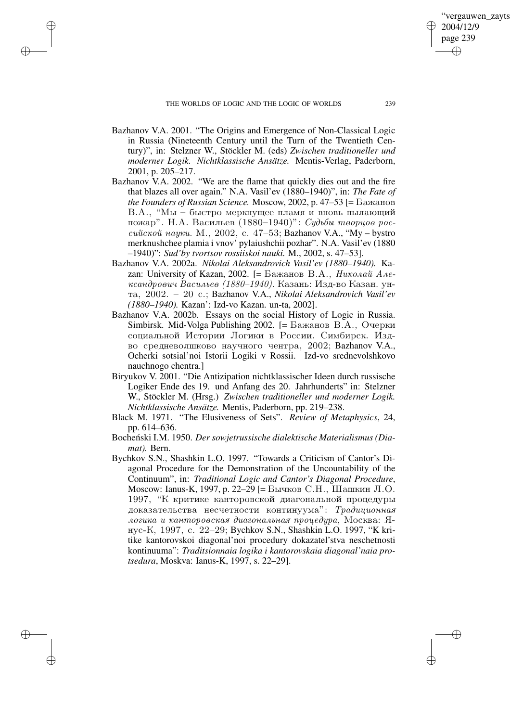✐

✐

✐

- Bazhanov V.A. 2001. "The Origins and Emergence of Non-Classical Logic in Russia (Nineteenth Century until the Turn of the Twentieth Century)", in: Stelzner W., Stöckler M. (eds) *Zwischen traditioneller und moderner Logik. Nichtklassische Ansätze.* Mentis-Verlag, Paderborn, 2001, p. 205–217.
- Bazhanov V.A. 2002. "We are the flame that quickly dies out and the fire that blazes all over again." N.A. Vasil'ev (1880–1940)", in: *The Fate of*  $the$  *Founders of Russian Science.* Moscow, 2002, p. 47–53 [=  $\text{Baxanob}$ ] В.А., "Мы – быстро меркнущее пламя и вновь пылающий пожар". Н.А. Васильев (1880–1940)": Судьбы творцов российской науки. М., 2002, с. 47–53; Bazhanov V.A., "My – bystro merknushchee plamia i vnov' pylaiushchii pozhar". N.A. Vasil'ev (1880 –1940)": *Sud'by tvortsov rossiiskoi nauki.* M., 2002, s. 47–53].
- Bazhanov V.A. 2002a. *Nikolai Aleksandrovich Vasil'ev (1880–1940).* Kazan: University of Kazan, 2002. [= Бажанов В.А., Николай Александрович Васильев (1880–1940). Казань: Изд-во Казан. унta, 2002. – 20 s.; Bazhanov V.A., *Nikolai Aleksandrovich Vasil'ev (1880–1940).* Kazan': Izd-vo Kazan. un-ta, 2002].
- Bazhanov V.A. 2002b. Essays on the social History of Logic in Russia. Simbirsk. Mid-Volga Publishing 2002.  $=$  Бажанов В.А., Очерки социальной Истории Логики в России. Симбирск. Издво средневолшково научного чентра, 2002; Bazhanov V.A., Ocherki sotsial'noi Istorii Logiki v Rossii. Izd-vo srednevolshkovo nauchnogo chentra.]
- Biryukov V. 2001. "Die Antizipation nichtklassischer Ideen durch russische Logiker Ende des 19. und Anfang des 20. Jahrhunderts" in: Stelzner W., Stöckler M. (Hrsg.) *Zwischen traditioneller und moderner Logik. Nichtklassische Ansätze.* Mentis, Paderborn, pp. 219–238.
- Black M. 1971. "The Elusiveness of Sets". *Review of Metaphysics*, 24, pp. 614–636.
- Bocheński I.M. 1950. Der sowjetrussische dialektische Materialismus (Dia*mat).* Bern.
- Bychkov S.N., Shashkin L.O. 1997. "Towards a Criticism of Cantor's Diagonal Procedure for the Demonstration of the Uncountability of the Continuum", in: *Traditional Logic and Cantor's Diagonal Procedure*, Moscow: Ianus-K, 1997, р. 22–29 [= Бычков С.Н., Шашкин Л.О. 1997, "К критике канторовской диагональной процедуры доказательства несчетности континуума": Традиционная логика и канторовская диагональная процедура, Москва:  $H$ nus-K, 1997, s. 22–29; Bychkov S.N., Shashkin L.O. 1997, "K kritike kantorovskoi diagonal'noi procedury dokazatel'stva neschetnosti kontinuuma": *Traditsionnaia logika i kantorovskaia diagonal'naia protsedura*, Moskva: Ianus-K, 1997, s. 22–29].

'vergauwen zayts

2004/12/9 page 239

✐

✐

✐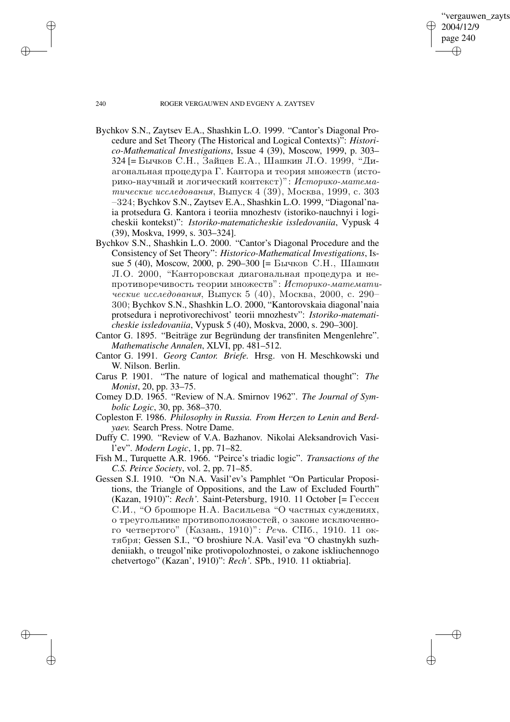'vergauwen zayts 2004/12/9 page 240 ✐ ✐

✐

✐

#### 240 ROGER VERGAUWEN AND EVGENY A. ZAYTSEV

- Bychkov S.N., Zaytsev E.A., Shashkin L.O. 1999. "Cantor's Diagonal Procedure and Set Theory (The Historical and Logical Contexts)": *Historico-Mathematical Investigations*, Issue 4 (39), Moscow, 1999, p. 303– 324 [= Бычков С.Н., Зайцев Е.А., Шашкин Л.О. 1999, "Диагональная процедура Г. Кантора и теория множеств (историко-научный и логический контекст)": Историко-математические исследования, Выпуск 4 (39), Москва, 1999, с. 303 –324; Bychkov S.N., Zaytsev E.A., Shashkin L.O. 1999, "Diagonal'naia protsedura G. Kantora i teoriia mnozhestv (istoriko-nauchnyi i logicheskii kontekst)": *Istoriko-matematicheskie issledovaniia*, Vypusk 4 (39), Moskva, 1999, s. 303–324].
- Bychkov S.N., Shashkin L.O. 2000. "Cantor's Diagonal Procedure and the Consistency of Set Theory": *Historico-Mathematical Investigations*, Issue 5 (40), Moscow, 2000, p. 290–300 [= Бычков С.Н., Шашкин Л.О. 2000, "Канторовская диагональная процедура и непротиворечивость теории множеств": Историко-математические исследования, Выпуск 5 (40), Москва, 2000, с. 290– 300; Bychkov S.N., Shashkin L.O. 2000, "Kantorovskaia diagonal'naia protsedura i neprotivorechivost' teorii mnozhestv": *Istoriko-matematicheskie issledovaniia*, Vypusk 5 (40), Moskva, 2000, s. 290–300].
- Cantor G. 1895. "Beiträge zur Begründung der transfiniten Mengenlehre". *Mathematische Annalen*, XLVI, pp. 481–512.
- Cantor G. 1991. *Georg Cantor. Briefe.* Hrsg. von H. Meschkowski und W. Nilson. Berlin.
- Carus P. 1901. "The nature of logical and mathematical thought": *The Monist*, 20, pp. 33–75.
- Comey D.D. 1965. "Review of N.A. Smirnov 1962". *The Journal of Symbolic Logic*, 30, pp. 368–370.
- Copleston F. 1986. *Philosophy in Russia. From Herzen to Lenin and Berdyaev.* Search Press. Notre Dame.
- Duffy C. 1990. "Review of V.A. Bazhanov. Nikolai Aleksandrovich Vasil'ev". *Modern Logic*, 1, pp. 71–82.
- Fish M., Turquette A.R. 1966. "Peirce's triadic logic". *Transactions of the C.S. Peirce Society*, vol. 2, pp. 71–85.
- Gessen S.I. 1910. "On N.A. Vasil'ev's Pamphlet "On Particular Propositions, the Triangle of Oppositions, and the Law of Excluded Fourth" (Kazan, 1910)": Rech'. Saint-Petersburg, 1910. 11 October [= Гессен С.И., "О брошюре Н.А. Васильева "О частных суждениях, о треугольнике противоположностей, о законе исключенного четвертого" (Казань, 1910)":  $Pe$ чь. СПб., 1910. 11 октября; Gessen S.I., "O broshiure N.A. Vasil'eva "O chastnykh suzhdeniiakh, o treugol'nike protivopolozhnostei, o zakone iskliuchennogo chetvertogo" (Kazan', 1910)": *Rech'.* SPb., 1910. 11 oktiabria].

✐

✐

✐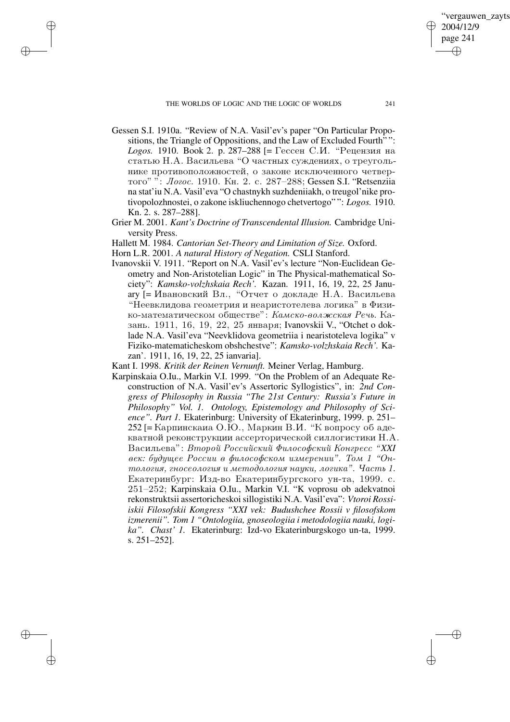THE WORLDS OF LOGIC AND THE LOGIC OF WORLDS 241

✐

✐

✐

✐

- Gessen S.I. 1910a. "Review of N.A. Vasil'ev's paper "On Particular Propositions, the Triangle of Oppositions, and the Law of Excluded Fourth" ": *Logos.* 1910. Book 2. p. 287–288 [= Гессен С.И. "Рецензия на  $s$  статью  $H.A.$  Васильева "О частных суждениях, о треугольнике противоположностей, о законе исключенного четвертого" ": Логос. 1910. Кн. 2. с. 287-288; Gessen S.I. "Retsenziia na stat'iu N.A. Vasil'eva "O chastnykh suzhdeniiakh, o treugol'nike protivopolozhnostei, o zakone iskliuchennogo chetvertogo" ": *Logos.* 1910. Kn. 2. s. 287–288].
- Grier M. 2001. *Kant's Doctrine of Transcendental Illusion.* Cambridge University Press.

Hallett M. 1984. *Cantorian Set-Theory and Limitation of Size.* Oxford.

- Horn L.R. 2001. *A natural History of Negation.* CSLI Stanford.
- Ivanovskii V. 1911. "Report on N.A. Vasil'ev's lecture "Non-Euclidean Geometry and Non-Aristotelian Logic" in The Physical-mathematical Society": *Kamsko-volzhskaia Rech'.* Kazan. 1911, 16, 19, 22, 25 January [= Ивановский Вл., "Отчет о докладе Н.А. Васильева "Неевклидова геометрия и неаристотелева логика" в Физи $k$ о-математическом обществе": Камско-волжская Речь. Казань. 1911, 16, 19, 22, 25 января: Ivanovskii V., "Otchet o doklade N.A. Vasil'eva "Neevklidova geometriia i nearistoteleva logika" v Fiziko-matematicheskom obshchestve": *Kamsko-volzhskaia Rech'.* Kazan'. 1911, 16, 19, 22, 25 ianvaria].

Kant I. 1998. *Kritik der Reinen Vernunft.* Meiner Verlag, Hamburg.

Karpinskaia O.Iu., Markin V.I. 1999. "On the Problem of an Adequate Reconstruction of N.A. Vasil'ev's Assertoric Syllogistics", in: *2nd Congress of Philosophy in Russia "The 21st Century: Russia's Future in Philosophy" Vol. 1. Ontology, Epistemology and Philosophy of Science". Part 1.* Ekaterinburg: University of Ekaterinburg, 1999. p. 251–  $252$  [= Карпинскаиа О.Ю., Маркин В.И. "К вопросу об адекватной реконструкции ассерторической силлогистики Н.А. Васильева": Второй Российский Философский Конгресс "XXI век: будущее России в философском измерении". Том 1 "Он $moaozus$ , гносеология и методология науки, логика". Часть 1. Екатеринбург: Изд-во Екатеринбургского ун-та, 1999. с. 251–252; Karpinskaia O.Iu., Markin V.I. "K voprosu ob adekvatnoi rekonstruktsii assertoricheskoisillogistiki N.A. Vasil'eva": *Vtoroi Rossiiskii Filosofskii Kongress "XXI vek: Budushchee Rossii v filosofskom izmerenii". Tom 1 "Ontologiia, gnoseologiia i metodologiia nauki, logika". Chast' 1.* Ekaterinburg: Izd-vo Ekaterinburgskogo un-ta, 1999. s. 251–252].

'vergauwen zavts

2004/12/9 page 241

✐

✐

✐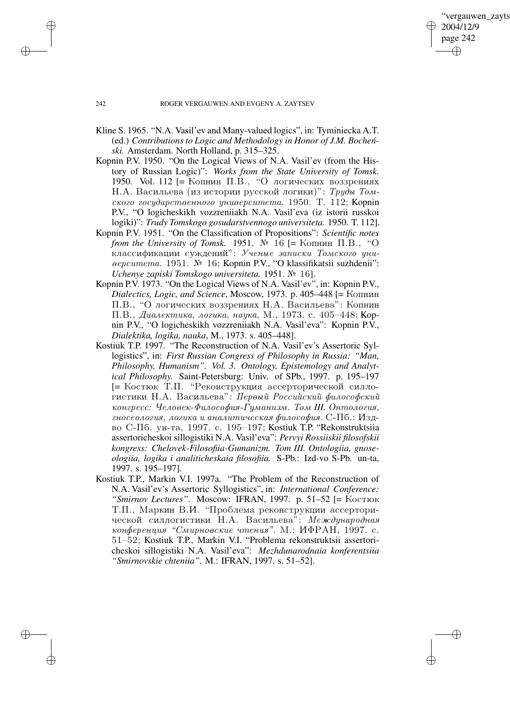✐

# 242 ROGER VERGAUWEN AND EVGENY A. ZAYTSEV

- Kline S. 1965. "N.A. Vasil'ev and Many-valued logics", in: Tyminiecka A.T. (ed.) *Contributions to Logic and Methodology in Honor of J.M. Bochen-´ ski.* Amsterdam. North Holland, p. 315–325.
- Kopnin P.V. 1950. "On the Logical Views of N.A. Vasil'ev (from the History of Russian Logic)": *Works from the State University of Tomsk.* 1950. Vol. 112 [= Копнин П.В., "О логических воззрениях Н.А. Васильева (из истории русской логики)": *Труды Том*- $\alpha$ кого государственного университета. 1950. Т. 112; Kopnin P.V., "O logicheskikh vozzreniiakh N.A. Vasil'eva (iz istorii russkoi logiki)": *Trudy Tomskogo gosudarstvennogo universiteta.* 1950. T. 112].
- Kopnin P.V. 1951. "On the Classification of Propositions": *Scientific notes from the University of Tomsk.* 1951.  $\mathbb{N}^2$  16 [= Копнин П.В., "O классификации суждений": Ученые записки Томского униeepcumema. 1951. Nº 16; Kopnin P.V., "O klassifikatsii suzhdenii": *Uchenye zapiski Tomskogo universiteta.* 1951. } 16].
- Kopnin P.V. 1973. "On the Logical Views of N.A. Vasil'ev", in: Kopnin P.V., *Dialectics, Logic, and Science, Moscow, 1973. p. 405-448 [= Копнин* П.В., "О логических воззрениях Н.А. Васильева": Копнин П.В., Диалектика, логика, наика, М., 1973. с. 405–448; Корnin P.V., "O logicheskikh vozzreniiakh N.A. Vasil'eva": Kopnin P.V., *Dialektika, logika, nauka*, M., 1973. s. 405–448].
- Kostiuk T.P. 1997. "The Reconstruction of N.A. Vasil'ev's Assertoric Syllogistics", in: *First Russian Congress of Philosophy in Russia: "Man, Philosophy, Humanism". Vol. 3. Ontology, Epistemology and Analytical Philosophy.* Saint-Petersburg: Univ. of SPb., 1997. p. 195–197 [= Костюк Т.П. "Реконструкция ассерторической силлогистики Н.А. Васильева": Первый Российский философский конгресс: Человек-Философия-Гуманизм. Том *III. Онтология*, гносеология, логика и аналитическая философия. С-Пб.: Издvo S-Pb. un-ta, 1997. s. 195–197; Kostiuk T.P. "Rekonstruktsiia assertoricheskoi sillogistiki N.A. Vasil'eva": *Pervyi Rossiiskii filosofskii kongress: Chelovek-Filosofiia-Gumanizm. Tom III. Ontologiia, gnoseologiia, logika i analiticheskaia filosofiia.* S-Pb.: Izd-vo S-Pb. un-ta, 1997. s. 195–197].
- Kostiuk T.P., Markin V.I. 1997a. "The Problem of the Reconstruction of N.A. Vasil'ev's Assertoric Syllogistics", in: *International Conference:* "Smirnov Lectures". Moscow: IFRAN, 1997. p. 51-52 [= Костюк Т.П., Маркин В.И. "Проблема реконструкции ассерторической силлогистики Н.А. Васильева": Международная конференция "Смирновские чтения". М.: ИФРАН, 1997. с. 51–52; Kostiuk T.P., Markin V.I. "Problema rekonstruktsii assertoricheskoi sillogistiki N.A. Vasil'eva": *Mezhdunarodnaia konferentsiia "Smirnovskie chteniia".* M.: IFRAN, 1997. s. 51–52].

✐

✐

✐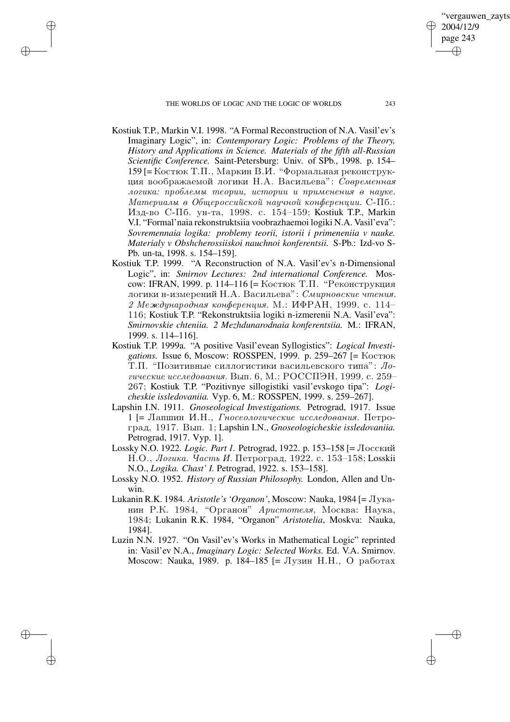THE WORLDS OF LOGIC AND THE LOGIC OF WORLDS 243

✐

✐

✐

✐

'vergauwen zayts

2004/12/9 page 243

✐

✐

✐

- Kostiuk T.P., Markin V.I. 1998. "A Formal Reconstruction of N.A. Vasil'ev's Imaginary Logic", in: *Contemporary Logic: Problems of the Theory, History and Applications in Science. Materials of the fifth all-Russian Scientific Conference.* Saint-Petersburg: Univ. of SPb., 1998. p. 154– 159 [= Костюк Т.П., Маркин В.И. "Формальная реконструкция воображаемой логики Н.А. Васильева": Современная логика: проблемы теории, истории и применения в науке.  $Mamepua$ лы в Общероссийской научной конференции. С-Пб.: Изд-во С-Пб. ун-та, 1998. с. 154-159; Kostiuk T.P., Markin V.I. "Formal'naia rekonstruktsiia voobrazhaemoi logiki N.A. Vasil'eva": *Sovremennaia logika: problemy teorii, istorii i primeneniia v nauke. Materialy v Obshcherossiiskoi nauchnoi konferentsii.* S-Pb.: Izd-vo S-Pb. un-ta, 1998. s. 154–159].
- Kostiuk T.P. 1999. "A Reconstruction of N.A. Vasil'ev's n-Dimensional Logic", in: *Smirnov Lectures: 2nd international Conference.* Mosсоw: IFRAN, 1999. р. 114–116 [= Костюк Т.П. "Реконструкция логики н-измерений Н.А. Васильева": Смирновские чтения. 2 Международная конференция. М.: ИФРАН, 1999. с. 114– 116; Kostiuk T.P. "Rekonstruktsiia logiki n-izmerenii N.A. Vasil'eva": *Smirnovskie chteniia. 2 Mezhdunarodnaia konferentsiia.* M.: IFRAN, 1999. s. 114–116].
- Kostiuk T.P. 1999a. "A positive Vasil'evean Syllogistics": *Logical Investigations.* Issue 6, Moscow: ROSSPEN, 1999. p. 259-267 [= Костюк Т.П. "Позитивные силлогистики васильевского типа":  $\pi$ гические исследования. Вып. 6, М.: РОССПЭН, 1999. с. 259– 267; Kostiuk T.P. "Pozitivnye sillogistiki vasil'evskogo tipa": *Logicheskie issledovaniia.* Vyp. 6, M.: ROSSPEN, 1999. s. 259–267].
- Lapshin I.N. 1911. *Gnoseological Investigations.* Petrograd, 1917. Issue  $1$  [= Лапшин И.Н.,  $\Gamma$ носеологические исследования. Петроград, 1917. Вып. 1; Lapshin I.N., *Gnoseologicheskie issledovaniia*. Petrograd, 1917. Vyp. 1].
- Lossky N.O. 1922. *Logic. Part 1.* Petrograd, 1922. p. 153-158 [= Лосский Н.О., Логика. Часть И. Петроград, 1922. с. 153–158; Losskii N.O., *Logika. Chast' I.* Petrograd, 1922. s. 153–158].
- Lossky N.O. 1952. *History of Russian Philosophy.* London, Allen and Unwin.
- Lukanin R.K. 1984. *Aristotle's 'Organon'*, Moscow: Nauka, 1984 [=  $\pi$ <sub>VKa</sub>нин Р.К. 1984, "Органон" *Аристотеля*, Москва: Наука, 1984; Lukanin R.K. 1984, "Organon" *Aristotelia*, Moskva: Nauka, 1984].
- Luzin N.N. 1927. "On Vasil'ev's Works in Mathematical Logic" reprinted in: Vasil'ev N.A., *Imaginary Logic: Selected Works.* Ed. V.A. Smirnov. Moscow: Nauka, 1989. p. 184–185 [= Лузин Н.Н., О работах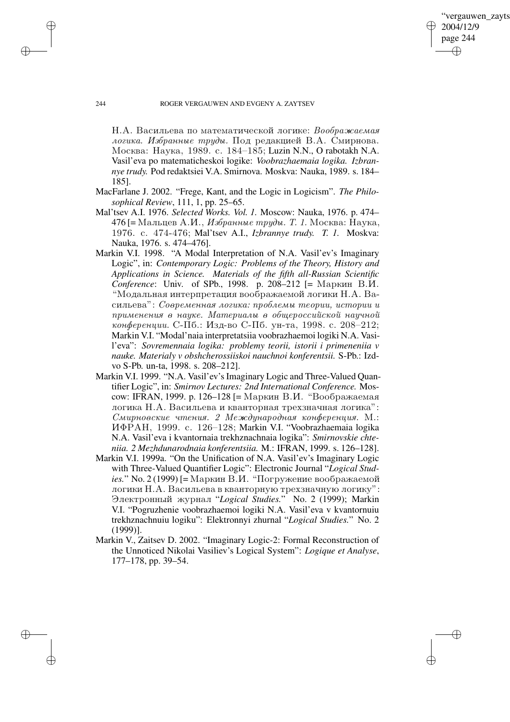'vergauwen zavts 2004/12/9 page 244 ✐ ✐

✐

✐

# 244 ROGER VERGAUWEN AND EVGENY A. ZAYTSEV

 $H.A.$  Васильева по математической логике: *Воображаемая* логика. Избранные труды. Под редакцией В.А. Смирнова. Moskva: Nauka, 1989. s. 184–185; Luzin N.N., O rabotakh N.A. Vasil'eva po matematicheskoi logike: *Voobrazhaemaia logika. Izbrannye trudy.* Pod redaktsiei V.A. Smirnova. Moskva: Nauka, 1989. s. 184– 185].

- MacFarlane J. 2002. "Frege, Kant, and the Logic in Logicism". *The Philosophical Review*, 111, 1, pp. 25–65.
- Mal'tsev A.I. 1976. *Selected Works. Vol. 1.* Moscow: Nauka, 1976. p. 474– 476 [= Мальцев А.И., Избранные труды. Т. 1. Москва: Наука, 1976. s. 474-476; Mal'tsev A.I., *Izbrannye trudy. T. 1.* Moskva: Nauka, 1976. s. 474–476].
- Markin V.I. 1998. "A Modal Interpretation of N.A. Vasil'ev's Imaginary Logic", in: *Contemporary Logic: Problems of the Theory, History and Applications in Science. Materials of the fifth all-Russian Scientific Conference*: Univ. of SPb., 1998. p. 208–212 [= Маркин В.И. "Модальная интерпретация воображаемой логики Н.А. Васильева": Современная логика: проблемы теории, истории и  $n$ рименения в наике. Материалы в обшероссийской наичной конференции. С-Пб.: Изд-во С-Пб. ун-та, 1998. с. 208–212; Markin V.I. "Modal'naia interpretatsiia voobrazhaemoi logiki N.A. Vasil'eva": *Sovremennaia logika: problemy teorii, istorii i primeneniia v nauke. Materialy v obshcherossiiskoi nauchnoi konferentsii.* S-Pb.: Izdvo S-Pb. un-ta, 1998. s. 208–212].
- Markin V.I. 1999. "N.A. Vasil'ev'sImaginary Logic and Three-Valued Quantifier Logic", in: *Smirnov Lectures: 2nd International Conference.* Mosсоw: IFRAN, 1999. р. 126–128 [= Маркин В.И. "Воображаемая логика Н.А. Васильева и кванторная трехзначная логика": Смирновские чтения. 2 Международная конференция. М.: IFRAN, 1999. s. 126–128; Markin V.I. "Voobrazhaemaia logika N.A. Vasil'eva i kvantornaia trekhznachnaia logika": *Smirnovskie chteniia. 2 Mezhdunarodnaia konferentsiia.* M.: IFRAN, 1999. s. 126–128].
- Markin V.I. 1999a. "On the Unification of N.A. Vasil'ev's Imaginary Logic with Three-Valued Quantifier Logic": Electronic Journal "*Logical Studies.*" No. 2 (1999) [= Маркин В.И. "Погружение воображаемой логики Н.А. Васильева в кванторную трехзначную логику": Электронный журнал "Logical Studies." No. 2 (1999); Markin V.I. "Pogruzhenie voobrazhaemoi logiki N.A. Vasil'eva v kvantornuiu trekhznachnuiu logiku": Elektronnyi zhurnal "*Logical Studies.*" No. 2 (1999)].
- Markin V., Zaitsev D. 2002. "Imaginary Logic-2: Formal Reconstruction of the Unnoticed Nikolai Vasiliev's Logical System": *Logique et Analyse*, 177–178, pp. 39–54.

✐

✐

✐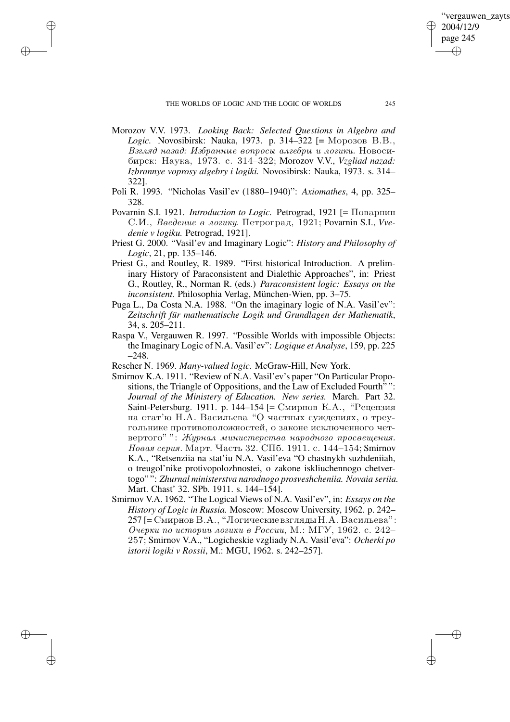✐

✐

✐

- Morozov V.V. 1973. *Looking Back: Selected Questions in Algebra and* Logic. Novosibirsk: Nauka, 1973. p. 314–322 [= Mopo30B B.B., Взгляд назад: Избранные вопросы алгебры и логики. Новосиbirsk: Nauka, 1973. s. 314–322; Morozov V.V., *Vzgliad nazad: Izbrannye voprosy algebry i logiki.* Novosibirsk: Nauka, 1973. s. 314– 322].
- Poli R. 1993. "Nicholas Vasil'ev (1880–1940)": *Axiomathes*, 4, pp. 325– 328.
- Povarnin S.I. 1921. *Introduction to Logic*. Petrograd, 1921 [= Поварнин С.И., Введение в логику. Петроград, 1921; Povarnin S.I., *Vvedenie v logiku.* Petrograd, 1921].
- Priest G. 2000. "Vasil'ev and Imaginary Logic": *History and Philosophy of Logic*, 21, pp. 135–146.
- Priest G., and Routley, R. 1989. "First historical Introduction. A preliminary History of Paraconsistent and Dialethic Approaches", in: Priest G., Routley, R., Norman R. (eds.) *Paraconsistent logic: Essays on the inconsistent.* Philosophia Verlag, München-Wien, pp. 3–75.
- Puga L., Da Costa N.A. 1988. "On the imaginary logic of N.A. Vasil'ev": *Zeitschrift für mathematische Logik und Grundlagen der Mathematik*, 34, s. 205–211.
- Raspa V., Vergauwen R. 1997. "Possible Worlds with impossible Objects: the Imaginary Logic of N.A. Vasil'ev": *Logique et Analyse*, 159, pp. 225 –248.
- Rescher N. 1969. *Many-valued logic.* McGraw-Hill, New York.
- Smirnov K.A. 1911. "Review of N.A. Vasil'ev's paper "On Particular Propositions, the Triangle of Oppositions, and the Law of Excluded Fourth" ": *Journal of the Ministery of Education. New series.* March. Part 32. Saint-Petersburg. 1911. р. 144–154 [= Смирнов К.А., "Рецензия на стат'ю Н.А. Васильева "О частных суждениях, о треугольнике противоположностей, о законе исключенного четвертого" ": Журнал министерства народного просвещения. Новая серия. Март. Часть 32. СПб. 1911. с. 144–154; Smirnov K.A., "Retsenziia na stat'iu N.A. Vasil'eva "O chastnykh suzhdeniiah, o treugol'nike protivopolozhnostei, o zakone iskliuchennogo chetvertogo" ": *Zhurnal ministerstva narodnogo prosveshcheniia. Novaia seriia.* Mart. Chast' 32. SPb. 1911. s. 144–154].
- Smirnov V.A. 1962. "The Logical Views of N.A. Vasil'ev", in: *Essays on the History of Logic in Russia.* Moscow: Moscow University, 1962. p. 242–  $257$  [= Смирнов В.А., "Логические взгляды Н.А. Васильева": Очерки по истории логики в России, М.: МГУ, 1962. с. 242– 257; Smirnov V.A., "Logicheskie vzgliady N.A. Vasil'eva": *Ocherki po istorii logiki v Rossii*, M.: MGU, 1962. s. 242–257].

'vergauwen zavts

2004/12/9 page 245

✐

✐

✐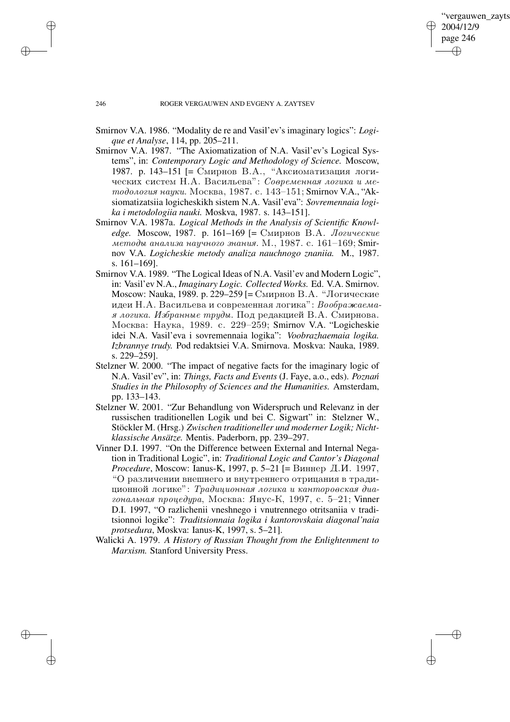✐

## 246 ROGER VERGAUWEN AND EVGENY A. ZAYTSEV

- Smirnov V.A. 1986. "Modality de re and Vasil'ev's imaginary logics": *Logique et Analyse*, 114, pp. 205–211.
- Smirnov V.A. 1987. "The Axiomatization of N.A. Vasil'ev's Logical Systems", in: *Contemporary Logic and Methodology of Science.* Moscow, 1987. p. 143–151 [= Смирнов В.А., "Аксиоматизация логических систем Н.А. Васильева": Современная логика и методология науки. Москва, 1987. с. 143–151; Smirnov V.A., "Aksiomatizatsiia logicheskikh sistem N.A. Vasil'eva": *Sovremennaia logika i metodologiia nauki.* Moskva, 1987. s. 143–151].
- Smirnov V.A. 1987a. *Logical Methods in the Analysis of Scientific Knowledge.* Moscow, 1987. p. 161–169 [= Смирнов В.А. Логические методы анализа научного знания. М., 1987. с. 161–169; Smirnov V.A. *Logicheskie metody analiza nauchnogo znaniia.* M., 1987. s. 161–169].
- Smirnov V.A. 1989. "The Logical Ideas of N.A. Vasil'ev and Modern Logic", in: Vasil'ev N.A., *Imaginary Logic. Collected Works.* Ed. V.A. Smirnov. Moscow: Nauka, 1989. p. 229-259 [= Смирнов В.А. "Логические идеи Н.А. Васильева и современная логика": Воображаемая логика. Избранные триды. Под редакцией В.А. Смирнова. Москва: Наука, 1989. c. 229–259; Smirnov V.A. "Logicheskie idei N.A. Vasil'eva i sovremennaia logika": *Voobrazhaemaia logika. Izbrannye trudy.* Pod redaktsiei V.A. Smirnova. Moskva: Nauka, 1989. s. 229–259].
- Stelzner W. 2000. "The impact of negative facts for the imaginary logic of N.A. Vasil'ev", in: *Things, Facts and Events* (J. Faye, a.o., eds). *Poznan´ Studies in the Philosophy of Sciences and the Humanities.* Amsterdam, pp. 133–143.
- Stelzner W. 2001. "Zur Behandlung von Widerspruch und Relevanz in der russischen traditionellen Logik und bei C. Sigwart" in: Stelzner W., Stöckler M. (Hrsg.) *Zwischen traditioneller und moderner Logik; Nichtklassische Ansätze.* Mentis. Paderborn, pp. 239–297.
- Vinner D.I. 1997. "On the Difference between External and Internal Negation in Traditional Logic", in: *Traditional Logic and Cantor's Diagonal Procedure*, Moscow: Ianus-K, 1997, p. 5–21 [= Виннер Д.И. 1997, "О различении внешнего и внутреннего отрицания в традиционной логике": Традиционная логика и канторовская диагональная процедура, Москва: Янус-К, 1997, с. 5-21; Vinner D.I. 1997, "O razlichenii vneshnego i vnutrennego otritsaniia v traditsionnoi logike": *Traditsionnaia logika i kantorovskaia diagonal'naia protsedura*, Moskva: Ianus-K, 1997, s. 5–21].
- Walicki A. 1979. *A History of Russian Thought from the Enlightenment to Marxism.* Stanford University Press.

✐

✐

✐